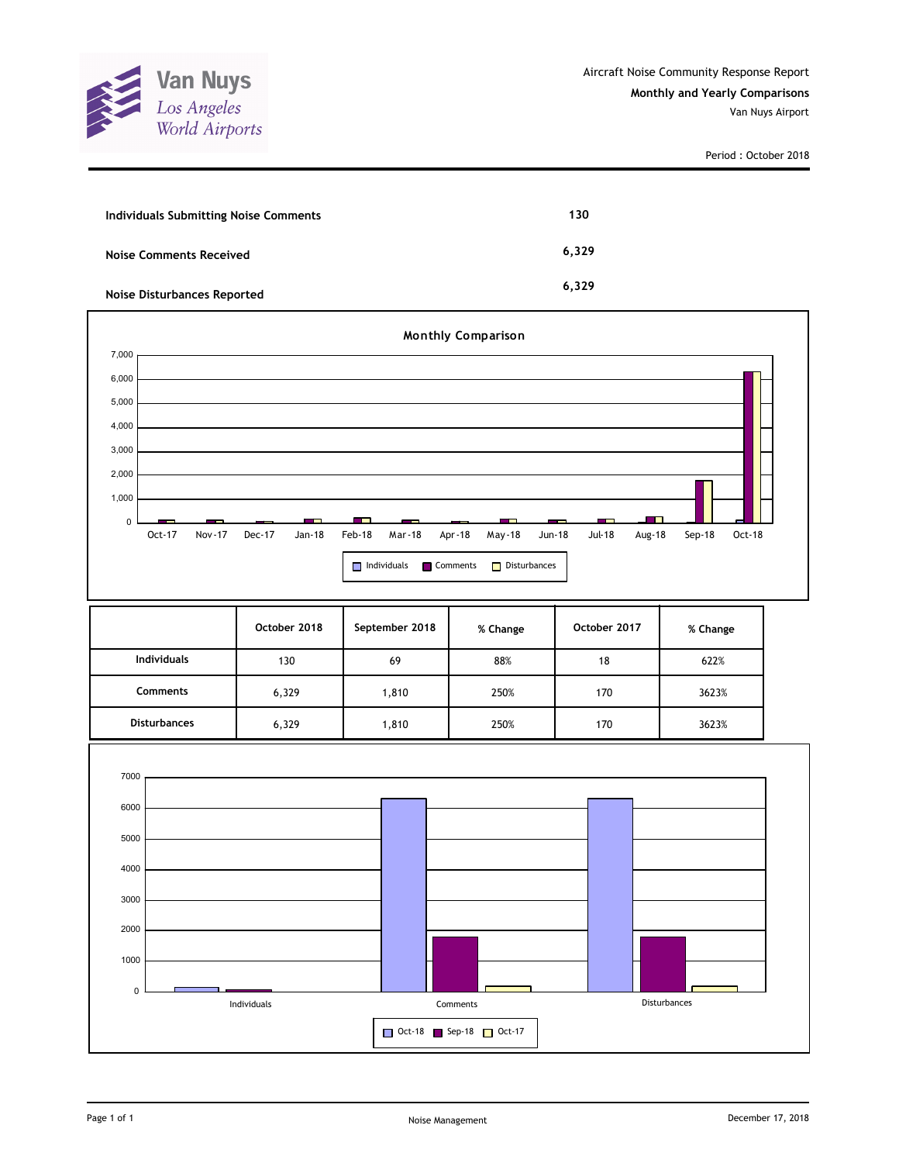

| Individuals Submitting Noise Comments | 130   |
|---------------------------------------|-------|
| Noise Comments Received               | 6,329 |
| <b>Noise Disturbances Reported</b>    | 6.329 |



|                     | October 2018 | September 2018 | % Change | October 2017 | % Change |
|---------------------|--------------|----------------|----------|--------------|----------|
| <b>Individuals</b>  | 130          | 69             | 88%      | 18           | 622%     |
| Comments            | 6,329        | 1,810          | 250%     | 170          | 3623%    |
| <b>Disturbances</b> | 6,329        | ,810           | 250%     | 170          | 3623%    |

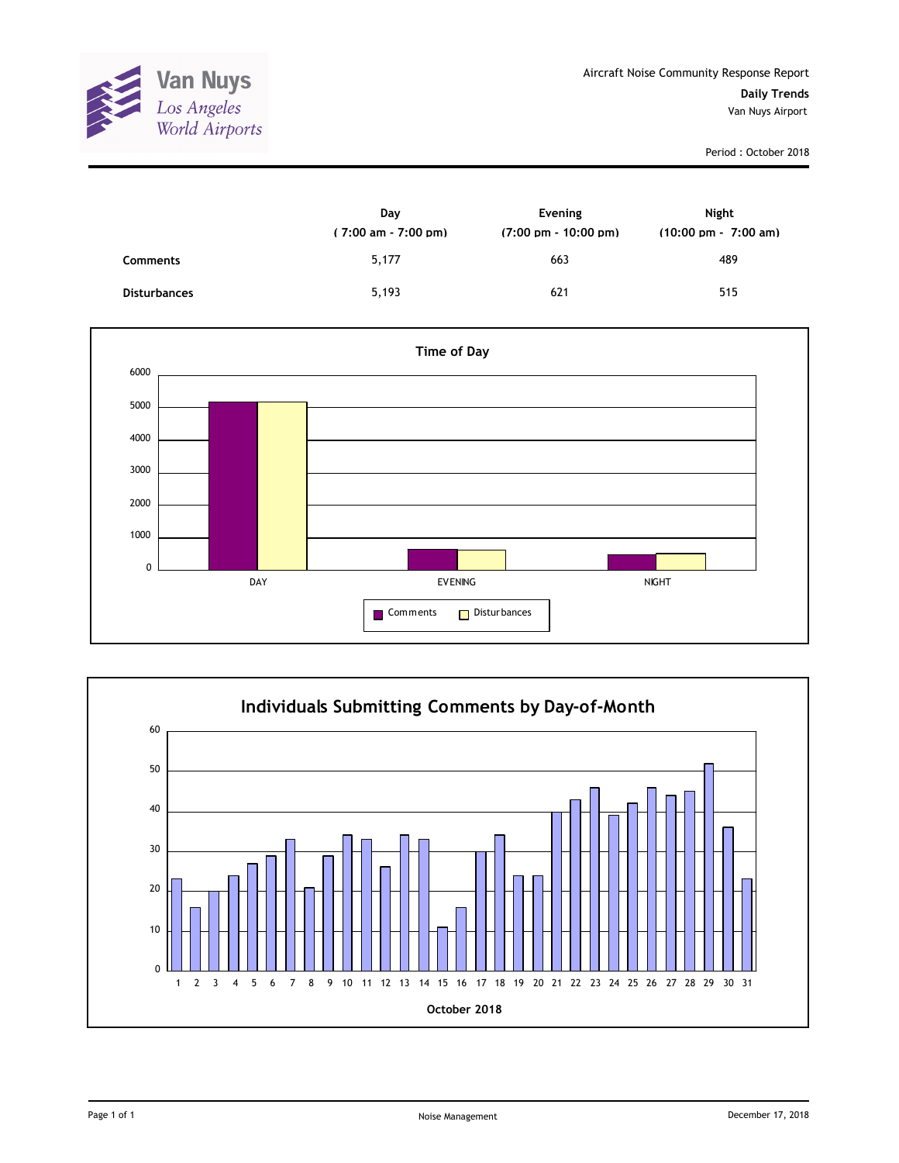

|                     | Day<br>$(7:00 \text{ am} - 7:00 \text{ pm})$ | Evening<br>$(7:00 \text{ pm} - 10:00 \text{ pm})$ | Night<br>$(10:00 \text{ pm} - 7:00 \text{ am})$ |
|---------------------|----------------------------------------------|---------------------------------------------------|-------------------------------------------------|
| <b>Comments</b>     | 5,177                                        | 663                                               | 489                                             |
| <b>Disturbances</b> | 5,193                                        | 621                                               | 515                                             |



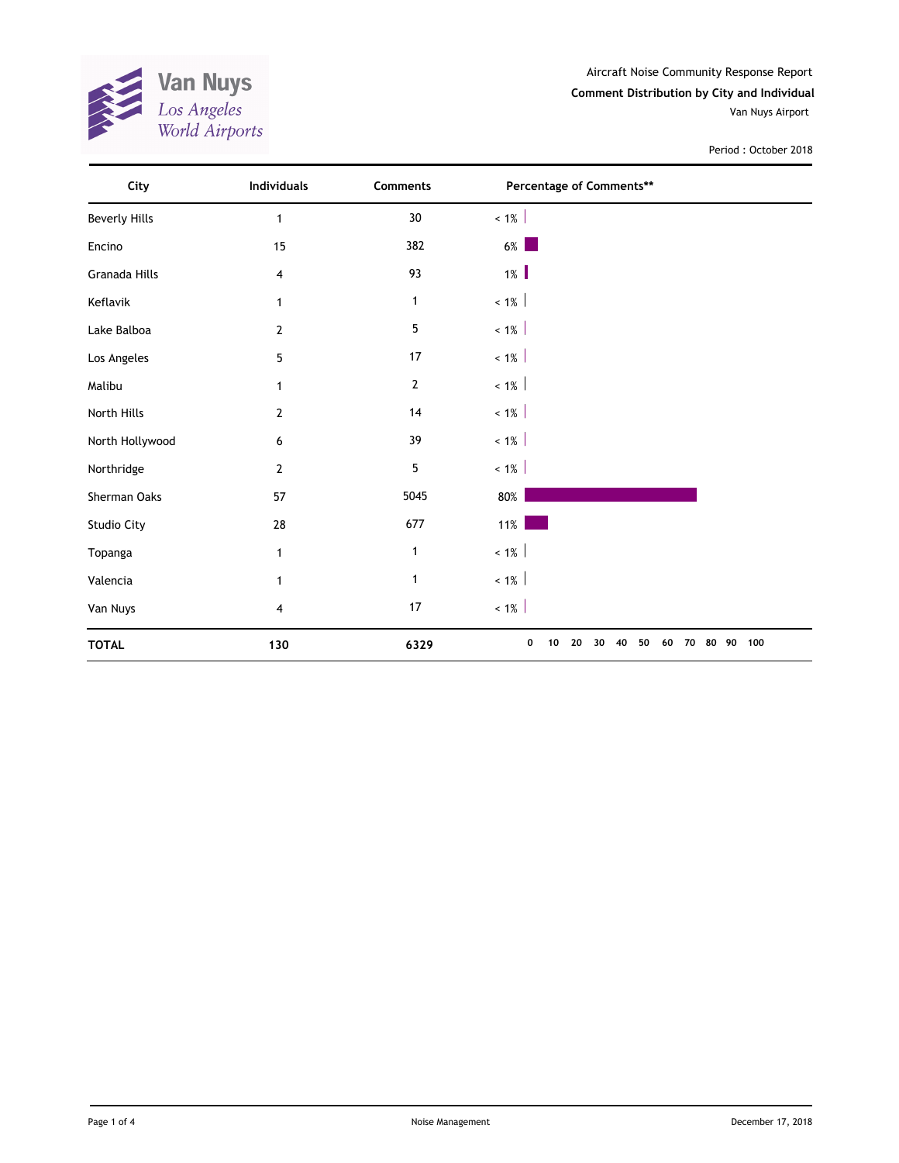

Aircraft Noise Community Response Report **Comment Distribution by City and Individual** Van Nuys Airport

| City                 | Individuals    | Comments       | Percentage of Comments**                                 |  |
|----------------------|----------------|----------------|----------------------------------------------------------|--|
| <b>Beverly Hills</b> | 1              | $30\,$         | $< 1\%$                                                  |  |
| Encino               | 15             | 382            | $6\%$                                                    |  |
| Granada Hills        | 4              | 93             | $1\%$                                                    |  |
| Keflavik             | 1              | $\mathbf{1}$   | $~1\%$                                                   |  |
| Lake Balboa          | $\overline{2}$ | 5              | $< 1\%$                                                  |  |
| Los Angeles          | 5              | 17             | $~1\%$                                                   |  |
| Malibu               | 1              | $\overline{2}$ | $~1\%$                                                   |  |
| North Hills          | $\overline{2}$ | $14$           | $~1\%$                                                   |  |
| North Hollywood      | 6              | 39             | $~1\%$                                                   |  |
| Northridge           | $\overline{2}$ | 5              | $~1\%$                                                   |  |
| Sherman Oaks         | 57             | 5045           | 80%                                                      |  |
| Studio City          | 28             | 677            | $11\%$                                                   |  |
| Topanga              | 1              | $\mathbf{1}$   | $< 1\%$                                                  |  |
| Valencia             | 1              | $\mathbf 1$    | $< 1\%$                                                  |  |
| Van Nuys             | 4              | $17$           | $< 1\%$                                                  |  |
| <b>TOTAL</b>         | 130            | 6329           | 80 90 100<br>0<br>20<br>50<br>60<br>70<br>30<br>40<br>10 |  |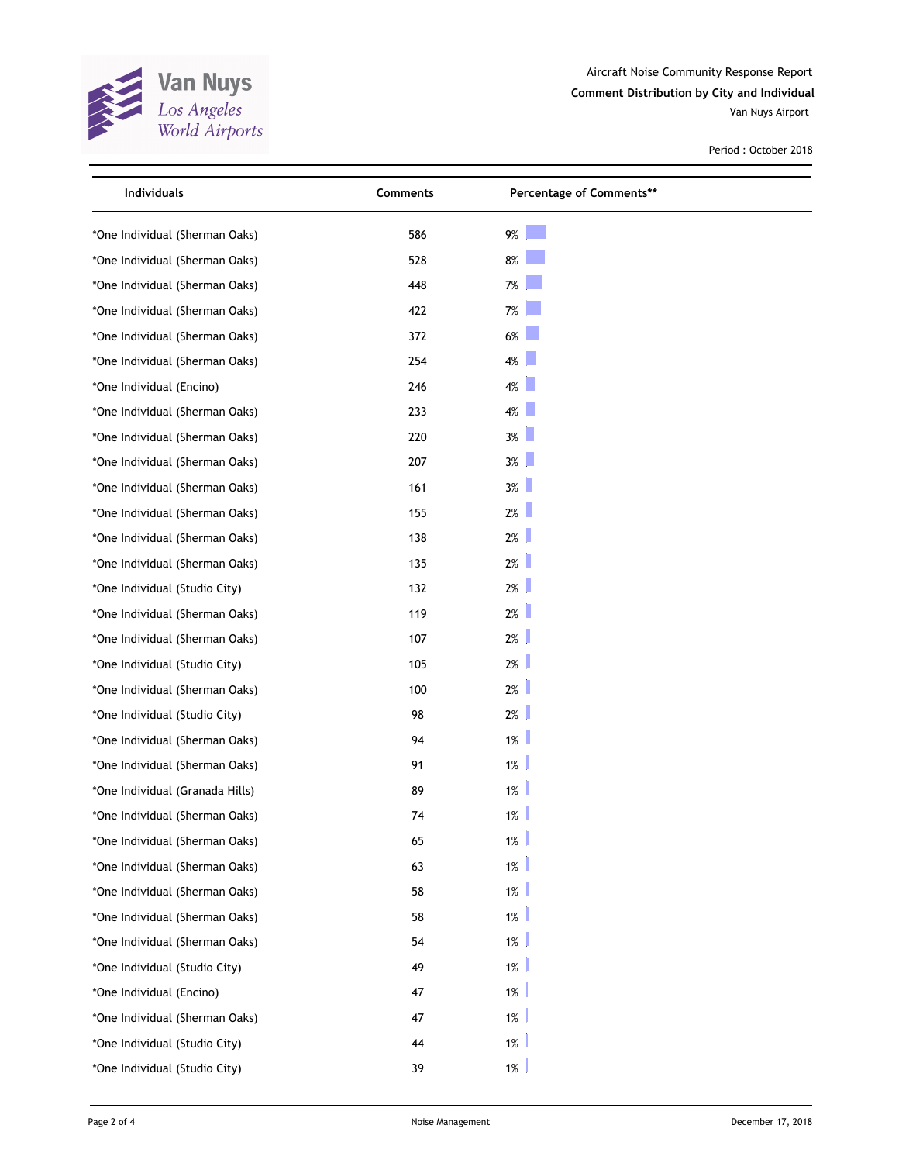

Aircraft Noise Community Response Report **Comment Distribution by City and Individual** Van Nuys Airport

| Individuals                     | Comments | Percentage of Comments** |  |
|---------------------------------|----------|--------------------------|--|
| *One Individual (Sherman Oaks)  | 586      | 9%                       |  |
| *One Individual (Sherman Oaks)  | 528      | $8%$                     |  |
| *One Individual (Sherman Oaks)  | 448      | 7%                       |  |
| *One Individual (Sherman Oaks)  | 422      | 7%                       |  |
| *One Individual (Sherman Oaks)  | 372      | 6%                       |  |
| *One Individual (Sherman Oaks)  | 254      | $4\%$                    |  |
| *One Individual (Encino)        | 246      | $4\%$                    |  |
| *One Individual (Sherman Oaks)  | 233      | $4\%$                    |  |
| *One Individual (Sherman Oaks)  | 220      | 3%                       |  |
| *One Individual (Sherman Oaks)  | 207      | $3\%$                    |  |
| *One Individual (Sherman Oaks)  | 161      | 3%                       |  |
| *One Individual (Sherman Oaks)  | 155      | 2%                       |  |
| *One Individual (Sherman Oaks)  | 138      | 2%                       |  |
| *One Individual (Sherman Oaks)  | 135      | 2%                       |  |
| *One Individual (Studio City)   | 132      | $2\%$                    |  |
| *One Individual (Sherman Oaks)  | 119      | 2%                       |  |
| *One Individual (Sherman Oaks)  | 107      | 2%                       |  |
| *One Individual (Studio City)   | 105      | 2%                       |  |
| *One Individual (Sherman Oaks)  | 100      | $2\%$                    |  |
| *One Individual (Studio City)   | 98       | 2%                       |  |
| *One Individual (Sherman Oaks)  | 94       | $1\%$                    |  |
| *One Individual (Sherman Oaks)  | 91       | $1\%$                    |  |
| *One Individual (Granada Hills) | 89       | 1%                       |  |
| *One Individual (Sherman Oaks)  | 74       | $1\%$                    |  |
| *One Individual (Sherman Oaks)  | 65       | 1%                       |  |
| *One Individual (Sherman Oaks)  | 63       | 1%                       |  |
| *One Individual (Sherman Oaks)  | 58       | 1%                       |  |
| *One Individual (Sherman Oaks)  | 58       | 1%                       |  |
| *One Individual (Sherman Oaks)  | 54       | 1%                       |  |
| *One Individual (Studio City)   | 49       | 1%                       |  |
| *One Individual (Encino)        | 47       | 1%                       |  |
| *One Individual (Sherman Oaks)  | 47       | $1\%$                    |  |
| *One Individual (Studio City)   | 44       | 1%                       |  |
| *One Individual (Studio City)   | 39       | $1\%$                    |  |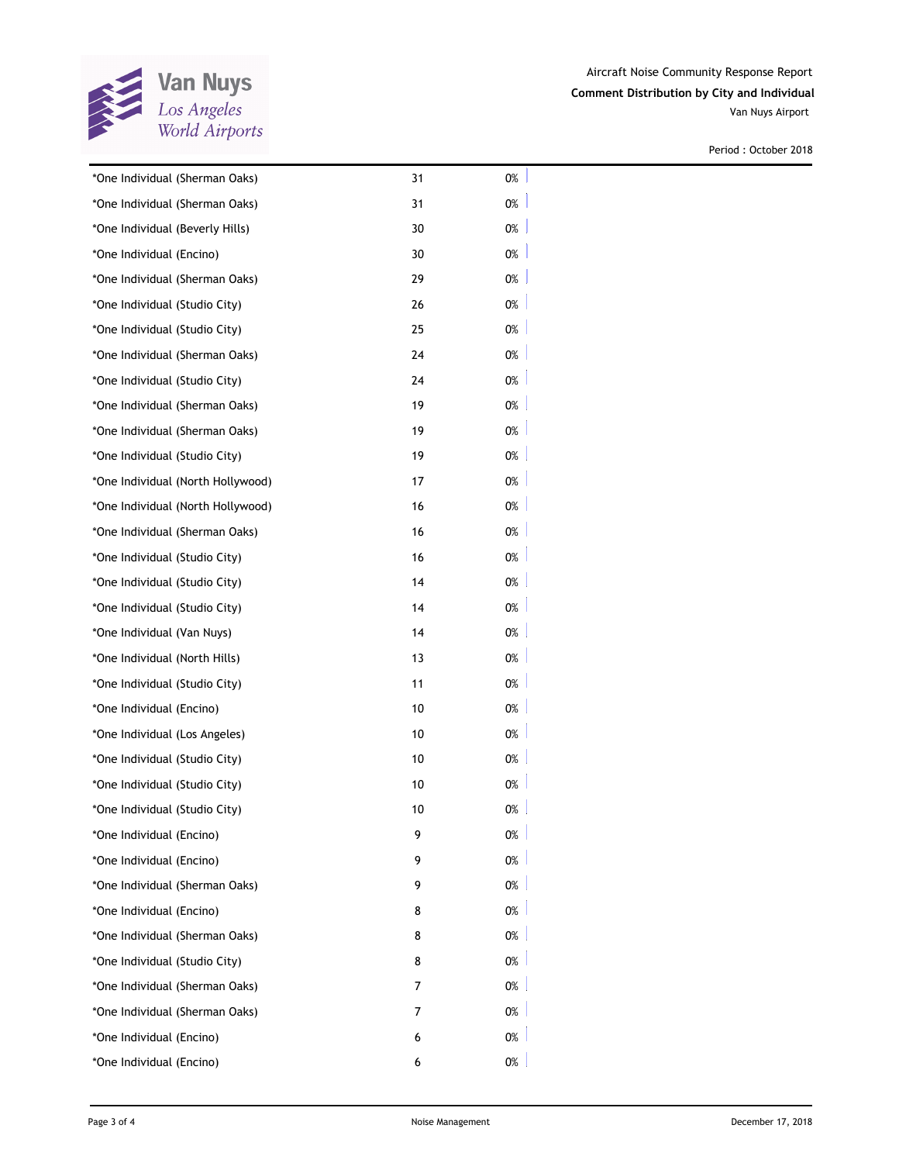

| *One Individual (Sherman Oaks)    | 31 | 0%    |
|-----------------------------------|----|-------|
| *One Individual (Sherman Oaks)    | 31 | 0%    |
| *One Individual (Beverly Hills)   | 30 | 0%    |
| *One Individual (Encino)          | 30 | 0%    |
| *One Individual (Sherman Oaks)    | 29 | 0%    |
| *One Individual (Studio City)     | 26 | 0%    |
| *One Individual (Studio City)     | 25 | 0%    |
| *One Individual (Sherman Oaks)    | 24 | 0%    |
| *One Individual (Studio City)     | 24 | 0%    |
| *One Individual (Sherman Oaks)    | 19 | 0%    |
| *One Individual (Sherman Oaks)    | 19 | 0%    |
| *One Individual (Studio City)     | 19 | 0%    |
| *One Individual (North Hollywood) | 17 | 0%    |
| *One Individual (North Hollywood) | 16 | 0%    |
| *One Individual (Sherman Oaks)    | 16 | 0%    |
| *One Individual (Studio City)     | 16 | 0%    |
| *One Individual (Studio City)     | 14 | 0%    |
| *One Individual (Studio City)     | 14 | 0%    |
| *One Individual (Van Nuys)        | 14 | 0%    |
| *One Individual (North Hills)     | 13 | 0%    |
| *One Individual (Studio City)     | 11 | 0%    |
| *One Individual (Encino)          | 10 | 0%    |
| *One Individual (Los Angeles)     | 10 | 0%    |
| *One Individual (Studio City)     | 10 | 0%    |
| *One Individual (Studio City)     | 10 | 0%    |
| *One Individual (Studio City)     | 10 | $0\%$ |
| *One Individual (Encino)          | 9  | 0%    |
| *One Individual (Encino)          | 9  | 0%    |
| *One Individual (Sherman Oaks)    | 9  | $0\%$ |
| *One Individual (Encino)          | 8  | 0%    |
| *One Individual (Sherman Oaks)    | 8  | 0%    |
| *One Individual (Studio City)     | 8  | 0%    |
| *One Individual (Sherman Oaks)    | 7  | 0%    |
| *One Individual (Sherman Oaks)    | 7  | 0%    |
| *One Individual (Encino)          | 6  | 0%    |
| *One Individual (Encino)          | 6  | 0%    |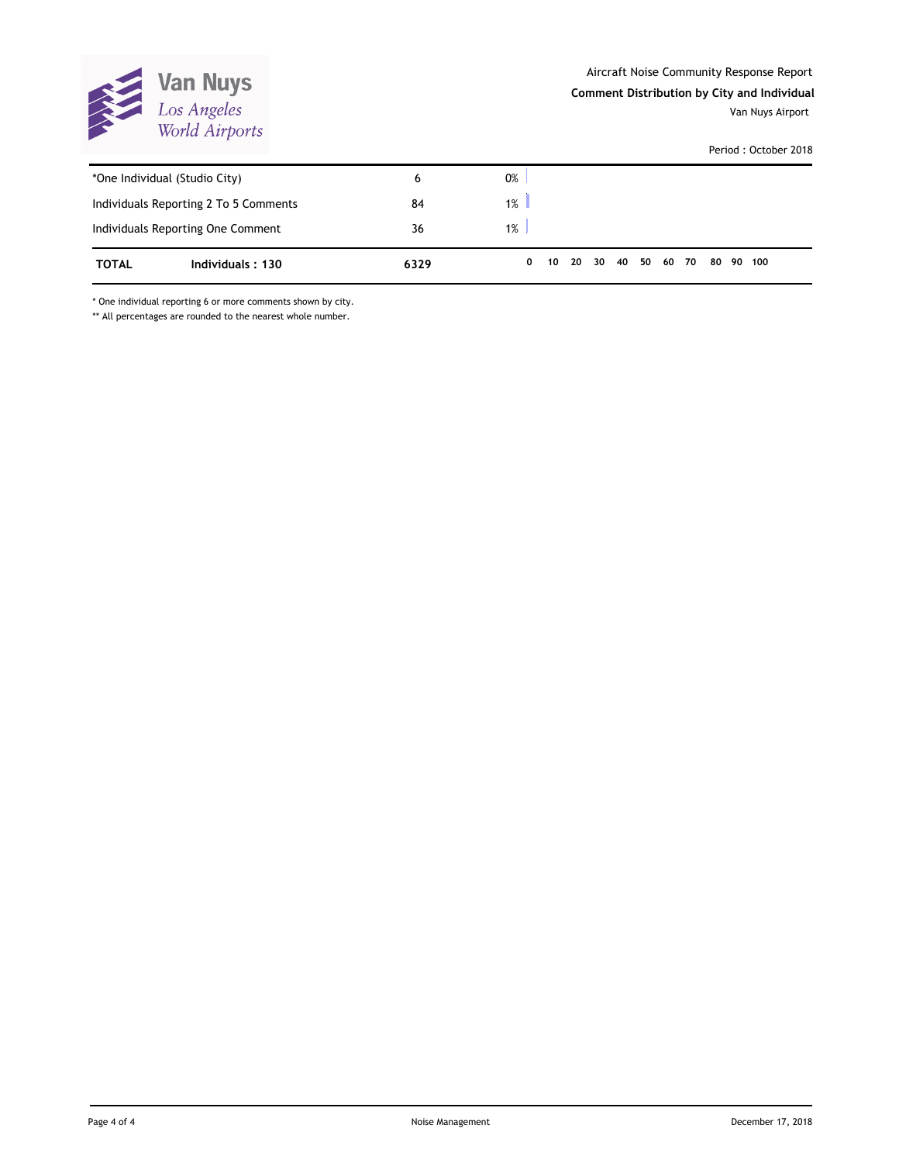

**Comment Distribution by City and Individual**

Van Nuys Airport

Period : October 2018

| *One Individual (Studio City) |                                       | 6    | 0%    |    |    |  |                |  |  |           |  |
|-------------------------------|---------------------------------------|------|-------|----|----|--|----------------|--|--|-----------|--|
|                               | Individuals Reporting 2 To 5 Comments | 84   | $1\%$ |    |    |  |                |  |  |           |  |
|                               | Individuals Reporting One Comment     | 36   | $1\%$ |    |    |  |                |  |  |           |  |
| <b>TOTAL</b>                  | Individuals: 130                      | 6329 | 0     | 10 | 20 |  | 30 40 50 60 70 |  |  | 80 90 100 |  |

\* One individual reporting 6 or more comments shown by city.

\*\* All percentages are rounded to the nearest whole number.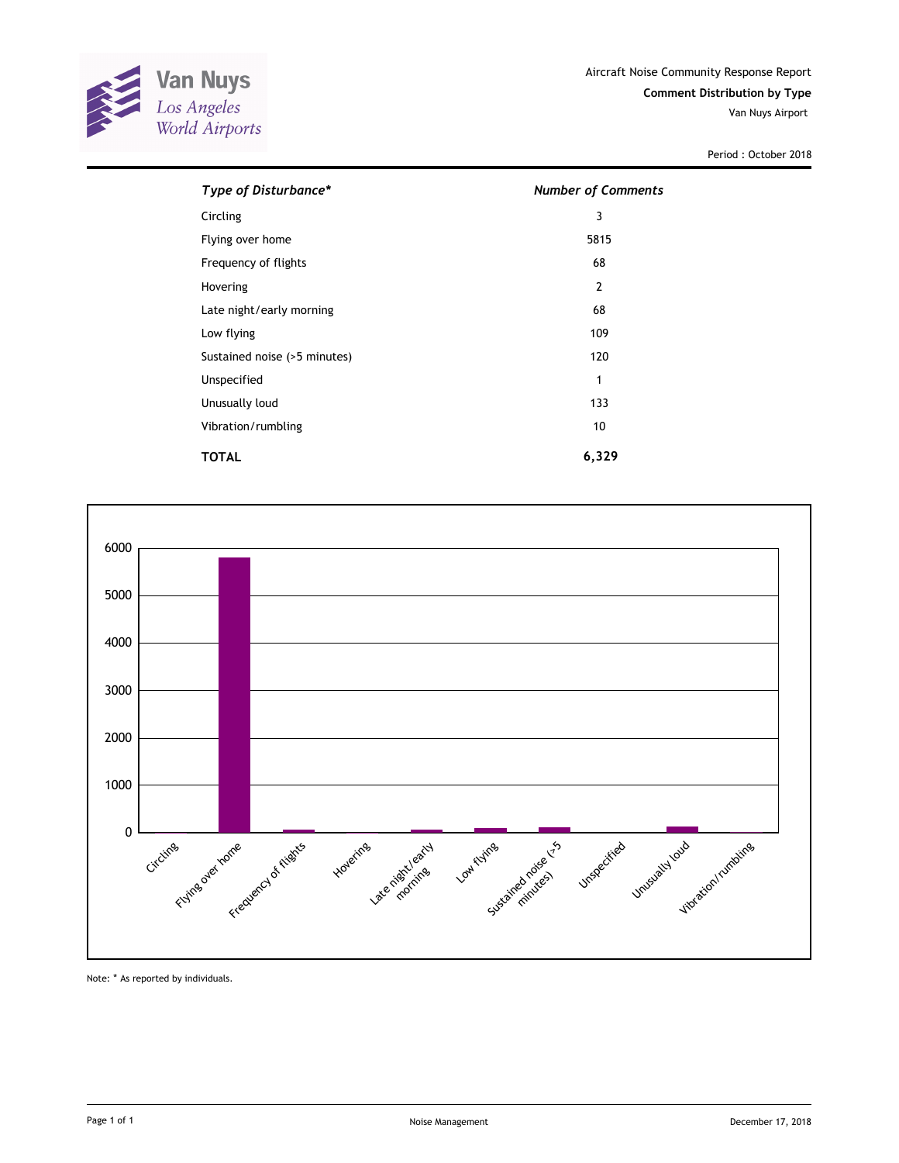

Period : October 2018

| Type of Disturbance*         | <b>Number of Comments</b> |
|------------------------------|---------------------------|
| Circling                     | 3                         |
| Flying over home             | 5815                      |
| Frequency of flights         | 68                        |
| Hovering                     | $\overline{2}$            |
| Late night/early morning     | 68                        |
| Low flying                   | 109                       |
| Sustained noise (>5 minutes) | 120                       |
| Unspecified                  | 1                         |
| Unusually loud               | 133                       |
| Vibration/rumbling           | 10                        |
| TOTAL                        | 6,329                     |



Note: \* As reported by individuals.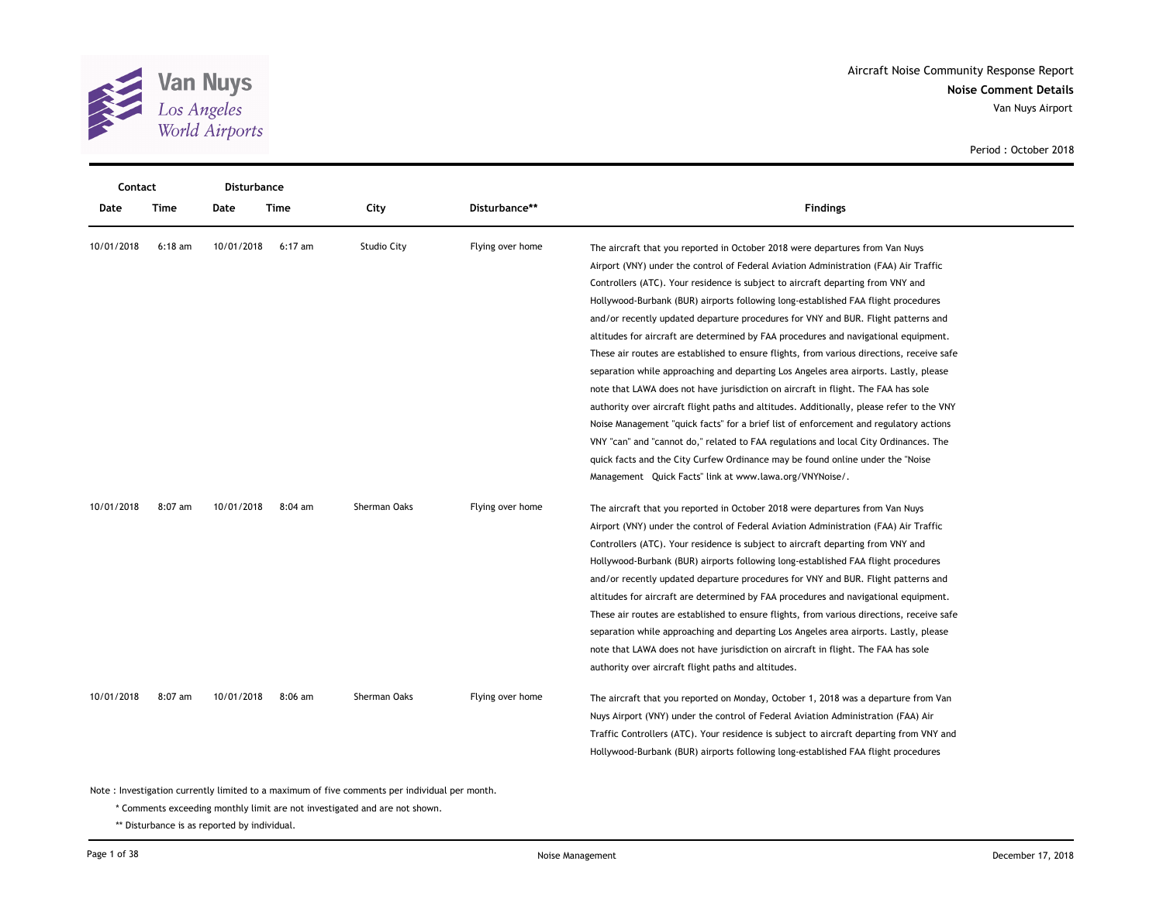

| <b>Contact</b> |           | Disturbance |           |                    |                  |                                                                                                                                                                                                                                                                                                                                                                                                                                                                                                                                                                                                                                                                                                                                                                                                                                                                                                                                                                                          |
|----------------|-----------|-------------|-----------|--------------------|------------------|------------------------------------------------------------------------------------------------------------------------------------------------------------------------------------------------------------------------------------------------------------------------------------------------------------------------------------------------------------------------------------------------------------------------------------------------------------------------------------------------------------------------------------------------------------------------------------------------------------------------------------------------------------------------------------------------------------------------------------------------------------------------------------------------------------------------------------------------------------------------------------------------------------------------------------------------------------------------------------------|
| Date           | Time      | Date        | Time      | City               | Disturbance**    | <b>Findings</b>                                                                                                                                                                                                                                                                                                                                                                                                                                                                                                                                                                                                                                                                                                                                                                                                                                                                                                                                                                          |
| 10/01/2018     | $6:18$ am | 10/01/2018  | $6:17$ am | <b>Studio City</b> | Flying over home | The aircraft that you reported in October 2018 were departures from Van Nuys<br>Airport (VNY) under the control of Federal Aviation Administration (FAA) Air Traffic<br>Controllers (ATC). Your residence is subject to aircraft departing from VNY and<br>Hollywood-Burbank (BUR) airports following long-established FAA flight procedures<br>and/or recently updated departure procedures for VNY and BUR. Flight patterns and<br>altitudes for aircraft are determined by FAA procedures and navigational equipment.<br>These air routes are established to ensure flights, from various directions, receive safe<br>separation while approaching and departing Los Angeles area airports. Lastly, please<br>note that LAWA does not have jurisdiction on aircraft in flight. The FAA has sole<br>authority over aircraft flight paths and altitudes. Additionally, please refer to the VNY<br>Noise Management "quick facts" for a brief list of enforcement and regulatory actions |
|                |           |             |           |                    |                  | VNY "can" and "cannot do," related to FAA regulations and local City Ordinances. The<br>quick facts and the City Curfew Ordinance may be found online under the "Noise"<br>Management Quick Facts" link at www.lawa.org/VNYNoise/.                                                                                                                                                                                                                                                                                                                                                                                                                                                                                                                                                                                                                                                                                                                                                       |
| 10/01/2018     | 8:07 am   | 10/01/2018  | $8:04$ am | Sherman Oaks       | Flying over home | The aircraft that you reported in October 2018 were departures from Van Nuys<br>Airport (VNY) under the control of Federal Aviation Administration (FAA) Air Traffic<br>Controllers (ATC). Your residence is subject to aircraft departing from VNY and<br>Hollywood-Burbank (BUR) airports following long-established FAA flight procedures<br>and/or recently updated departure procedures for VNY and BUR. Flight patterns and<br>altitudes for aircraft are determined by FAA procedures and navigational equipment.<br>These air routes are established to ensure flights, from various directions, receive safe<br>separation while approaching and departing Los Angeles area airports. Lastly, please<br>note that LAWA does not have jurisdiction on aircraft in flight. The FAA has sole<br>authority over aircraft flight paths and altitudes.                                                                                                                                |
| 10/01/2018     | 8:07 am   | 10/01/2018  | $8:06$ am | Sherman Oaks       | Flying over home | The aircraft that you reported on Monday, October 1, 2018 was a departure from Van<br>Nuys Airport (VNY) under the control of Federal Aviation Administration (FAA) Air<br>Traffic Controllers (ATC). Your residence is subject to aircraft departing from VNY and<br>Hollywood-Burbank (BUR) airports following long-established FAA flight procedures                                                                                                                                                                                                                                                                                                                                                                                                                                                                                                                                                                                                                                  |

\* Comments exceeding monthly limit are not investigated and are not shown.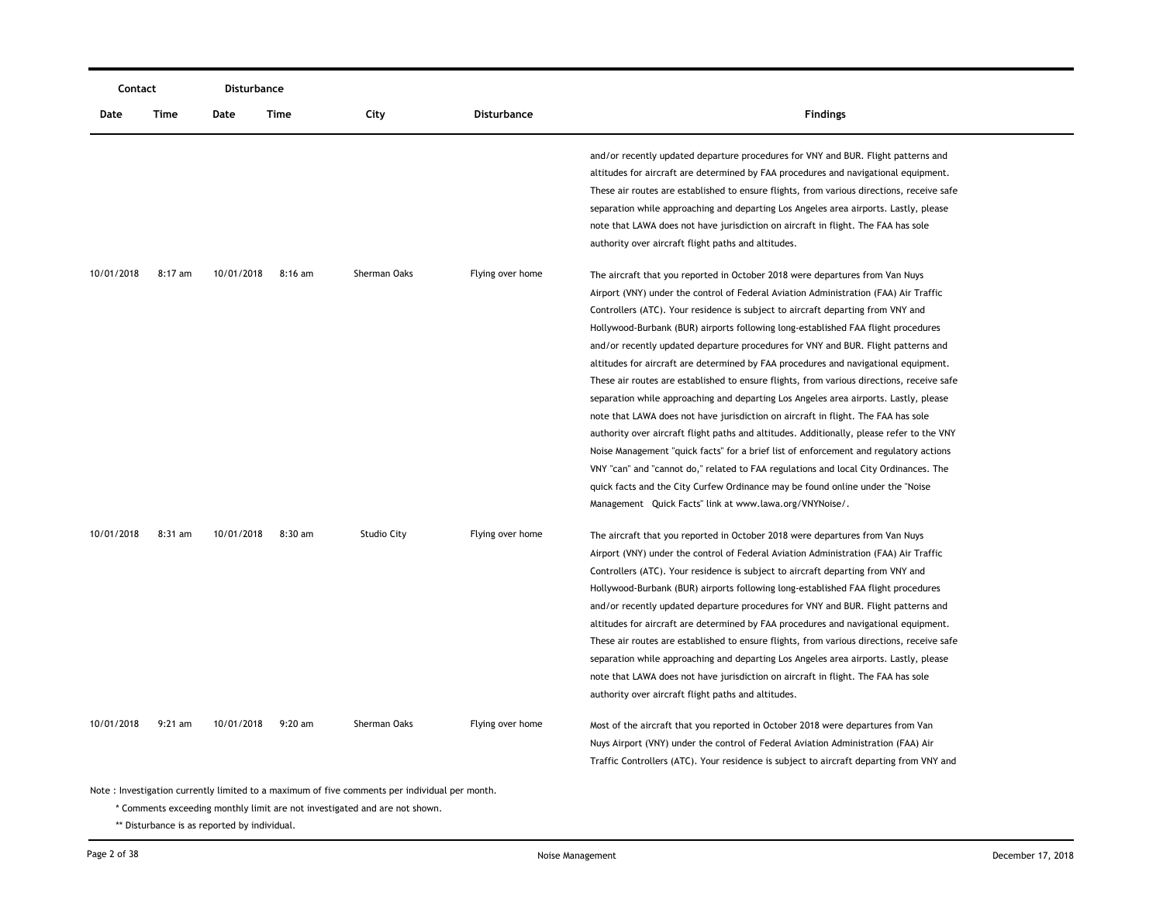| Contact    |           | Disturbance |           |                    |                  |                                                                                           |
|------------|-----------|-------------|-----------|--------------------|------------------|-------------------------------------------------------------------------------------------|
| Date       | Time      | Date        | Time      | City               | Disturbance      | <b>Findings</b>                                                                           |
|            |           |             |           |                    |                  | and/or recently updated departure procedures for VNY and BUR. Flight patterns and         |
|            |           |             |           |                    |                  | altitudes for aircraft are determined by FAA procedures and navigational equipment.       |
|            |           |             |           |                    |                  | These air routes are established to ensure flights, from various directions, receive safe |
|            |           |             |           |                    |                  | separation while approaching and departing Los Angeles area airports. Lastly, please      |
|            |           |             |           |                    |                  | note that LAWA does not have jurisdiction on aircraft in flight. The FAA has sole         |
|            |           |             |           |                    |                  | authority over aircraft flight paths and altitudes.                                       |
| 10/01/2018 | 8:17 am   | 10/01/2018  | $8:16$ am | Sherman Oaks       | Flying over home | The aircraft that you reported in October 2018 were departures from Van Nuys              |
|            |           |             |           |                    |                  | Airport (VNY) under the control of Federal Aviation Administration (FAA) Air Traffic      |
|            |           |             |           |                    |                  | Controllers (ATC). Your residence is subject to aircraft departing from VNY and           |
|            |           |             |           |                    |                  | Hollywood-Burbank (BUR) airports following long-established FAA flight procedures         |
|            |           |             |           |                    |                  | and/or recently updated departure procedures for VNY and BUR. Flight patterns and         |
|            |           |             |           |                    |                  | altitudes for aircraft are determined by FAA procedures and navigational equipment.       |
|            |           |             |           |                    |                  | These air routes are established to ensure flights, from various directions, receive safe |
|            |           |             |           |                    |                  | separation while approaching and departing Los Angeles area airports. Lastly, please      |
|            |           |             |           |                    |                  | note that LAWA does not have jurisdiction on aircraft in flight. The FAA has sole         |
|            |           |             |           |                    |                  | authority over aircraft flight paths and altitudes. Additionally, please refer to the VNY |
|            |           |             |           |                    |                  | Noise Management "quick facts" for a brief list of enforcement and regulatory actions     |
|            |           |             |           |                    |                  | VNY "can" and "cannot do," related to FAA regulations and local City Ordinances. The      |
|            |           |             |           |                    |                  | quick facts and the City Curfew Ordinance may be found online under the "Noise"           |
|            |           |             |           |                    |                  | Management Quick Facts" link at www.lawa.org/VNYNoise/.                                   |
| 10/01/2018 | 8:31 am   | 10/01/2018  | 8:30 am   | <b>Studio City</b> | Flying over home | The aircraft that you reported in October 2018 were departures from Van Nuys              |
|            |           |             |           |                    |                  | Airport (VNY) under the control of Federal Aviation Administration (FAA) Air Traffic      |
|            |           |             |           |                    |                  | Controllers (ATC). Your residence is subject to aircraft departing from VNY and           |
|            |           |             |           |                    |                  | Hollywood-Burbank (BUR) airports following long-established FAA flight procedures         |
|            |           |             |           |                    |                  | and/or recently updated departure procedures for VNY and BUR. Flight patterns and         |
|            |           |             |           |                    |                  | altitudes for aircraft are determined by FAA procedures and navigational equipment.       |
|            |           |             |           |                    |                  | These air routes are established to ensure flights, from various directions, receive safe |
|            |           |             |           |                    |                  | separation while approaching and departing Los Angeles area airports. Lastly, please      |
|            |           |             |           |                    |                  | note that LAWA does not have jurisdiction on aircraft in flight. The FAA has sole         |
|            |           |             |           |                    |                  | authority over aircraft flight paths and altitudes.                                       |
| 10/01/2018 | $9:21$ am | 10/01/2018  | $9:20$ am | Sherman Oaks       | Flying over home | Most of the aircraft that you reported in October 2018 were departures from Van           |
|            |           |             |           |                    |                  | Nuys Airport (VNY) under the control of Federal Aviation Administration (FAA) Air         |
|            |           |             |           |                    |                  | Traffic Controllers (ATC). Your residence is subject to aircraft departing from VNY and   |

\* Comments exceeding monthly limit are not investigated and are not shown.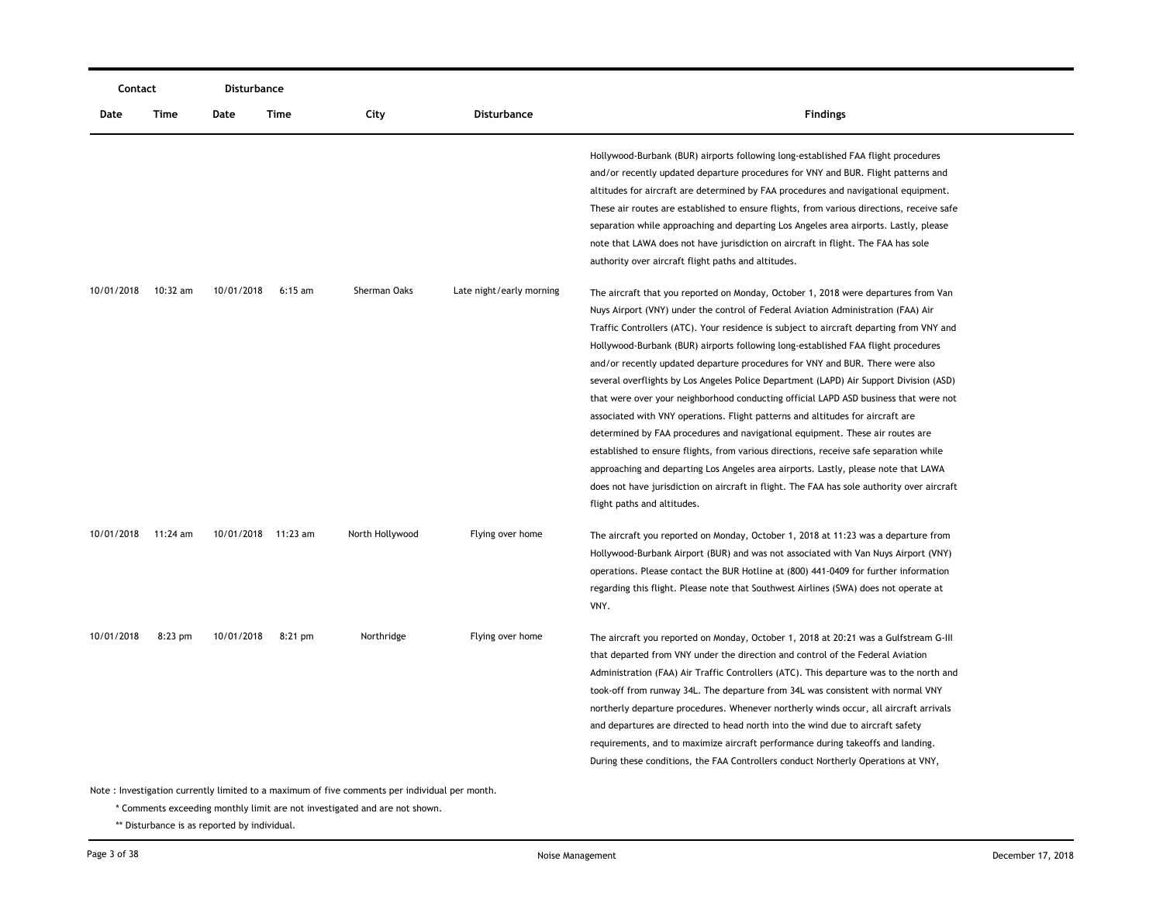| Contact    |           | Disturbance         |           |                                                                                                                   |                          |                                                                                                                                                                                                                                                                                                                                                                                                                                                                                                                                                                                                                                                                                                                                                                                                                                                                                                                                                                                                                                                                                                           |  |
|------------|-----------|---------------------|-----------|-------------------------------------------------------------------------------------------------------------------|--------------------------|-----------------------------------------------------------------------------------------------------------------------------------------------------------------------------------------------------------------------------------------------------------------------------------------------------------------------------------------------------------------------------------------------------------------------------------------------------------------------------------------------------------------------------------------------------------------------------------------------------------------------------------------------------------------------------------------------------------------------------------------------------------------------------------------------------------------------------------------------------------------------------------------------------------------------------------------------------------------------------------------------------------------------------------------------------------------------------------------------------------|--|
| Date       | Time      | Date                | Time      | City                                                                                                              | <b>Disturbance</b>       | <b>Findings</b>                                                                                                                                                                                                                                                                                                                                                                                                                                                                                                                                                                                                                                                                                                                                                                                                                                                                                                                                                                                                                                                                                           |  |
|            |           |                     |           |                                                                                                                   |                          | Hollywood-Burbank (BUR) airports following long-established FAA flight procedures<br>and/or recently updated departure procedures for VNY and BUR. Flight patterns and<br>altitudes for aircraft are determined by FAA procedures and navigational equipment.<br>These air routes are established to ensure flights, from various directions, receive safe<br>separation while approaching and departing Los Angeles area airports. Lastly, please<br>note that LAWA does not have jurisdiction on aircraft in flight. The FAA has sole<br>authority over aircraft flight paths and altitudes.                                                                                                                                                                                                                                                                                                                                                                                                                                                                                                            |  |
| 10/01/2018 | 10:32 am  | 10/01/2018          | $6:15$ am | Sherman Oaks                                                                                                      | Late night/early morning | The aircraft that you reported on Monday, October 1, 2018 were departures from Van<br>Nuys Airport (VNY) under the control of Federal Aviation Administration (FAA) Air<br>Traffic Controllers (ATC). Your residence is subject to aircraft departing from VNY and<br>Hollywood-Burbank (BUR) airports following long-established FAA flight procedures<br>and/or recently updated departure procedures for VNY and BUR. There were also<br>several overflights by Los Angeles Police Department (LAPD) Air Support Division (ASD)<br>that were over your neighborhood conducting official LAPD ASD business that were not<br>associated with VNY operations. Flight patterns and altitudes for aircraft are<br>determined by FAA procedures and navigational equipment. These air routes are<br>established to ensure flights, from various directions, receive safe separation while<br>approaching and departing Los Angeles area airports. Lastly, please note that LAWA<br>does not have jurisdiction on aircraft in flight. The FAA has sole authority over aircraft<br>flight paths and altitudes. |  |
| 10/01/2018 | 11:24 am  | 10/01/2018 11:23 am |           | North Hollywood                                                                                                   | Flying over home         | The aircraft you reported on Monday, October 1, 2018 at 11:23 was a departure from<br>Hollywood-Burbank Airport (BUR) and was not associated with Van Nuys Airport (VNY)<br>operations. Please contact the BUR Hotline at (800) 441-0409 for further information<br>regarding this flight. Please note that Southwest Airlines (SWA) does not operate at<br>VNY.                                                                                                                                                                                                                                                                                                                                                                                                                                                                                                                                                                                                                                                                                                                                          |  |
| 10/01/2018 | $8:23$ pm | 10/01/2018          | 8:21 pm   | Northridge<br>Note $\cdot$ Investigation currently limited to a maximum of five comments nor individual per month | Flying over home         | The aircraft you reported on Monday, October 1, 2018 at 20:21 was a Gulfstream G-III<br>that departed from VNY under the direction and control of the Federal Aviation<br>Administration (FAA) Air Traffic Controllers (ATC). This departure was to the north and<br>took-off from runway 34L. The departure from 34L was consistent with normal VNY<br>northerly departure procedures. Whenever northerly winds occur, all aircraft arrivals<br>and departures are directed to head north into the wind due to aircraft safety<br>requirements, and to maximize aircraft performance during takeoffs and landing.<br>During these conditions, the FAA Controllers conduct Northerly Operations at VNY,                                                                                                                                                                                                                                                                                                                                                                                                   |  |

\* Comments exceeding monthly limit are not investigated and are not shown.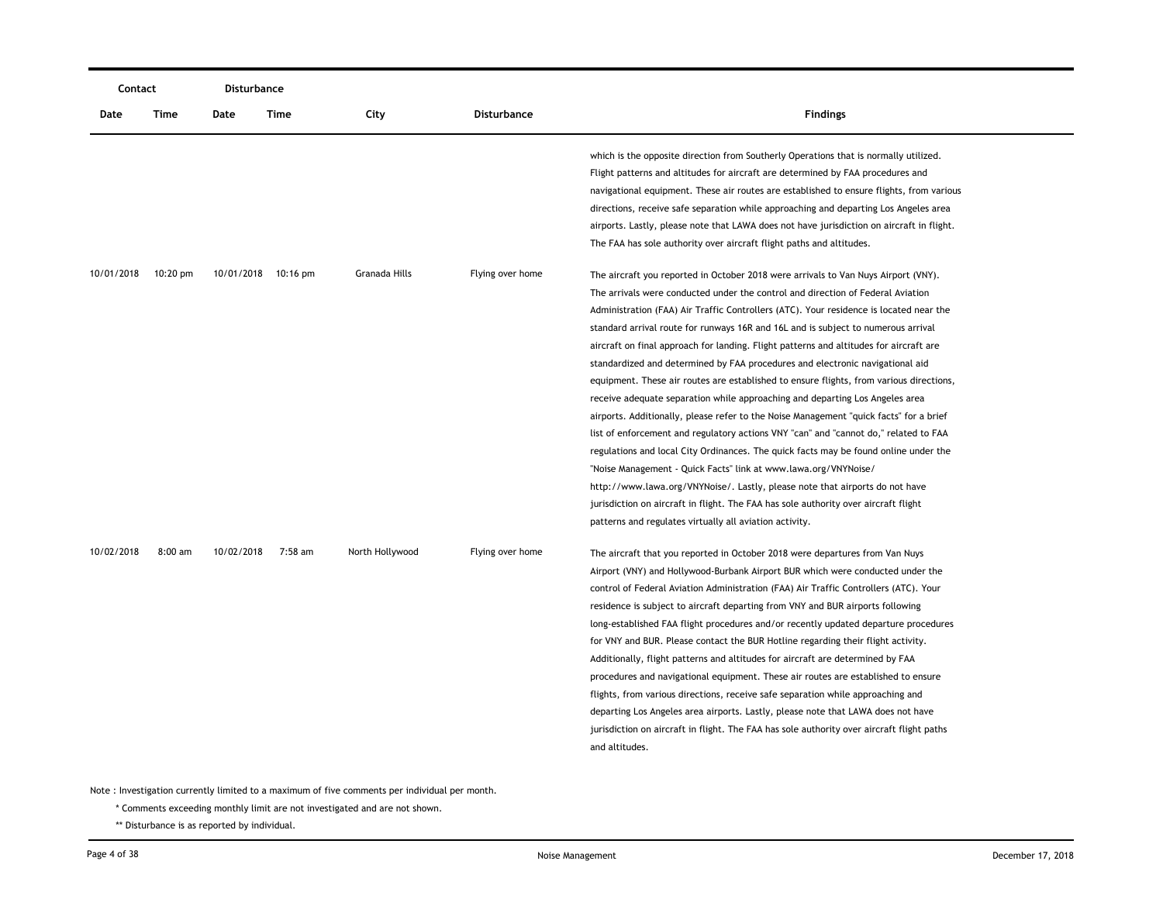| Contact    |                    | <b>Disturbance</b> |                     |                 |                    |                                                                                                                                                                                                                                                                                                                                                                                                                                                                                                                                                                                                                                                                                                                                                                                                                                                                                                                                                                                                                                                                                                                                                                                                                                                                                           |  |  |
|------------|--------------------|--------------------|---------------------|-----------------|--------------------|-------------------------------------------------------------------------------------------------------------------------------------------------------------------------------------------------------------------------------------------------------------------------------------------------------------------------------------------------------------------------------------------------------------------------------------------------------------------------------------------------------------------------------------------------------------------------------------------------------------------------------------------------------------------------------------------------------------------------------------------------------------------------------------------------------------------------------------------------------------------------------------------------------------------------------------------------------------------------------------------------------------------------------------------------------------------------------------------------------------------------------------------------------------------------------------------------------------------------------------------------------------------------------------------|--|--|
| Date       | Time               | Date               | Time                | City            | <b>Disturbance</b> | <b>Findings</b>                                                                                                                                                                                                                                                                                                                                                                                                                                                                                                                                                                                                                                                                                                                                                                                                                                                                                                                                                                                                                                                                                                                                                                                                                                                                           |  |  |
|            |                    |                    |                     |                 |                    | which is the opposite direction from Southerly Operations that is normally utilized.<br>Flight patterns and altitudes for aircraft are determined by FAA procedures and<br>navigational equipment. These air routes are established to ensure flights, from various<br>directions, receive safe separation while approaching and departing Los Angeles area<br>airports. Lastly, please note that LAWA does not have jurisdiction on aircraft in flight.<br>The FAA has sole authority over aircraft flight paths and altitudes.                                                                                                                                                                                                                                                                                                                                                                                                                                                                                                                                                                                                                                                                                                                                                          |  |  |
| 10/01/2018 | $10:20 \text{ pm}$ |                    | 10/01/2018 10:16 pm | Granada Hills   | Flying over home   | The aircraft you reported in October 2018 were arrivals to Van Nuys Airport (VNY).<br>The arrivals were conducted under the control and direction of Federal Aviation<br>Administration (FAA) Air Traffic Controllers (ATC). Your residence is located near the<br>standard arrival route for runways 16R and 16L and is subject to numerous arrival<br>aircraft on final approach for landing. Flight patterns and altitudes for aircraft are<br>standardized and determined by FAA procedures and electronic navigational aid<br>equipment. These air routes are established to ensure flights, from various directions,<br>receive adequate separation while approaching and departing Los Angeles area<br>airports. Additionally, please refer to the Noise Management "quick facts" for a brief<br>list of enforcement and regulatory actions VNY "can" and "cannot do," related to FAA<br>regulations and local City Ordinances. The quick facts may be found online under the<br>"Noise Management - Quick Facts" link at www.lawa.org/VNYNoise/<br>http://www.lawa.org/VNYNoise/. Lastly, please note that airports do not have<br>jurisdiction on aircraft in flight. The FAA has sole authority over aircraft flight<br>patterns and regulates virtually all aviation activity. |  |  |
| 10/02/2018 | $8:00$ am          | 10/02/2018         | 7:58 am             | North Hollywood | Flying over home   | The aircraft that you reported in October 2018 were departures from Van Nuys<br>Airport (VNY) and Hollywood-Burbank Airport BUR which were conducted under the<br>control of Federal Aviation Administration (FAA) Air Traffic Controllers (ATC). Your<br>residence is subject to aircraft departing from VNY and BUR airports following<br>long-established FAA flight procedures and/or recently updated departure procedures<br>for VNY and BUR. Please contact the BUR Hotline regarding their flight activity.<br>Additionally, flight patterns and altitudes for aircraft are determined by FAA<br>procedures and navigational equipment. These air routes are established to ensure<br>flights, from various directions, receive safe separation while approaching and<br>departing Los Angeles area airports. Lastly, please note that LAWA does not have<br>jurisdiction on aircraft in flight. The FAA has sole authority over aircraft flight paths<br>and altitudes.                                                                                                                                                                                                                                                                                                          |  |  |

\* Comments exceeding monthly limit are not investigated and are not shown.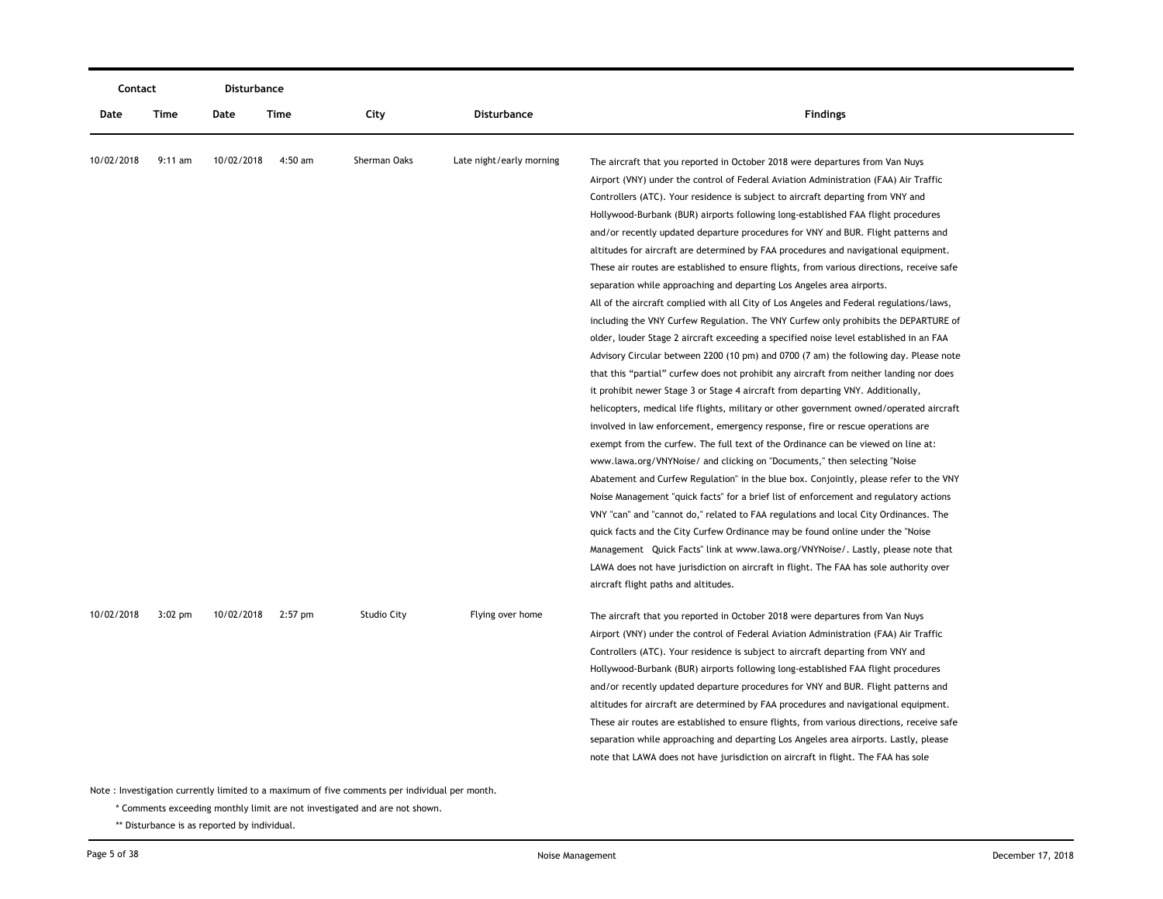|            | Contact   |            | <b>Disturbance</b> |                                                                                                                                                                             |                          |                                                                                                                                                                                                                                                                                                                                                                                                                                                                                                                                                                                                                                                                                                                                                                                                                                                                                                                                                                                                                                                                                                                                                                                                                                                                                                                                                                                                                                                                                                                                                                                                                                                                                                                                                                                                                                                                                                                                                                                                                                                                                                                                                                                   |
|------------|-----------|------------|--------------------|-----------------------------------------------------------------------------------------------------------------------------------------------------------------------------|--------------------------|-----------------------------------------------------------------------------------------------------------------------------------------------------------------------------------------------------------------------------------------------------------------------------------------------------------------------------------------------------------------------------------------------------------------------------------------------------------------------------------------------------------------------------------------------------------------------------------------------------------------------------------------------------------------------------------------------------------------------------------------------------------------------------------------------------------------------------------------------------------------------------------------------------------------------------------------------------------------------------------------------------------------------------------------------------------------------------------------------------------------------------------------------------------------------------------------------------------------------------------------------------------------------------------------------------------------------------------------------------------------------------------------------------------------------------------------------------------------------------------------------------------------------------------------------------------------------------------------------------------------------------------------------------------------------------------------------------------------------------------------------------------------------------------------------------------------------------------------------------------------------------------------------------------------------------------------------------------------------------------------------------------------------------------------------------------------------------------------------------------------------------------------------------------------------------------|
| Date       | Time      | Date       | Time               | City                                                                                                                                                                        | <b>Disturbance</b>       | <b>Findings</b>                                                                                                                                                                                                                                                                                                                                                                                                                                                                                                                                                                                                                                                                                                                                                                                                                                                                                                                                                                                                                                                                                                                                                                                                                                                                                                                                                                                                                                                                                                                                                                                                                                                                                                                                                                                                                                                                                                                                                                                                                                                                                                                                                                   |
| 10/02/2018 | $9:11$ am | 10/02/2018 | 4:50 am            | Sherman Oaks                                                                                                                                                                | Late night/early morning | The aircraft that you reported in October 2018 were departures from Van Nuys<br>Airport (VNY) under the control of Federal Aviation Administration (FAA) Air Traffic<br>Controllers (ATC). Your residence is subject to aircraft departing from VNY and<br>Hollywood-Burbank (BUR) airports following long-established FAA flight procedures<br>and/or recently updated departure procedures for VNY and BUR. Flight patterns and<br>altitudes for aircraft are determined by FAA procedures and navigational equipment.<br>These air routes are established to ensure flights, from various directions, receive safe<br>separation while approaching and departing Los Angeles area airports.<br>All of the aircraft complied with all City of Los Angeles and Federal regulations/laws,<br>including the VNY Curfew Regulation. The VNY Curfew only prohibits the DEPARTURE of<br>older, louder Stage 2 aircraft exceeding a specified noise level established in an FAA<br>Advisory Circular between 2200 (10 pm) and 0700 (7 am) the following day. Please note<br>that this "partial" curfew does not prohibit any aircraft from neither landing nor does<br>it prohibit newer Stage 3 or Stage 4 aircraft from departing VNY. Additionally,<br>helicopters, medical life flights, military or other government owned/operated aircraft<br>involved in law enforcement, emergency response, fire or rescue operations are<br>exempt from the curfew. The full text of the Ordinance can be viewed on line at:<br>www.lawa.org/VNYNoise/ and clicking on "Documents," then selecting "Noise<br>Abatement and Curfew Regulation" in the blue box. Conjointly, please refer to the VNY<br>Noise Management "quick facts" for a brief list of enforcement and regulatory actions<br>VNY "can" and "cannot do," related to FAA regulations and local City Ordinances. The<br>quick facts and the City Curfew Ordinance may be found online under the "Noise<br>Management Quick Facts" link at www.lawa.org/VNYNoise/. Lastly, please note that<br>LAWA does not have jurisdiction on aircraft in flight. The FAA has sole authority over<br>aircraft flight paths and altitudes. |
| 10/02/2018 | $3:02$ pm | 10/02/2018 | 2:57 pm            | <b>Studio City</b>                                                                                                                                                          | Flying over home         | The aircraft that you reported in October 2018 were departures from Van Nuys<br>Airport (VNY) under the control of Federal Aviation Administration (FAA) Air Traffic<br>Controllers (ATC). Your residence is subject to aircraft departing from VNY and<br>Hollywood-Burbank (BUR) airports following long-established FAA flight procedures<br>and/or recently updated departure procedures for VNY and BUR. Flight patterns and<br>altitudes for aircraft are determined by FAA procedures and navigational equipment.<br>These air routes are established to ensure flights, from various directions, receive safe<br>separation while approaching and departing Los Angeles area airports. Lastly, please<br>note that LAWA does not have jurisdiction on aircraft in flight. The FAA has sole                                                                                                                                                                                                                                                                                                                                                                                                                                                                                                                                                                                                                                                                                                                                                                                                                                                                                                                                                                                                                                                                                                                                                                                                                                                                                                                                                                                |
|            |           |            |                    | Note: Investigation currently limited to a maximum of five comments per individual per month.<br>* Comments exceeding monthly limit are not investigated and are not shown. |                          |                                                                                                                                                                                                                                                                                                                                                                                                                                                                                                                                                                                                                                                                                                                                                                                                                                                                                                                                                                                                                                                                                                                                                                                                                                                                                                                                                                                                                                                                                                                                                                                                                                                                                                                                                                                                                                                                                                                                                                                                                                                                                                                                                                                   |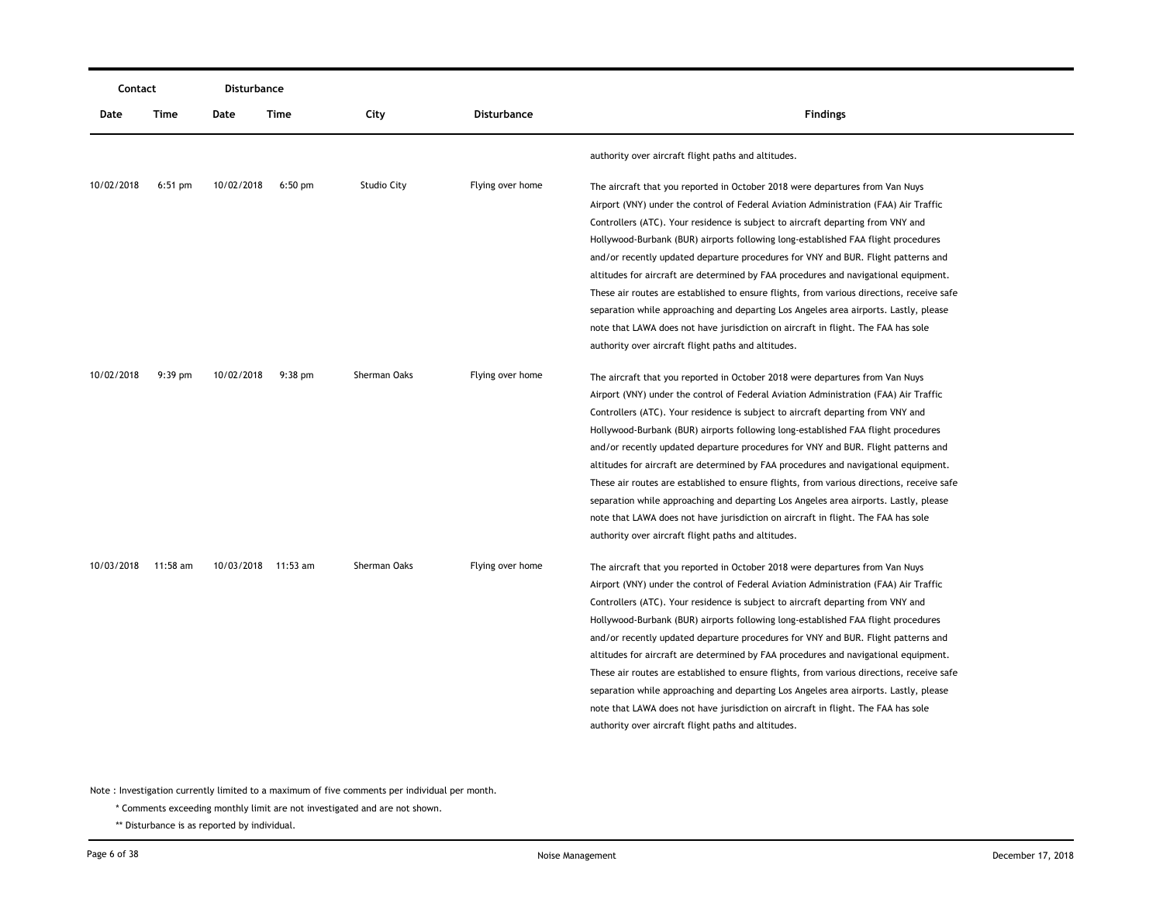|            | Contact   |            | Disturbance         |                    |                    |                                                                                                                                                                                                                                                                                                                                                                                                                                                                                                                                                                                                                                                                                                                                                                                                                                                                                                                  |
|------------|-----------|------------|---------------------|--------------------|--------------------|------------------------------------------------------------------------------------------------------------------------------------------------------------------------------------------------------------------------------------------------------------------------------------------------------------------------------------------------------------------------------------------------------------------------------------------------------------------------------------------------------------------------------------------------------------------------------------------------------------------------------------------------------------------------------------------------------------------------------------------------------------------------------------------------------------------------------------------------------------------------------------------------------------------|
| Date       | Time      | Date       | Time                | City               | <b>Disturbance</b> | <b>Findings</b>                                                                                                                                                                                                                                                                                                                                                                                                                                                                                                                                                                                                                                                                                                                                                                                                                                                                                                  |
|            |           |            |                     |                    |                    | authority over aircraft flight paths and altitudes.                                                                                                                                                                                                                                                                                                                                                                                                                                                                                                                                                                                                                                                                                                                                                                                                                                                              |
| 10/02/2018 | $6:51$ pm | 10/02/2018 | $6:50$ pm           | <b>Studio City</b> | Flying over home   | The aircraft that you reported in October 2018 were departures from Van Nuys<br>Airport (VNY) under the control of Federal Aviation Administration (FAA) Air Traffic<br>Controllers (ATC). Your residence is subject to aircraft departing from VNY and<br>Hollywood-Burbank (BUR) airports following long-established FAA flight procedures<br>and/or recently updated departure procedures for VNY and BUR. Flight patterns and<br>altitudes for aircraft are determined by FAA procedures and navigational equipment.<br>These air routes are established to ensure flights, from various directions, receive safe<br>separation while approaching and departing Los Angeles area airports. Lastly, please<br>note that LAWA does not have jurisdiction on aircraft in flight. The FAA has sole                                                                                                               |
| 10/02/2018 | $9:39$ pm | 10/02/2018 | $9:38$ pm           | Sherman Oaks       | Flying over home   | authority over aircraft flight paths and altitudes.<br>The aircraft that you reported in October 2018 were departures from Van Nuys<br>Airport (VNY) under the control of Federal Aviation Administration (FAA) Air Traffic<br>Controllers (ATC). Your residence is subject to aircraft departing from VNY and<br>Hollywood-Burbank (BUR) airports following long-established FAA flight procedures<br>and/or recently updated departure procedures for VNY and BUR. Flight patterns and<br>altitudes for aircraft are determined by FAA procedures and navigational equipment.<br>These air routes are established to ensure flights, from various directions, receive safe<br>separation while approaching and departing Los Angeles area airports. Lastly, please<br>note that LAWA does not have jurisdiction on aircraft in flight. The FAA has sole<br>authority over aircraft flight paths and altitudes. |
| 10/03/2018 | 11:58 am  |            | 10/03/2018 11:53 am | Sherman Oaks       | Flying over home   | The aircraft that you reported in October 2018 were departures from Van Nuys<br>Airport (VNY) under the control of Federal Aviation Administration (FAA) Air Traffic<br>Controllers (ATC). Your residence is subject to aircraft departing from VNY and<br>Hollywood-Burbank (BUR) airports following long-established FAA flight procedures<br>and/or recently updated departure procedures for VNY and BUR. Flight patterns and<br>altitudes for aircraft are determined by FAA procedures and navigational equipment.<br>These air routes are established to ensure flights, from various directions, receive safe<br>separation while approaching and departing Los Angeles area airports. Lastly, please<br>note that LAWA does not have jurisdiction on aircraft in flight. The FAA has sole<br>authority over aircraft flight paths and altitudes.                                                        |

\* Comments exceeding monthly limit are not investigated and are not shown.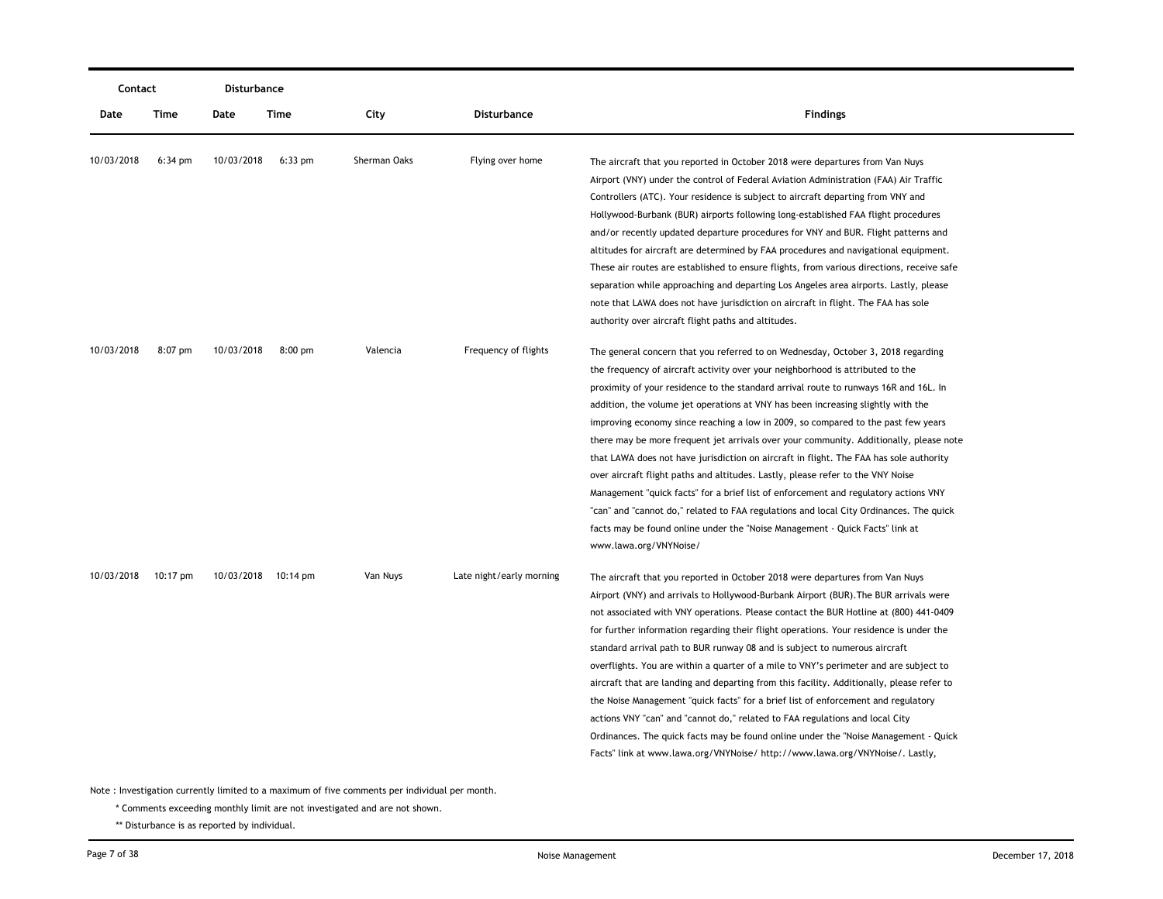| Contact    |                   | Disturbance |                     |              |                          |                                                                                                                                                                                                                                                                                                                                                                                                                                                                                                                                                                                                                                                                                                                                                                                                                                                                                                                                                                                                       |
|------------|-------------------|-------------|---------------------|--------------|--------------------------|-------------------------------------------------------------------------------------------------------------------------------------------------------------------------------------------------------------------------------------------------------------------------------------------------------------------------------------------------------------------------------------------------------------------------------------------------------------------------------------------------------------------------------------------------------------------------------------------------------------------------------------------------------------------------------------------------------------------------------------------------------------------------------------------------------------------------------------------------------------------------------------------------------------------------------------------------------------------------------------------------------|
| Date       | Time              | Date        | Time                | City         | Disturbance              | <b>Findings</b>                                                                                                                                                                                                                                                                                                                                                                                                                                                                                                                                                                                                                                                                                                                                                                                                                                                                                                                                                                                       |
| 10/03/2018 | $6:34 \text{ pm}$ | 10/03/2018  | $6:33$ pm           | Sherman Oaks | Flying over home         | The aircraft that you reported in October 2018 were departures from Van Nuys<br>Airport (VNY) under the control of Federal Aviation Administration (FAA) Air Traffic<br>Controllers (ATC). Your residence is subject to aircraft departing from VNY and<br>Hollywood-Burbank (BUR) airports following long-established FAA flight procedures<br>and/or recently updated departure procedures for VNY and BUR. Flight patterns and<br>altitudes for aircraft are determined by FAA procedures and navigational equipment.<br>These air routes are established to ensure flights, from various directions, receive safe<br>separation while approaching and departing Los Angeles area airports. Lastly, please<br>note that LAWA does not have jurisdiction on aircraft in flight. The FAA has sole<br>authority over aircraft flight paths and altitudes.                                                                                                                                             |
| 10/03/2018 | $8:07$ pm         | 10/03/2018  | $8:00$ pm           | Valencia     | Frequency of flights     | The general concern that you referred to on Wednesday, October 3, 2018 regarding<br>the frequency of aircraft activity over your neighborhood is attributed to the<br>proximity of your residence to the standard arrival route to runways 16R and 16L. In<br>addition, the volume jet operations at VNY has been increasing slightly with the<br>improving economy since reaching a low in 2009, so compared to the past few years<br>there may be more frequent jet arrivals over your community. Additionally, please note<br>that LAWA does not have jurisdiction on aircraft in flight. The FAA has sole authority<br>over aircraft flight paths and altitudes. Lastly, please refer to the VNY Noise<br>Management "quick facts" for a brief list of enforcement and regulatory actions VNY<br>"can" and "cannot do," related to FAA regulations and local City Ordinances. The quick<br>facts may be found online under the "Noise Management - Quick Facts" link at<br>www.lawa.org/VNYNoise/ |
| 10/03/2018 | 10:17 pm          |             | 10/03/2018 10:14 pm | Van Nuys     | Late night/early morning | The aircraft that you reported in October 2018 were departures from Van Nuys<br>Airport (VNY) and arrivals to Hollywood-Burbank Airport (BUR). The BUR arrivals were<br>not associated with VNY operations. Please contact the BUR Hotline at (800) 441-0409<br>for further information regarding their flight operations. Your residence is under the<br>standard arrival path to BUR runway 08 and is subject to numerous aircraft<br>overflights. You are within a quarter of a mile to VNY's perimeter and are subject to<br>aircraft that are landing and departing from this facility. Additionally, please refer to<br>the Noise Management "quick facts" for a brief list of enforcement and regulatory<br>actions VNY "can" and "cannot do," related to FAA regulations and local City<br>Ordinances. The quick facts may be found online under the "Noise Management - Quick<br>Facts" link at www.lawa.org/VNYNoise/ http://www.lawa.org/VNYNoise/. Lastly,                                |

\* Comments exceeding monthly limit are not investigated and are not shown.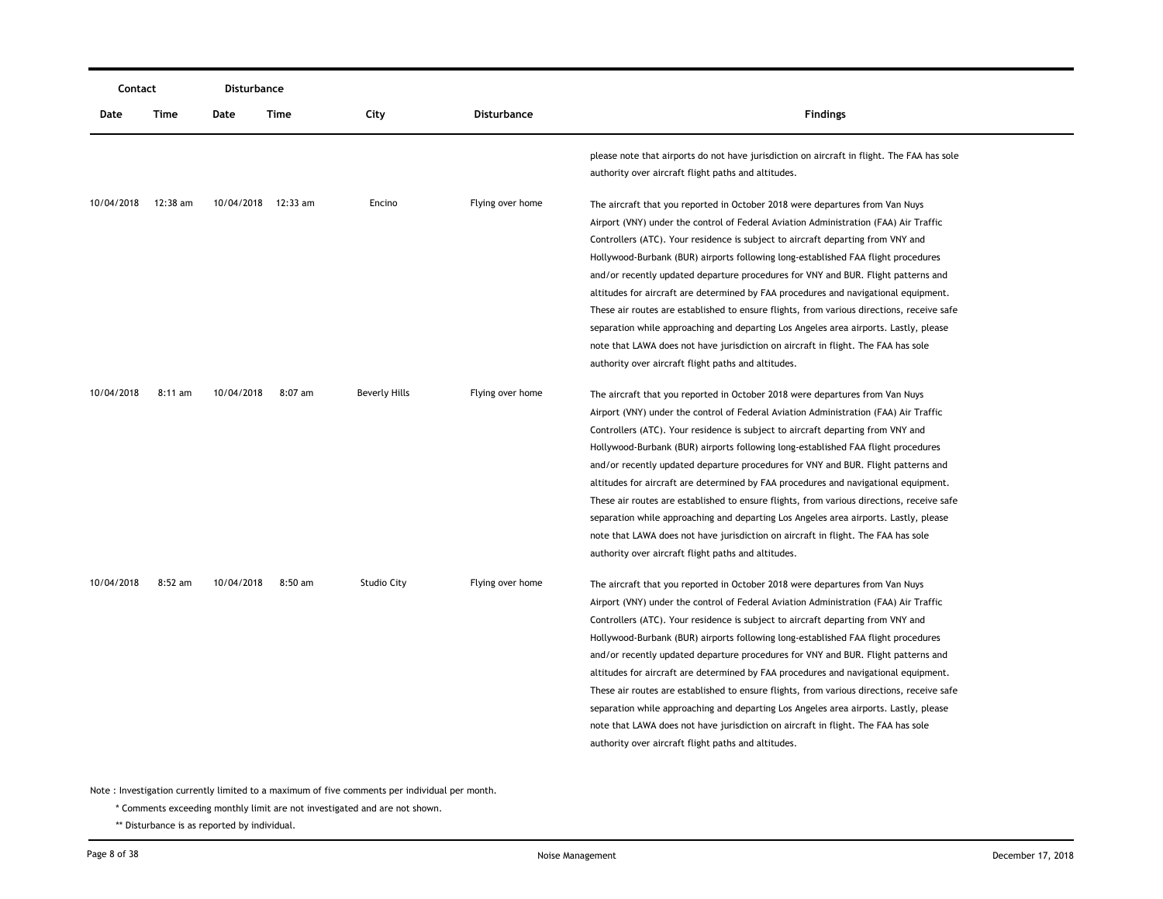|            | Contact   |            | Disturbance         |                    |                  |                                                                                                                                                                                                                                                                                                                                                                                                                                                                                                                                                                                                                                                                                                                                                                                                                                                           |
|------------|-----------|------------|---------------------|--------------------|------------------|-----------------------------------------------------------------------------------------------------------------------------------------------------------------------------------------------------------------------------------------------------------------------------------------------------------------------------------------------------------------------------------------------------------------------------------------------------------------------------------------------------------------------------------------------------------------------------------------------------------------------------------------------------------------------------------------------------------------------------------------------------------------------------------------------------------------------------------------------------------|
| Date       | Time      | Date       | Time                | City               | Disturbance      | <b>Findings</b>                                                                                                                                                                                                                                                                                                                                                                                                                                                                                                                                                                                                                                                                                                                                                                                                                                           |
|            |           |            |                     |                    |                  | please note that airports do not have jurisdiction on aircraft in flight. The FAA has sole<br>authority over aircraft flight paths and altitudes.                                                                                                                                                                                                                                                                                                                                                                                                                                                                                                                                                                                                                                                                                                         |
| 10/04/2018 | 12:38 am  |            | 10/04/2018 12:33 am | Encino             | Flying over home | The aircraft that you reported in October 2018 were departures from Van Nuys<br>Airport (VNY) under the control of Federal Aviation Administration (FAA) Air Traffic<br>Controllers (ATC). Your residence is subject to aircraft departing from VNY and<br>Hollywood-Burbank (BUR) airports following long-established FAA flight procedures<br>and/or recently updated departure procedures for VNY and BUR. Flight patterns and<br>altitudes for aircraft are determined by FAA procedures and navigational equipment.<br>These air routes are established to ensure flights, from various directions, receive safe<br>separation while approaching and departing Los Angeles area airports. Lastly, please<br>note that LAWA does not have jurisdiction on aircraft in flight. The FAA has sole<br>authority over aircraft flight paths and altitudes. |
| 10/04/2018 | $8:11$ am | 10/04/2018 | $8:07$ am           | Beverly Hills      | Flying over home | The aircraft that you reported in October 2018 were departures from Van Nuys<br>Airport (VNY) under the control of Federal Aviation Administration (FAA) Air Traffic<br>Controllers (ATC). Your residence is subject to aircraft departing from VNY and<br>Hollywood-Burbank (BUR) airports following long-established FAA flight procedures<br>and/or recently updated departure procedures for VNY and BUR. Flight patterns and<br>altitudes for aircraft are determined by FAA procedures and navigational equipment.<br>These air routes are established to ensure flights, from various directions, receive safe<br>separation while approaching and departing Los Angeles area airports. Lastly, please<br>note that LAWA does not have jurisdiction on aircraft in flight. The FAA has sole<br>authority over aircraft flight paths and altitudes. |
| 10/04/2018 | 8:52 am   | 10/04/2018 | $8:50$ am           | <b>Studio City</b> | Flying over home | The aircraft that you reported in October 2018 were departures from Van Nuys<br>Airport (VNY) under the control of Federal Aviation Administration (FAA) Air Traffic<br>Controllers (ATC). Your residence is subject to aircraft departing from VNY and<br>Hollywood-Burbank (BUR) airports following long-established FAA flight procedures<br>and/or recently updated departure procedures for VNY and BUR. Flight patterns and<br>altitudes for aircraft are determined by FAA procedures and navigational equipment.<br>These air routes are established to ensure flights, from various directions, receive safe<br>separation while approaching and departing Los Angeles area airports. Lastly, please<br>note that LAWA does not have jurisdiction on aircraft in flight. The FAA has sole<br>authority over aircraft flight paths and altitudes. |

\* Comments exceeding monthly limit are not investigated and are not shown.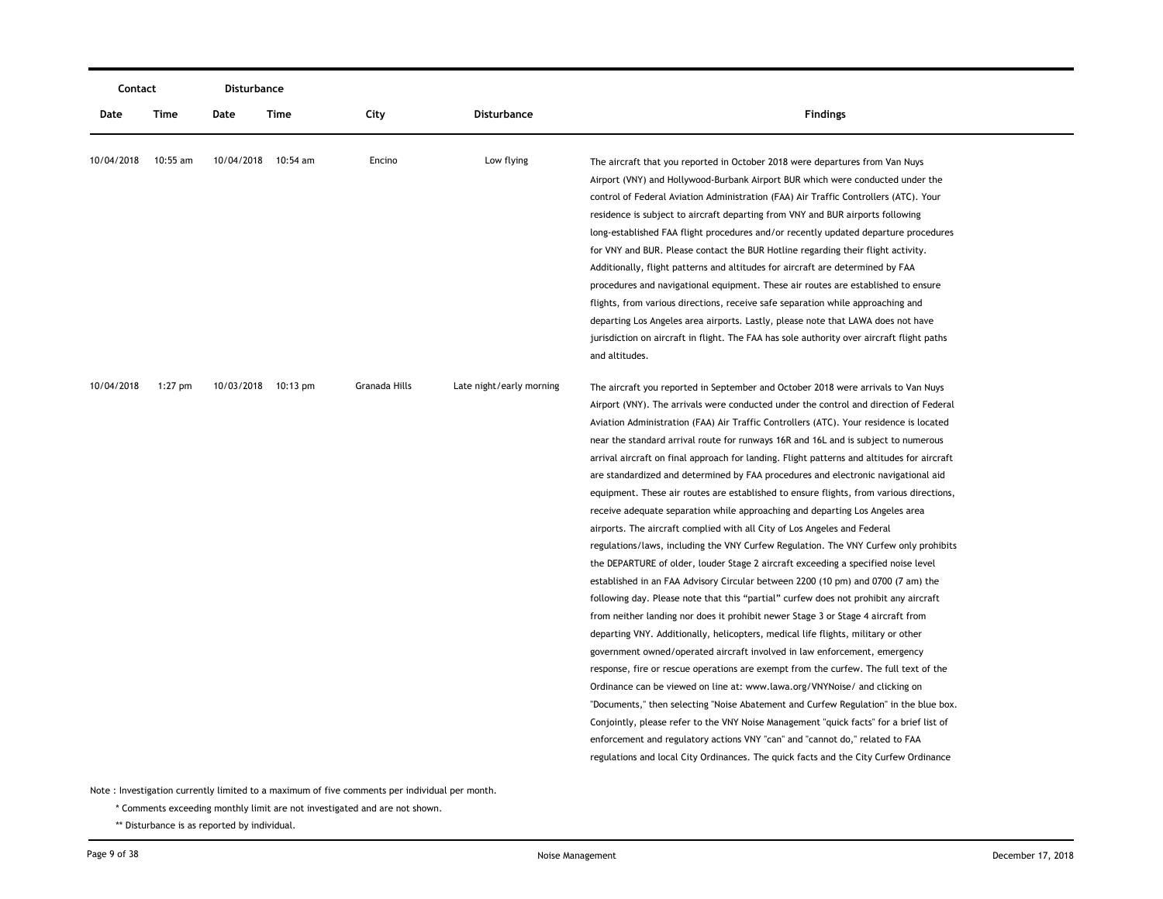|            | Contact    |      | Disturbance         |               |                          |                                                                                                                                                                                                                                                                                                                                                                                                                                                                                                                                                                                                                                                                                                                                                                                                                                                                                                                                                                                                                                                                                                                                                                                                                                                                                                                                                                                                                                                                                                                                                                                                                                                                                                                                                                                                                                                                                                                                                     |
|------------|------------|------|---------------------|---------------|--------------------------|-----------------------------------------------------------------------------------------------------------------------------------------------------------------------------------------------------------------------------------------------------------------------------------------------------------------------------------------------------------------------------------------------------------------------------------------------------------------------------------------------------------------------------------------------------------------------------------------------------------------------------------------------------------------------------------------------------------------------------------------------------------------------------------------------------------------------------------------------------------------------------------------------------------------------------------------------------------------------------------------------------------------------------------------------------------------------------------------------------------------------------------------------------------------------------------------------------------------------------------------------------------------------------------------------------------------------------------------------------------------------------------------------------------------------------------------------------------------------------------------------------------------------------------------------------------------------------------------------------------------------------------------------------------------------------------------------------------------------------------------------------------------------------------------------------------------------------------------------------------------------------------------------------------------------------------------------------|
| Date       | Time       | Date | Time                | City          | Disturbance              | <b>Findings</b>                                                                                                                                                                                                                                                                                                                                                                                                                                                                                                                                                                                                                                                                                                                                                                                                                                                                                                                                                                                                                                                                                                                                                                                                                                                                                                                                                                                                                                                                                                                                                                                                                                                                                                                                                                                                                                                                                                                                     |
| 10/04/2018 | $10:55$ am |      | 10/04/2018 10:54 am | Encino        | Low flying               | The aircraft that you reported in October 2018 were departures from Van Nuys<br>Airport (VNY) and Hollywood-Burbank Airport BUR which were conducted under the<br>control of Federal Aviation Administration (FAA) Air Traffic Controllers (ATC). Your<br>residence is subject to aircraft departing from VNY and BUR airports following<br>long-established FAA flight procedures and/or recently updated departure procedures<br>for VNY and BUR. Please contact the BUR Hotline regarding their flight activity.<br>Additionally, flight patterns and altitudes for aircraft are determined by FAA<br>procedures and navigational equipment. These air routes are established to ensure<br>flights, from various directions, receive safe separation while approaching and<br>departing Los Angeles area airports. Lastly, please note that LAWA does not have<br>jurisdiction on aircraft in flight. The FAA has sole authority over aircraft flight paths<br>and altitudes.                                                                                                                                                                                                                                                                                                                                                                                                                                                                                                                                                                                                                                                                                                                                                                                                                                                                                                                                                                    |
| 10/04/2018 | $1:27$ pm  |      | 10/03/2018 10:13 pm | Granada Hills | Late night/early morning | The aircraft you reported in September and October 2018 were arrivals to Van Nuys<br>Airport (VNY). The arrivals were conducted under the control and direction of Federal<br>Aviation Administration (FAA) Air Traffic Controllers (ATC). Your residence is located<br>near the standard arrival route for runways 16R and 16L and is subject to numerous<br>arrival aircraft on final approach for landing. Flight patterns and altitudes for aircraft<br>are standardized and determined by FAA procedures and electronic navigational aid<br>equipment. These air routes are established to ensure flights, from various directions,<br>receive adequate separation while approaching and departing Los Angeles area<br>airports. The aircraft complied with all City of Los Angeles and Federal<br>regulations/laws, including the VNY Curfew Regulation. The VNY Curfew only prohibits<br>the DEPARTURE of older, louder Stage 2 aircraft exceeding a specified noise level<br>established in an FAA Advisory Circular between 2200 (10 pm) and 0700 (7 am) the<br>following day. Please note that this "partial" curfew does not prohibit any aircraft<br>from neither landing nor does it prohibit newer Stage 3 or Stage 4 aircraft from<br>departing VNY. Additionally, helicopters, medical life flights, military or other<br>government owned/operated aircraft involved in law enforcement, emergency<br>response, fire or rescue operations are exempt from the curfew. The full text of the<br>Ordinance can be viewed on line at: www.lawa.org/VNYNoise/ and clicking on<br>"Documents," then selecting "Noise Abatement and Curfew Regulation" in the blue box.<br>Conjointly, please refer to the VNY Noise Management "quick facts" for a brief list of<br>enforcement and regulatory actions VNY "can" and "cannot do," related to FAA<br>regulations and local City Ordinances. The quick facts and the City Curfew Ordinance |

\* Comments exceeding monthly limit are not investigated and are not shown.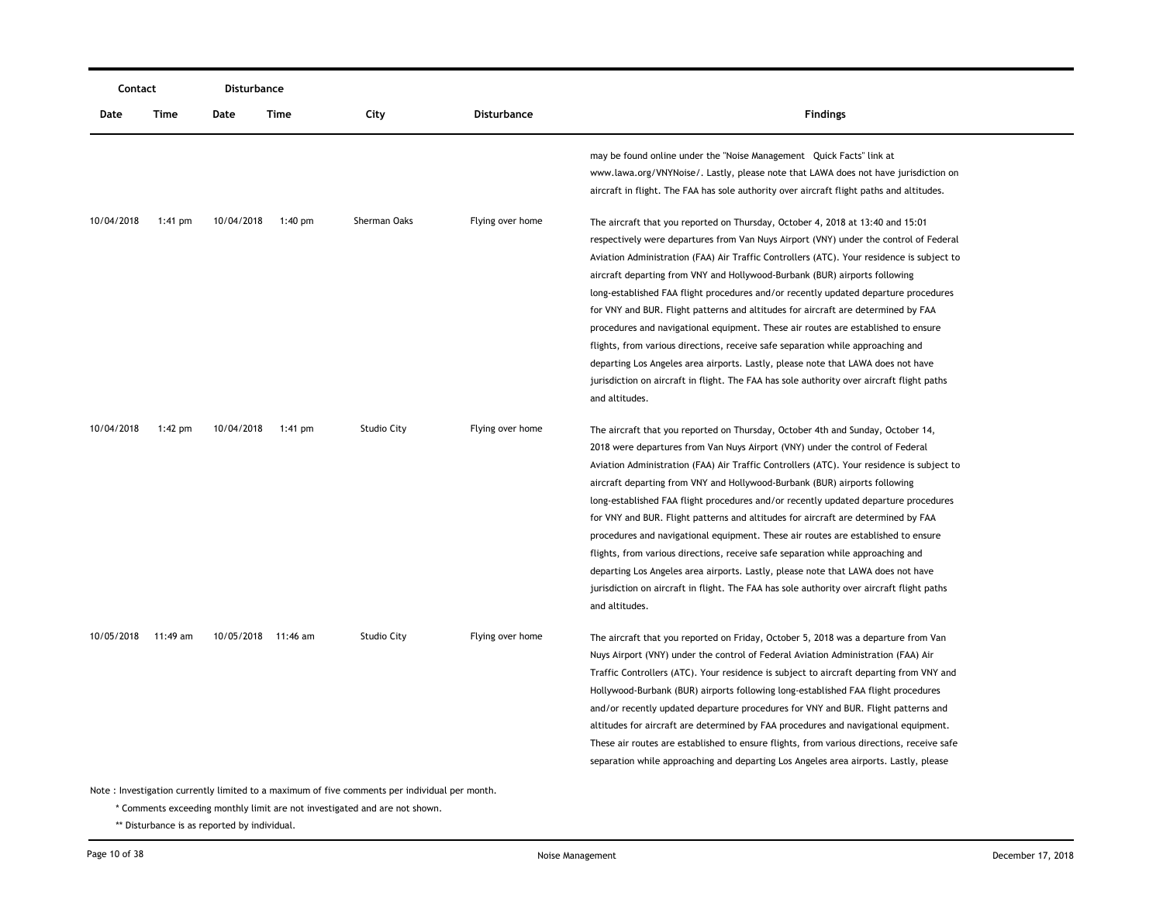| Contact    |           | Disturbance         |           |                                                                                               |                  |                                                                                                                                                                                                                                                                                                                                                                                                                                                                                                                                                                                                                                                                                                                                                                                                                                                                                                    |
|------------|-----------|---------------------|-----------|-----------------------------------------------------------------------------------------------|------------------|----------------------------------------------------------------------------------------------------------------------------------------------------------------------------------------------------------------------------------------------------------------------------------------------------------------------------------------------------------------------------------------------------------------------------------------------------------------------------------------------------------------------------------------------------------------------------------------------------------------------------------------------------------------------------------------------------------------------------------------------------------------------------------------------------------------------------------------------------------------------------------------------------|
| Date       | Time      | Date                | Time      | City                                                                                          | Disturbance      | <b>Findings</b>                                                                                                                                                                                                                                                                                                                                                                                                                                                                                                                                                                                                                                                                                                                                                                                                                                                                                    |
|            |           |                     |           |                                                                                               |                  | may be found online under the "Noise Management Quick Facts" link at<br>www.lawa.org/VNYNoise/. Lastly, please note that LAWA does not have jurisdiction on<br>aircraft in flight. The FAA has sole authority over aircraft flight paths and altitudes.                                                                                                                                                                                                                                                                                                                                                                                                                                                                                                                                                                                                                                            |
| 10/04/2018 | 1:41 pm   | 10/04/2018          | $1:40$ pm | Sherman Oaks                                                                                  | Flying over home | The aircraft that you reported on Thursday, October 4, 2018 at 13:40 and 15:01<br>respectively were departures from Van Nuys Airport (VNY) under the control of Federal<br>Aviation Administration (FAA) Air Traffic Controllers (ATC). Your residence is subject to<br>aircraft departing from VNY and Hollywood-Burbank (BUR) airports following<br>long-established FAA flight procedures and/or recently updated departure procedures<br>for VNY and BUR. Flight patterns and altitudes for aircraft are determined by FAA<br>procedures and navigational equipment. These air routes are established to ensure                                                                                                                                                                                                                                                                                |
|            |           |                     |           |                                                                                               |                  | flights, from various directions, receive safe separation while approaching and<br>departing Los Angeles area airports. Lastly, please note that LAWA does not have<br>jurisdiction on aircraft in flight. The FAA has sole authority over aircraft flight paths<br>and altitudes.                                                                                                                                                                                                                                                                                                                                                                                                                                                                                                                                                                                                                 |
| 10/04/2018 | $1:42$ pm | 10/04/2018          | 1:41 pm   | <b>Studio City</b>                                                                            | Flying over home | The aircraft that you reported on Thursday, October 4th and Sunday, October 14,<br>2018 were departures from Van Nuys Airport (VNY) under the control of Federal<br>Aviation Administration (FAA) Air Traffic Controllers (ATC). Your residence is subject to<br>aircraft departing from VNY and Hollywood-Burbank (BUR) airports following<br>long-established FAA flight procedures and/or recently updated departure procedures<br>for VNY and BUR. Flight patterns and altitudes for aircraft are determined by FAA<br>procedures and navigational equipment. These air routes are established to ensure<br>flights, from various directions, receive safe separation while approaching and<br>departing Los Angeles area airports. Lastly, please note that LAWA does not have<br>jurisdiction on aircraft in flight. The FAA has sole authority over aircraft flight paths<br>and altitudes. |
| 10/05/2018 | 11:49 am  | 10/05/2018 11:46 am |           | <b>Studio City</b>                                                                            | Flying over home | The aircraft that you reported on Friday, October 5, 2018 was a departure from Van<br>Nuys Airport (VNY) under the control of Federal Aviation Administration (FAA) Air<br>Traffic Controllers (ATC). Your residence is subject to aircraft departing from VNY and<br>Hollywood-Burbank (BUR) airports following long-established FAA flight procedures<br>and/or recently updated departure procedures for VNY and BUR. Flight patterns and<br>altitudes for aircraft are determined by FAA procedures and navigational equipment.<br>These air routes are established to ensure flights, from various directions, receive safe<br>separation while approaching and departing Los Angeles area airports. Lastly, please                                                                                                                                                                           |
|            |           |                     |           | Note: Investigation currently limited to a maximum of five comments per individual per month. |                  |                                                                                                                                                                                                                                                                                                                                                                                                                                                                                                                                                                                                                                                                                                                                                                                                                                                                                                    |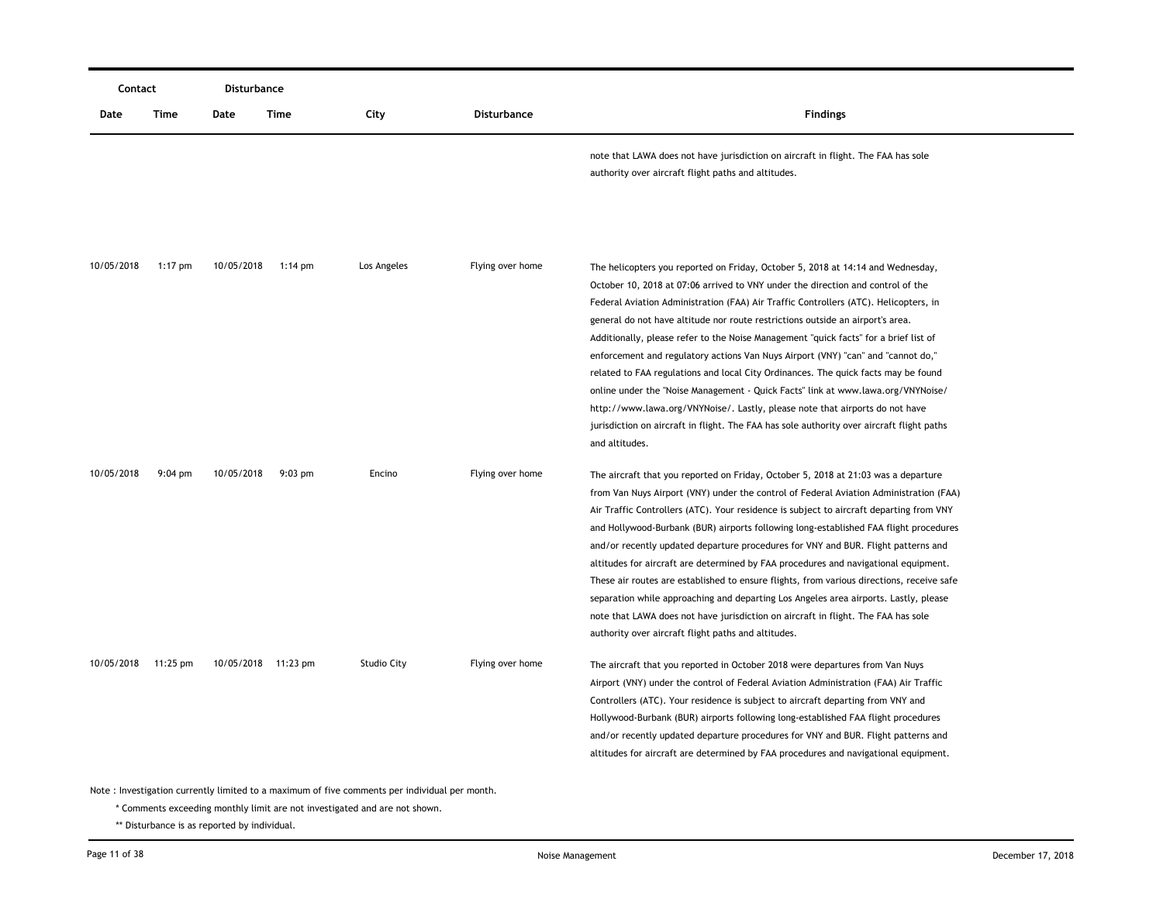|            | Contact           |                     | Disturbance |                    |                  |                                                                                                                                                                                                                                                                                                                                                                                                                                                                                                                                                                                                                                                                                                                                                                                                                                                                                                   |
|------------|-------------------|---------------------|-------------|--------------------|------------------|---------------------------------------------------------------------------------------------------------------------------------------------------------------------------------------------------------------------------------------------------------------------------------------------------------------------------------------------------------------------------------------------------------------------------------------------------------------------------------------------------------------------------------------------------------------------------------------------------------------------------------------------------------------------------------------------------------------------------------------------------------------------------------------------------------------------------------------------------------------------------------------------------|
| Date       | Time              | Date                | Time        | City               | Disturbance      | <b>Findings</b>                                                                                                                                                                                                                                                                                                                                                                                                                                                                                                                                                                                                                                                                                                                                                                                                                                                                                   |
|            |                   |                     |             |                    |                  | note that LAWA does not have jurisdiction on aircraft in flight. The FAA has sole<br>authority over aircraft flight paths and altitudes.                                                                                                                                                                                                                                                                                                                                                                                                                                                                                                                                                                                                                                                                                                                                                          |
| 10/05/2018 | $1:17$ pm         | 10/05/2018          | $1:14$ pm   | Los Angeles        | Flying over home | The helicopters you reported on Friday, October 5, 2018 at 14:14 and Wednesday,<br>October 10, 2018 at 07:06 arrived to VNY under the direction and control of the<br>Federal Aviation Administration (FAA) Air Traffic Controllers (ATC). Helicopters, in<br>general do not have altitude nor route restrictions outside an airport's area.<br>Additionally, please refer to the Noise Management "quick facts" for a brief list of<br>enforcement and regulatory actions Van Nuys Airport (VNY) "can" and "cannot do,"<br>related to FAA regulations and local City Ordinances. The quick facts may be found<br>online under the "Noise Management - Quick Facts" link at www.lawa.org/VNYNoise/<br>http://www.lawa.org/VNYNoise/. Lastly, please note that airports do not have<br>jurisdiction on aircraft in flight. The FAA has sole authority over aircraft flight paths<br>and altitudes. |
| 10/05/2018 | $9:04 \text{ pm}$ | 10/05/2018          | $9:03$ pm   | Encino             | Flying over home | The aircraft that you reported on Friday, October 5, 2018 at 21:03 was a departure<br>from Van Nuys Airport (VNY) under the control of Federal Aviation Administration (FAA)<br>Air Traffic Controllers (ATC). Your residence is subject to aircraft departing from VNY<br>and Hollywood-Burbank (BUR) airports following long-established FAA flight procedures<br>and/or recently updated departure procedures for VNY and BUR. Flight patterns and<br>altitudes for aircraft are determined by FAA procedures and navigational equipment.<br>These air routes are established to ensure flights, from various directions, receive safe<br>separation while approaching and departing Los Angeles area airports. Lastly, please<br>note that LAWA does not have jurisdiction on aircraft in flight. The FAA has sole<br>authority over aircraft flight paths and altitudes.                     |
| 10/05/2018 | 11:25 pm          | 10/05/2018 11:23 pm |             | <b>Studio City</b> | Flying over home | The aircraft that you reported in October 2018 were departures from Van Nuys<br>Airport (VNY) under the control of Federal Aviation Administration (FAA) Air Traffic<br>Controllers (ATC). Your residence is subject to aircraft departing from VNY and<br>Hollywood-Burbank (BUR) airports following long-established FAA flight procedures<br>and/or recently updated departure procedures for VNY and BUR. Flight patterns and<br>altitudes for aircraft are determined by FAA procedures and navigational equipment.                                                                                                                                                                                                                                                                                                                                                                          |

\* Comments exceeding monthly limit are not investigated and are not shown.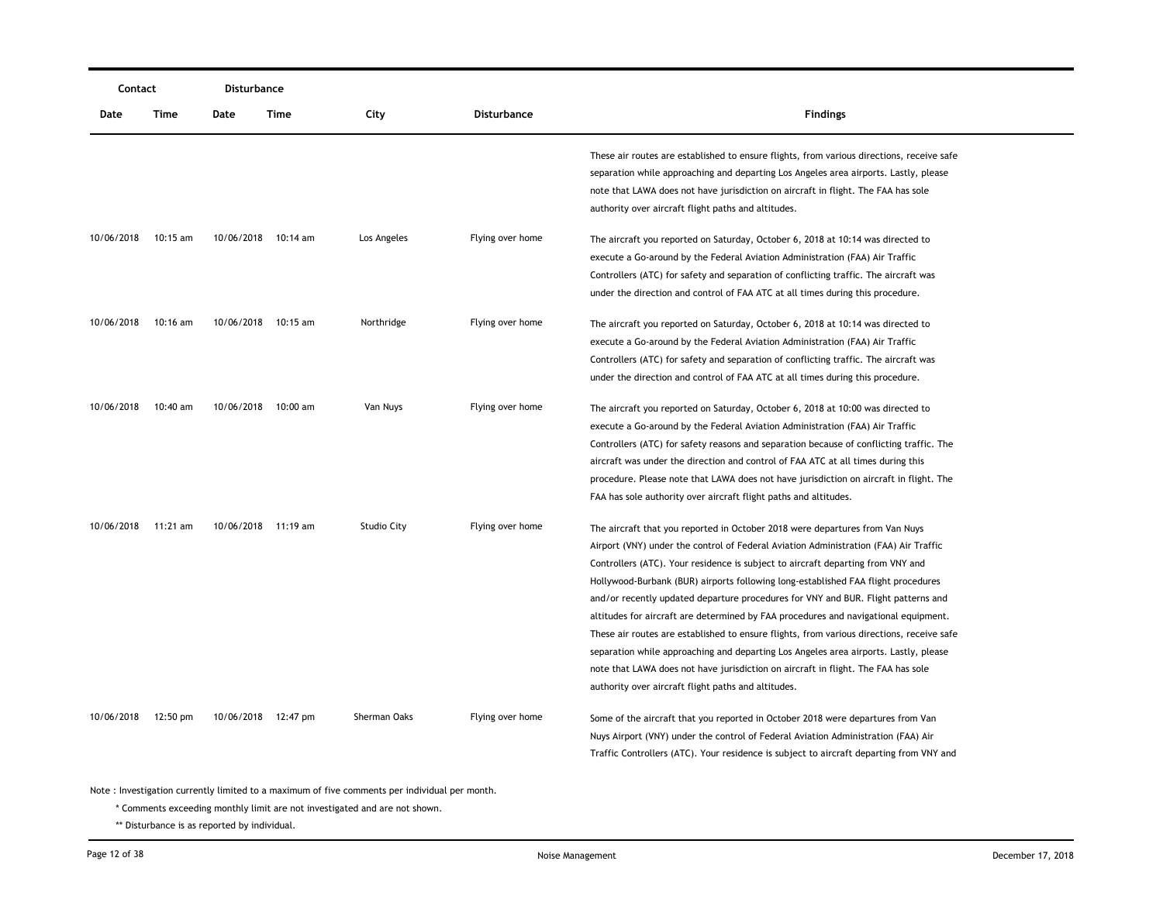|            | Contact    |            | Disturbance         |                    |                    |                                                                                           |
|------------|------------|------------|---------------------|--------------------|--------------------|-------------------------------------------------------------------------------------------|
| Date       | Time       | Date       | Time                | City               | <b>Disturbance</b> | <b>Findings</b>                                                                           |
|            |            |            |                     |                    |                    | These air routes are established to ensure flights, from various directions, receive safe |
|            |            |            |                     |                    |                    | separation while approaching and departing Los Angeles area airports. Lastly, please      |
|            |            |            |                     |                    |                    | note that LAWA does not have jurisdiction on aircraft in flight. The FAA has sole         |
|            |            |            |                     |                    |                    | authority over aircraft flight paths and altitudes.                                       |
| 10/06/2018 | $10:15$ am |            | 10/06/2018 10:14 am | Los Angeles        | Flying over home   | The aircraft you reported on Saturday, October 6, 2018 at 10:14 was directed to           |
|            |            |            |                     |                    |                    | execute a Go-around by the Federal Aviation Administration (FAA) Air Traffic              |
|            |            |            |                     |                    |                    | Controllers (ATC) for safety and separation of conflicting traffic. The aircraft was      |
|            |            |            |                     |                    |                    | under the direction and control of FAA ATC at all times during this procedure.            |
| 10/06/2018 | $10:16$ am | 10/06/2018 | 10:15 am            | Northridge         | Flying over home   | The aircraft you reported on Saturday, October 6, 2018 at 10:14 was directed to           |
|            |            |            |                     |                    |                    | execute a Go-around by the Federal Aviation Administration (FAA) Air Traffic              |
|            |            |            |                     |                    |                    | Controllers (ATC) for safety and separation of conflicting traffic. The aircraft was      |
|            |            |            |                     |                    |                    | under the direction and control of FAA ATC at all times during this procedure.            |
| 10/06/2018 | 10:40 am   | 10/06/2018 | 10:00 am            | Van Nuys           | Flying over home   | The aircraft you reported on Saturday, October 6, 2018 at 10:00 was directed to           |
|            |            |            |                     |                    |                    | execute a Go-around by the Federal Aviation Administration (FAA) Air Traffic              |
|            |            |            |                     |                    |                    | Controllers (ATC) for safety reasons and separation because of conflicting traffic. The   |
|            |            |            |                     |                    |                    | aircraft was under the direction and control of FAA ATC at all times during this          |
|            |            |            |                     |                    |                    | procedure. Please note that LAWA does not have jurisdiction on aircraft in flight. The    |
|            |            |            |                     |                    |                    | FAA has sole authority over aircraft flight paths and altitudes.                          |
| 10/06/2018 | 11:21 am   |            | 10/06/2018 11:19 am | <b>Studio City</b> | Flying over home   | The aircraft that you reported in October 2018 were departures from Van Nuys              |
|            |            |            |                     |                    |                    | Airport (VNY) under the control of Federal Aviation Administration (FAA) Air Traffic      |
|            |            |            |                     |                    |                    | Controllers (ATC). Your residence is subject to aircraft departing from VNY and           |
|            |            |            |                     |                    |                    | Hollywood-Burbank (BUR) airports following long-established FAA flight procedures         |
|            |            |            |                     |                    |                    | and/or recently updated departure procedures for VNY and BUR. Flight patterns and         |
|            |            |            |                     |                    |                    | altitudes for aircraft are determined by FAA procedures and navigational equipment.       |
|            |            |            |                     |                    |                    | These air routes are established to ensure flights, from various directions, receive safe |
|            |            |            |                     |                    |                    | separation while approaching and departing Los Angeles area airports. Lastly, please      |
|            |            |            |                     |                    |                    | note that LAWA does not have jurisdiction on aircraft in flight. The FAA has sole         |
|            |            |            |                     |                    |                    | authority over aircraft flight paths and altitudes.                                       |
| 10/06/2018 | 12:50 pm   |            | 10/06/2018 12:47 pm | Sherman Oaks       | Flying over home   | Some of the aircraft that you reported in October 2018 were departures from Van           |
|            |            |            |                     |                    |                    | Nuys Airport (VNY) under the control of Federal Aviation Administration (FAA) Air         |
|            |            |            |                     |                    |                    | Traffic Controllers (ATC). Your residence is subject to aircraft departing from VNY and   |

\* Comments exceeding monthly limit are not investigated and are not shown.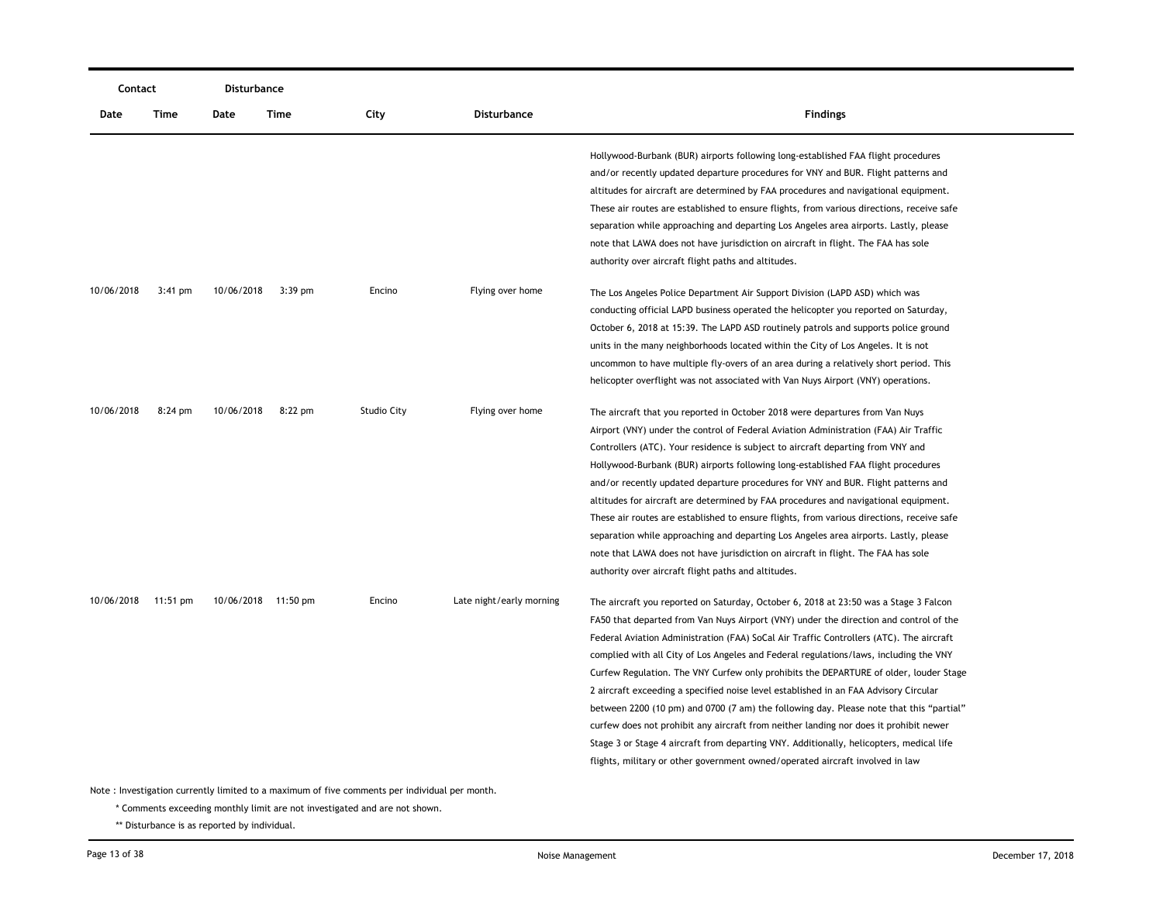|            | Contact   |            | Disturbance         |             |                          |                                                                                                                                                                                                                                                                                                                                                                                                                                                                                                                                                                                                                                                                                                                                                                                                                                                                                                                    |
|------------|-----------|------------|---------------------|-------------|--------------------------|--------------------------------------------------------------------------------------------------------------------------------------------------------------------------------------------------------------------------------------------------------------------------------------------------------------------------------------------------------------------------------------------------------------------------------------------------------------------------------------------------------------------------------------------------------------------------------------------------------------------------------------------------------------------------------------------------------------------------------------------------------------------------------------------------------------------------------------------------------------------------------------------------------------------|
| Date       | Time      | Date       | Time                | City        | Disturbance              | <b>Findings</b>                                                                                                                                                                                                                                                                                                                                                                                                                                                                                                                                                                                                                                                                                                                                                                                                                                                                                                    |
|            |           |            |                     |             |                          | Hollywood-Burbank (BUR) airports following long-established FAA flight procedures<br>and/or recently updated departure procedures for VNY and BUR. Flight patterns and<br>altitudes for aircraft are determined by FAA procedures and navigational equipment.<br>These air routes are established to ensure flights, from various directions, receive safe<br>separation while approaching and departing Los Angeles area airports. Lastly, please<br>note that LAWA does not have jurisdiction on aircraft in flight. The FAA has sole<br>authority over aircraft flight paths and altitudes.                                                                                                                                                                                                                                                                                                                     |
| 10/06/2018 | $3:41$ pm | 10/06/2018 | $3:39$ pm           | Encino      | Flying over home         | The Los Angeles Police Department Air Support Division (LAPD ASD) which was<br>conducting official LAPD business operated the helicopter you reported on Saturday,<br>October 6, 2018 at 15:39. The LAPD ASD routinely patrols and supports police ground<br>units in the many neighborhoods located within the City of Los Angeles. It is not<br>uncommon to have multiple fly-overs of an area during a relatively short period. This<br>helicopter overflight was not associated with Van Nuys Airport (VNY) operations.                                                                                                                                                                                                                                                                                                                                                                                        |
| 10/06/2018 | $8:24$ pm | 10/06/2018 | $8:22$ pm           | Studio City | Flying over home         | The aircraft that you reported in October 2018 were departures from Van Nuys<br>Airport (VNY) under the control of Federal Aviation Administration (FAA) Air Traffic<br>Controllers (ATC). Your residence is subject to aircraft departing from VNY and<br>Hollywood-Burbank (BUR) airports following long-established FAA flight procedures<br>and/or recently updated departure procedures for VNY and BUR. Flight patterns and<br>altitudes for aircraft are determined by FAA procedures and navigational equipment.<br>These air routes are established to ensure flights, from various directions, receive safe<br>separation while approaching and departing Los Angeles area airports. Lastly, please<br>note that LAWA does not have jurisdiction on aircraft in flight. The FAA has sole<br>authority over aircraft flight paths and altitudes.                                                          |
| 10/06/2018 | 11:51 pm  |            | 10/06/2018 11:50 pm | Encino      | Late night/early morning | The aircraft you reported on Saturday, October 6, 2018 at 23:50 was a Stage 3 Falcon<br>FA50 that departed from Van Nuys Airport (VNY) under the direction and control of the<br>Federal Aviation Administration (FAA) SoCal Air Traffic Controllers (ATC). The aircraft<br>complied with all City of Los Angeles and Federal regulations/laws, including the VNY<br>Curfew Regulation. The VNY Curfew only prohibits the DEPARTURE of older, louder Stage<br>2 aircraft exceeding a specified noise level established in an FAA Advisory Circular<br>between 2200 (10 pm) and 0700 (7 am) the following day. Please note that this "partial"<br>curfew does not prohibit any aircraft from neither landing nor does it prohibit newer<br>Stage 3 or Stage 4 aircraft from departing VNY. Additionally, helicopters, medical life<br>flights, military or other government owned/operated aircraft involved in law |

\* Comments exceeding monthly limit are not investigated and are not shown.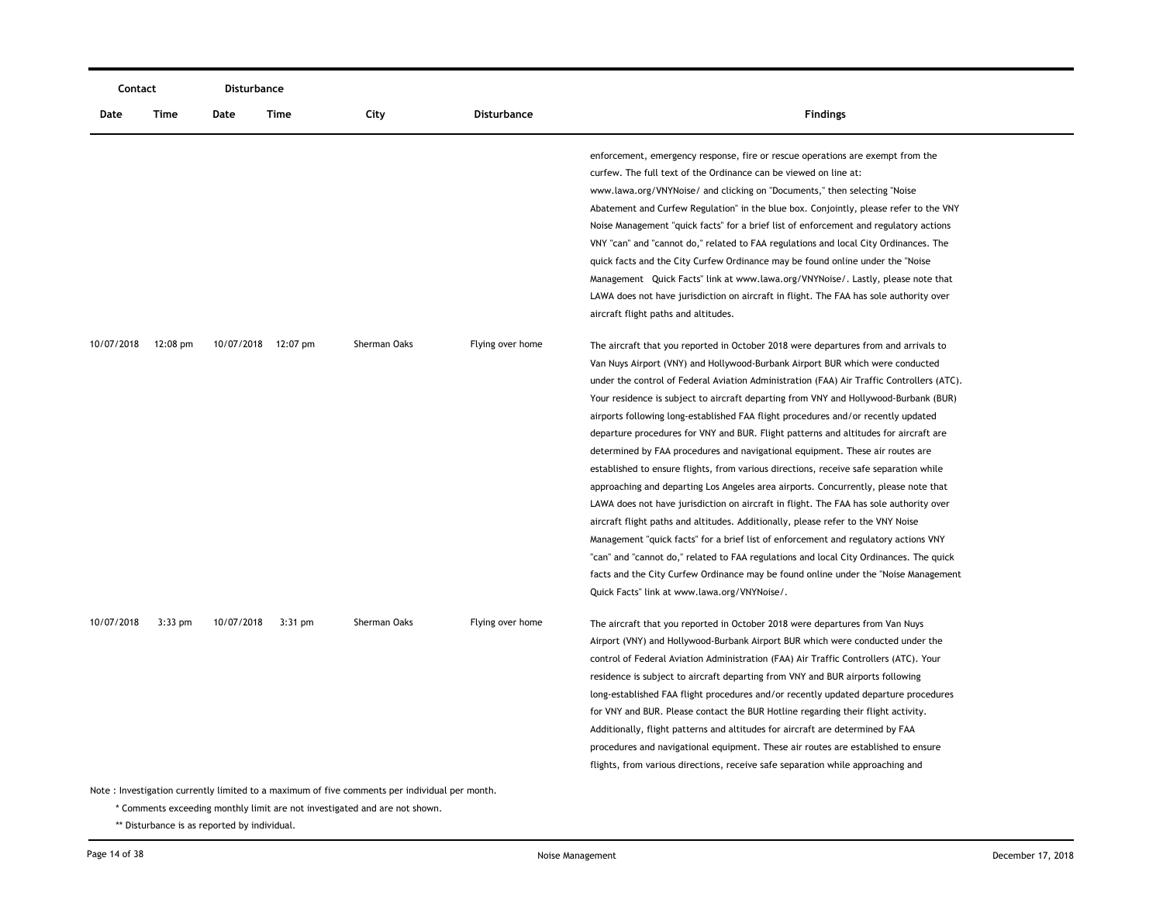| Contact    |                    | Disturbance |                     |                                                                                                                |                    |                                                                                                                                                                                                                                                                                                                                                                                                                                                                                                                                                                                                                                                                                                                                                                                                                                                                                                                                                                                                                                                                                                                                                                                                                                                                                                                |
|------------|--------------------|-------------|---------------------|----------------------------------------------------------------------------------------------------------------|--------------------|----------------------------------------------------------------------------------------------------------------------------------------------------------------------------------------------------------------------------------------------------------------------------------------------------------------------------------------------------------------------------------------------------------------------------------------------------------------------------------------------------------------------------------------------------------------------------------------------------------------------------------------------------------------------------------------------------------------------------------------------------------------------------------------------------------------------------------------------------------------------------------------------------------------------------------------------------------------------------------------------------------------------------------------------------------------------------------------------------------------------------------------------------------------------------------------------------------------------------------------------------------------------------------------------------------------|
| Date       | Time               | Date        | Time                | City                                                                                                           | <b>Disturbance</b> | <b>Findings</b>                                                                                                                                                                                                                                                                                                                                                                                                                                                                                                                                                                                                                                                                                                                                                                                                                                                                                                                                                                                                                                                                                                                                                                                                                                                                                                |
|            |                    |             |                     |                                                                                                                |                    | enforcement, emergency response, fire or rescue operations are exempt from the<br>curfew. The full text of the Ordinance can be viewed on line at:<br>www.lawa.org/VNYNoise/ and clicking on "Documents," then selecting "Noise<br>Abatement and Curfew Regulation" in the blue box. Conjointly, please refer to the VNY<br>Noise Management "quick facts" for a brief list of enforcement and regulatory actions<br>VNY "can" and "cannot do," related to FAA regulations and local City Ordinances. The<br>quick facts and the City Curfew Ordinance may be found online under the "Noise<br>Management Quick Facts" link at www.lawa.org/VNYNoise/. Lastly, please note that<br>LAWA does not have jurisdiction on aircraft in flight. The FAA has sole authority over<br>aircraft flight paths and altitudes.                                                                                                                                                                                                                                                                                                                                                                                                                                                                                              |
| 10/07/2018 | $12:08 \text{ pm}$ |             | 10/07/2018 12:07 pm | Sherman Oaks                                                                                                   | Flying over home   | The aircraft that you reported in October 2018 were departures from and arrivals to<br>Van Nuys Airport (VNY) and Hollywood-Burbank Airport BUR which were conducted<br>under the control of Federal Aviation Administration (FAA) Air Traffic Controllers (ATC).<br>Your residence is subject to aircraft departing from VNY and Hollywood-Burbank (BUR)<br>airports following long-established FAA flight procedures and/or recently updated<br>departure procedures for VNY and BUR. Flight patterns and altitudes for aircraft are<br>determined by FAA procedures and navigational equipment. These air routes are<br>established to ensure flights, from various directions, receive safe separation while<br>approaching and departing Los Angeles area airports. Concurrently, please note that<br>LAWA does not have jurisdiction on aircraft in flight. The FAA has sole authority over<br>aircraft flight paths and altitudes. Additionally, please refer to the VNY Noise<br>Management "quick facts" for a brief list of enforcement and regulatory actions VNY<br>"can" and "cannot do," related to FAA regulations and local City Ordinances. The quick<br>facts and the City Curfew Ordinance may be found online under the "Noise Management"<br>Quick Facts" link at www.lawa.org/VNYNoise/. |
| 10/07/2018 | $3:33$ pm          | 10/07/2018  | $3:31$ pm           | Sherman Oaks<br>Note : Investigation currently limited to a maximum of five comments per individual per month. | Flying over home   | The aircraft that you reported in October 2018 were departures from Van Nuys<br>Airport (VNY) and Hollywood-Burbank Airport BUR which were conducted under the<br>control of Federal Aviation Administration (FAA) Air Traffic Controllers (ATC). Your<br>residence is subject to aircraft departing from VNY and BUR airports following<br>long-established FAA flight procedures and/or recently updated departure procedures<br>for VNY and BUR. Please contact the BUR Hotline regarding their flight activity.<br>Additionally, flight patterns and altitudes for aircraft are determined by FAA<br>procedures and navigational equipment. These air routes are established to ensure<br>flights, from various directions, receive safe separation while approaching and                                                                                                                                                                                                                                                                                                                                                                                                                                                                                                                                  |
|            |                    |             |                     |                                                                                                                |                    |                                                                                                                                                                                                                                                                                                                                                                                                                                                                                                                                                                                                                                                                                                                                                                                                                                                                                                                                                                                                                                                                                                                                                                                                                                                                                                                |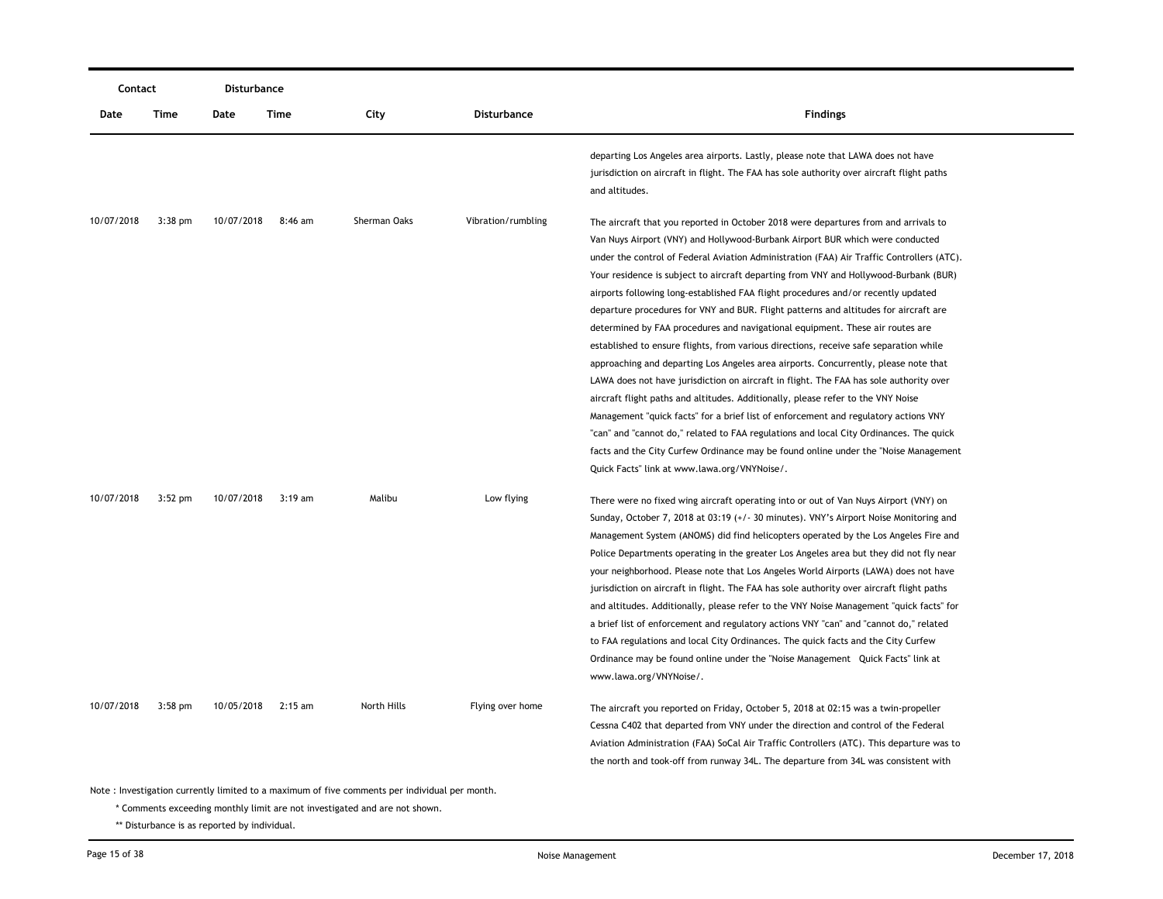|            | Contact   |            | Disturbance |              |                    |                                                                                                                                                                                                                                                                                                                                                                                                                                                                                                                                                                                                                                                                                                                                                                                                                                                                                                                                                                                                                                                                                                                                                                                                                                                                                                                |
|------------|-----------|------------|-------------|--------------|--------------------|----------------------------------------------------------------------------------------------------------------------------------------------------------------------------------------------------------------------------------------------------------------------------------------------------------------------------------------------------------------------------------------------------------------------------------------------------------------------------------------------------------------------------------------------------------------------------------------------------------------------------------------------------------------------------------------------------------------------------------------------------------------------------------------------------------------------------------------------------------------------------------------------------------------------------------------------------------------------------------------------------------------------------------------------------------------------------------------------------------------------------------------------------------------------------------------------------------------------------------------------------------------------------------------------------------------|
| Date       | Time      | Date       | Time        | City         | <b>Disturbance</b> | <b>Findings</b>                                                                                                                                                                                                                                                                                                                                                                                                                                                                                                                                                                                                                                                                                                                                                                                                                                                                                                                                                                                                                                                                                                                                                                                                                                                                                                |
|            |           |            |             |              |                    | departing Los Angeles area airports. Lastly, please note that LAWA does not have<br>jurisdiction on aircraft in flight. The FAA has sole authority over aircraft flight paths<br>and altitudes.                                                                                                                                                                                                                                                                                                                                                                                                                                                                                                                                                                                                                                                                                                                                                                                                                                                                                                                                                                                                                                                                                                                |
| 10/07/2018 | $3:38$ pm | 10/07/2018 | 8:46 am     | Sherman Oaks | Vibration/rumbling | The aircraft that you reported in October 2018 were departures from and arrivals to<br>Van Nuys Airport (VNY) and Hollywood-Burbank Airport BUR which were conducted<br>under the control of Federal Aviation Administration (FAA) Air Traffic Controllers (ATC).<br>Your residence is subject to aircraft departing from VNY and Hollywood-Burbank (BUR)<br>airports following long-established FAA flight procedures and/or recently updated<br>departure procedures for VNY and BUR. Flight patterns and altitudes for aircraft are<br>determined by FAA procedures and navigational equipment. These air routes are<br>established to ensure flights, from various directions, receive safe separation while<br>approaching and departing Los Angeles area airports. Concurrently, please note that<br>LAWA does not have jurisdiction on aircraft in flight. The FAA has sole authority over<br>aircraft flight paths and altitudes. Additionally, please refer to the VNY Noise<br>Management "quick facts" for a brief list of enforcement and regulatory actions VNY<br>"can" and "cannot do," related to FAA regulations and local City Ordinances. The quick<br>facts and the City Curfew Ordinance may be found online under the "Noise Management"<br>Quick Facts" link at www.lawa.org/VNYNoise/. |
| 10/07/2018 | $3:52$ pm | 10/07/2018 | $3:19$ am   | Malibu       | Low flying         | There were no fixed wing aircraft operating into or out of Van Nuys Airport (VNY) on<br>Sunday, October 7, 2018 at 03:19 (+/- 30 minutes). VNY's Airport Noise Monitoring and<br>Management System (ANOMS) did find helicopters operated by the Los Angeles Fire and<br>Police Departments operating in the greater Los Angeles area but they did not fly near<br>your neighborhood. Please note that Los Angeles World Airports (LAWA) does not have<br>jurisdiction on aircraft in flight. The FAA has sole authority over aircraft flight paths<br>and altitudes. Additionally, please refer to the VNY Noise Management "quick facts" for<br>a brief list of enforcement and regulatory actions VNY "can" and "cannot do," related<br>to FAA regulations and local City Ordinances. The quick facts and the City Curfew<br>Ordinance may be found online under the "Noise Management Quick Facts" link at<br>www.lawa.org/VNYNoise/.                                                                                                                                                                                                                                                                                                                                                                       |
| 10/07/2018 | $3:58$ pm | 10/05/2018 | $2:15$ am   | North Hills  | Flying over home   | The aircraft you reported on Friday, October 5, 2018 at 02:15 was a twin-propeller<br>Cessna C402 that departed from VNY under the direction and control of the Federal<br>Aviation Administration (FAA) SoCal Air Traffic Controllers (ATC). This departure was to<br>the north and took-off from runway 34L. The departure from 34L was consistent with                                                                                                                                                                                                                                                                                                                                                                                                                                                                                                                                                                                                                                                                                                                                                                                                                                                                                                                                                      |

\* Comments exceeding monthly limit are not investigated and are not shown.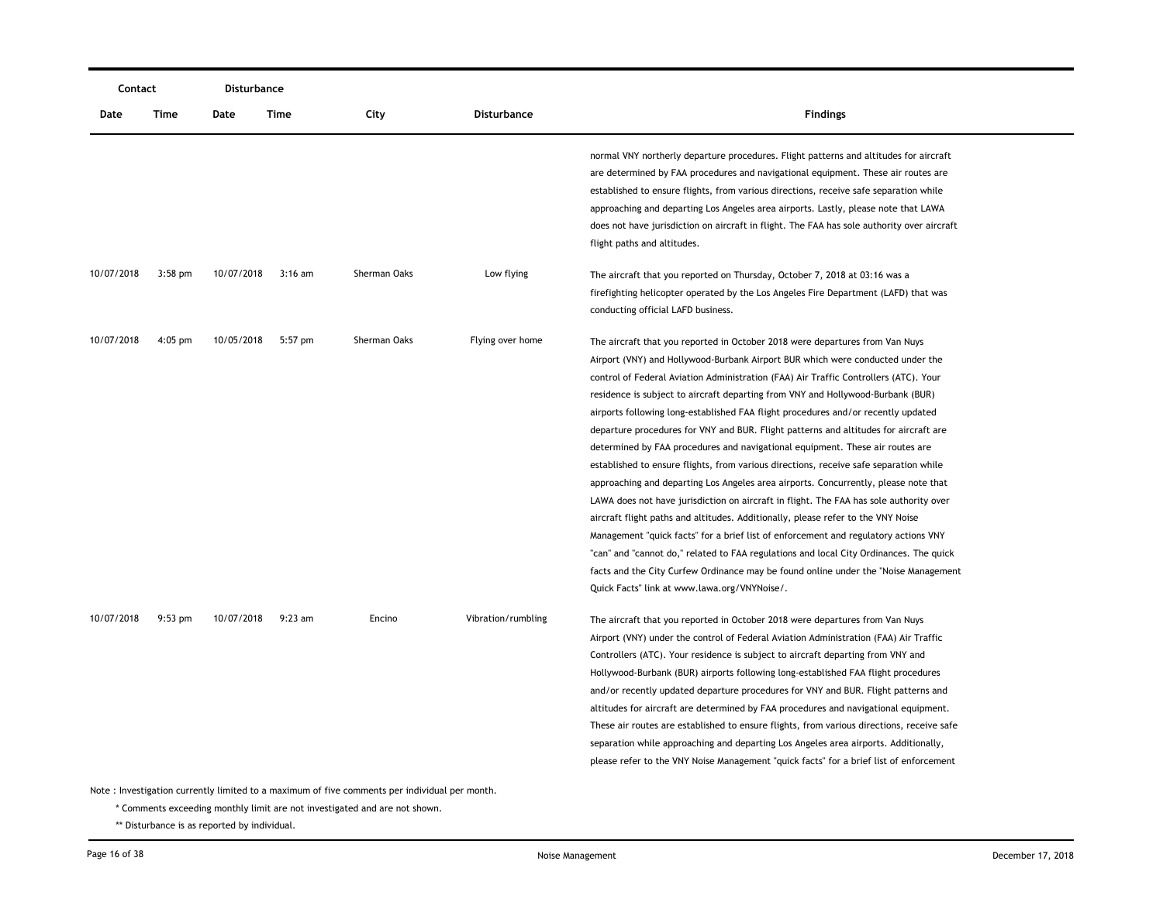| Contact    |           | Disturbance |           |              |                    |                                                                                                                                                                                                                                                                                                                                                                                                                                                                                                                                                                                                                                                                                                                                                                                                                                                                                                                                                                                                                                                                                                                                                                                                                                                                                                |
|------------|-----------|-------------|-----------|--------------|--------------------|------------------------------------------------------------------------------------------------------------------------------------------------------------------------------------------------------------------------------------------------------------------------------------------------------------------------------------------------------------------------------------------------------------------------------------------------------------------------------------------------------------------------------------------------------------------------------------------------------------------------------------------------------------------------------------------------------------------------------------------------------------------------------------------------------------------------------------------------------------------------------------------------------------------------------------------------------------------------------------------------------------------------------------------------------------------------------------------------------------------------------------------------------------------------------------------------------------------------------------------------------------------------------------------------|
| Date       | Time      | Date        | Time      | City         | <b>Disturbance</b> | <b>Findings</b>                                                                                                                                                                                                                                                                                                                                                                                                                                                                                                                                                                                                                                                                                                                                                                                                                                                                                                                                                                                                                                                                                                                                                                                                                                                                                |
|            |           |             |           |              |                    | normal VNY northerly departure procedures. Flight patterns and altitudes for aircraft<br>are determined by FAA procedures and navigational equipment. These air routes are<br>established to ensure flights, from various directions, receive safe separation while<br>approaching and departing Los Angeles area airports. Lastly, please note that LAWA<br>does not have jurisdiction on aircraft in flight. The FAA has sole authority over aircraft<br>flight paths and altitudes.                                                                                                                                                                                                                                                                                                                                                                                                                                                                                                                                                                                                                                                                                                                                                                                                         |
| 10/07/2018 | $3:58$ pm | 10/07/2018  | 3:16 am   | Sherman Oaks | Low flying         | The aircraft that you reported on Thursday, October 7, 2018 at 03:16 was a<br>firefighting helicopter operated by the Los Angeles Fire Department (LAFD) that was<br>conducting official LAFD business.                                                                                                                                                                                                                                                                                                                                                                                                                                                                                                                                                                                                                                                                                                                                                                                                                                                                                                                                                                                                                                                                                        |
| 10/07/2018 | $4:05$ pm | 10/05/2018  | $5:57$ pm | Sherman Oaks | Flying over home   | The aircraft that you reported in October 2018 were departures from Van Nuys<br>Airport (VNY) and Hollywood-Burbank Airport BUR which were conducted under the<br>control of Federal Aviation Administration (FAA) Air Traffic Controllers (ATC). Your<br>residence is subject to aircraft departing from VNY and Hollywood-Burbank (BUR)<br>airports following long-established FAA flight procedures and/or recently updated<br>departure procedures for VNY and BUR. Flight patterns and altitudes for aircraft are<br>determined by FAA procedures and navigational equipment. These air routes are<br>established to ensure flights, from various directions, receive safe separation while<br>approaching and departing Los Angeles area airports. Concurrently, please note that<br>LAWA does not have jurisdiction on aircraft in flight. The FAA has sole authority over<br>aircraft flight paths and altitudes. Additionally, please refer to the VNY Noise<br>Management "quick facts" for a brief list of enforcement and regulatory actions VNY<br>"can" and "cannot do," related to FAA regulations and local City Ordinances. The quick<br>facts and the City Curfew Ordinance may be found online under the "Noise Management"<br>Quick Facts" link at www.lawa.org/VNYNoise/. |
| 10/07/2018 | 9:53 pm   | 10/07/2018  | $9:23$ am | Encino       | Vibration/rumbling | The aircraft that you reported in October 2018 were departures from Van Nuys<br>Airport (VNY) under the control of Federal Aviation Administration (FAA) Air Traffic<br>Controllers (ATC). Your residence is subject to aircraft departing from VNY and<br>Hollywood-Burbank (BUR) airports following long-established FAA flight procedures<br>and/or recently updated departure procedures for VNY and BUR. Flight patterns and<br>altitudes for aircraft are determined by FAA procedures and navigational equipment.<br>These air routes are established to ensure flights, from various directions, receive safe<br>separation while approaching and departing Los Angeles area airports. Additionally,<br>please refer to the VNY Noise Management "quick facts" for a brief list of enforcement                                                                                                                                                                                                                                                                                                                                                                                                                                                                                         |

\* Comments exceeding monthly limit are not investigated and are not shown.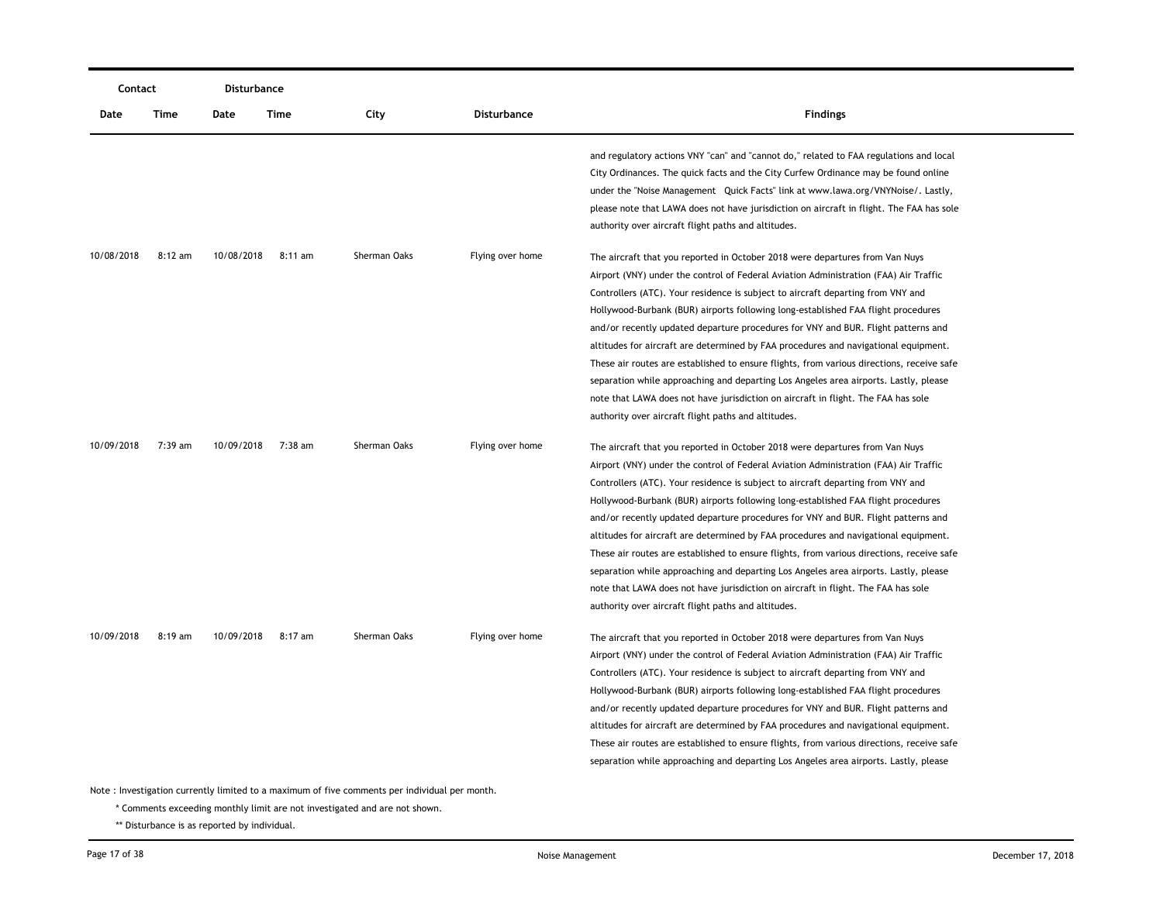| Contact    |           | <b>Disturbance</b> |           |                                                                                               |                    |                                                                                                                                                                                                                                                                                                                                                                                                                                                                                                                                                                                                                                                                                                                                                                                                                                                           |
|------------|-----------|--------------------|-----------|-----------------------------------------------------------------------------------------------|--------------------|-----------------------------------------------------------------------------------------------------------------------------------------------------------------------------------------------------------------------------------------------------------------------------------------------------------------------------------------------------------------------------------------------------------------------------------------------------------------------------------------------------------------------------------------------------------------------------------------------------------------------------------------------------------------------------------------------------------------------------------------------------------------------------------------------------------------------------------------------------------|
| Date       | Time      | Date               | Time      | City                                                                                          | <b>Disturbance</b> | <b>Findings</b>                                                                                                                                                                                                                                                                                                                                                                                                                                                                                                                                                                                                                                                                                                                                                                                                                                           |
|            |           |                    |           |                                                                                               |                    | and regulatory actions VNY "can" and "cannot do," related to FAA regulations and local<br>City Ordinances. The quick facts and the City Curfew Ordinance may be found online<br>under the "Noise Management Quick Facts" link at www.lawa.org/VNYNoise/. Lastly,<br>please note that LAWA does not have jurisdiction on aircraft in flight. The FAA has sole<br>authority over aircraft flight paths and altitudes.                                                                                                                                                                                                                                                                                                                                                                                                                                       |
| 10/08/2018 | $8:12$ am | 10/08/2018         | $8:11$ am | Sherman Oaks                                                                                  | Flying over home   | The aircraft that you reported in October 2018 were departures from Van Nuys<br>Airport (VNY) under the control of Federal Aviation Administration (FAA) Air Traffic<br>Controllers (ATC). Your residence is subject to aircraft departing from VNY and<br>Hollywood-Burbank (BUR) airports following long-established FAA flight procedures<br>and/or recently updated departure procedures for VNY and BUR. Flight patterns and<br>altitudes for aircraft are determined by FAA procedures and navigational equipment.<br>These air routes are established to ensure flights, from various directions, receive safe<br>separation while approaching and departing Los Angeles area airports. Lastly, please<br>note that LAWA does not have jurisdiction on aircraft in flight. The FAA has sole<br>authority over aircraft flight paths and altitudes. |
| 10/09/2018 | $7:39$ am | 10/09/2018         | 7:38 am   | Sherman Oaks                                                                                  | Flying over home   | The aircraft that you reported in October 2018 were departures from Van Nuys<br>Airport (VNY) under the control of Federal Aviation Administration (FAA) Air Traffic<br>Controllers (ATC). Your residence is subject to aircraft departing from VNY and<br>Hollywood-Burbank (BUR) airports following long-established FAA flight procedures<br>and/or recently updated departure procedures for VNY and BUR. Flight patterns and<br>altitudes for aircraft are determined by FAA procedures and navigational equipment.<br>These air routes are established to ensure flights, from various directions, receive safe<br>separation while approaching and departing Los Angeles area airports. Lastly, please<br>note that LAWA does not have jurisdiction on aircraft in flight. The FAA has sole<br>authority over aircraft flight paths and altitudes. |
| 10/09/2018 | $8:19$ am | 10/09/2018         | 8:17 am   | Sherman Oaks                                                                                  | Flying over home   | The aircraft that you reported in October 2018 were departures from Van Nuys<br>Airport (VNY) under the control of Federal Aviation Administration (FAA) Air Traffic<br>Controllers (ATC). Your residence is subject to aircraft departing from VNY and<br>Hollywood-Burbank (BUR) airports following long-established FAA flight procedures<br>and/or recently updated departure procedures for VNY and BUR. Flight patterns and<br>altitudes for aircraft are determined by FAA procedures and navigational equipment.<br>These air routes are established to ensure flights, from various directions, receive safe<br>separation while approaching and departing Los Angeles area airports. Lastly, please                                                                                                                                             |
|            |           |                    |           | Note: Investigation currently limited to a maximum of five comments per individual per month. |                    |                                                                                                                                                                                                                                                                                                                                                                                                                                                                                                                                                                                                                                                                                                                                                                                                                                                           |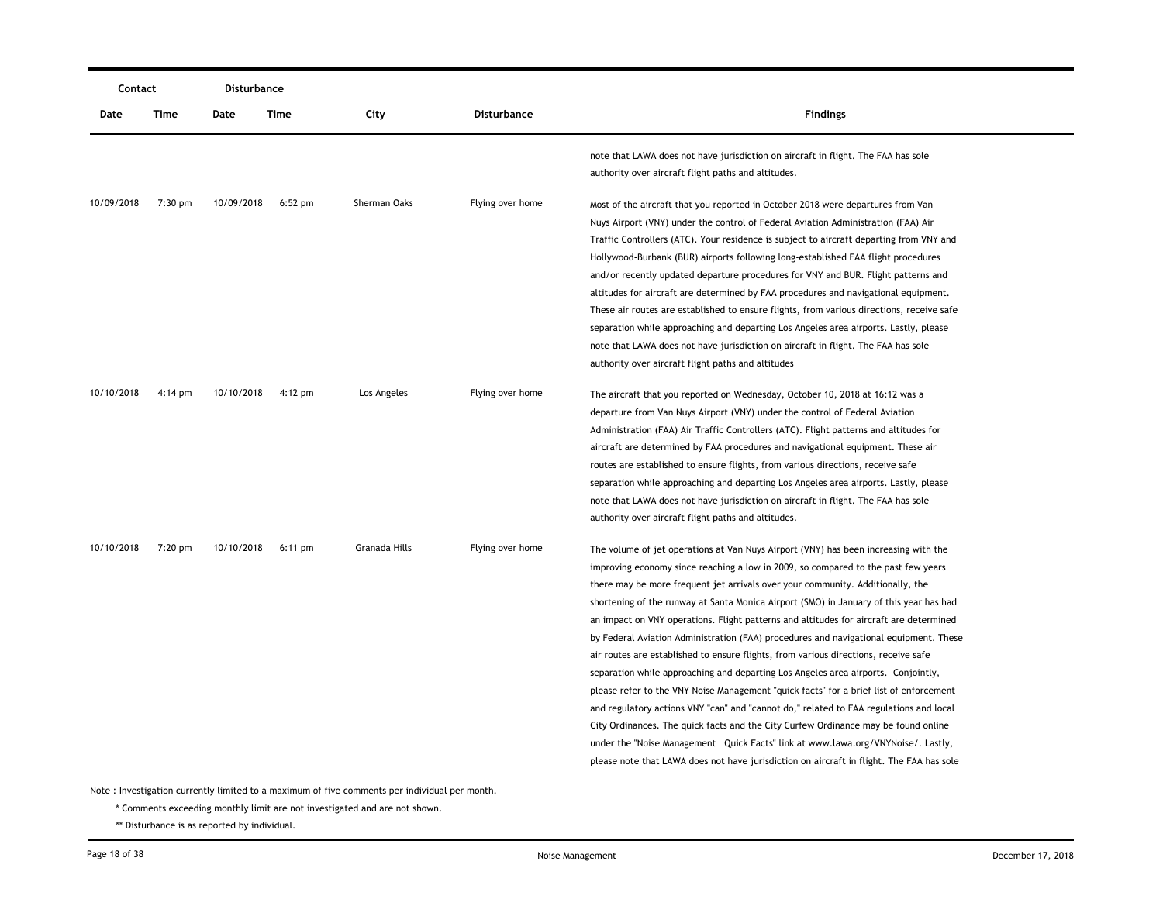|            | Contact           |            | <b>Disturbance</b> |               |                    |                                                                                                                                                                                                                                                                                                                                                                                                                                                                                                                                                                                                                                                                                                                                                                                                                                                                                                                                                                                                                                                                                                                                                                               |
|------------|-------------------|------------|--------------------|---------------|--------------------|-------------------------------------------------------------------------------------------------------------------------------------------------------------------------------------------------------------------------------------------------------------------------------------------------------------------------------------------------------------------------------------------------------------------------------------------------------------------------------------------------------------------------------------------------------------------------------------------------------------------------------------------------------------------------------------------------------------------------------------------------------------------------------------------------------------------------------------------------------------------------------------------------------------------------------------------------------------------------------------------------------------------------------------------------------------------------------------------------------------------------------------------------------------------------------|
| Date       | Time              | Date       | <b>Time</b>        | City          | <b>Disturbance</b> | <b>Findings</b>                                                                                                                                                                                                                                                                                                                                                                                                                                                                                                                                                                                                                                                                                                                                                                                                                                                                                                                                                                                                                                                                                                                                                               |
|            |                   |            |                    |               |                    | note that LAWA does not have jurisdiction on aircraft in flight. The FAA has sole<br>authority over aircraft flight paths and altitudes.                                                                                                                                                                                                                                                                                                                                                                                                                                                                                                                                                                                                                                                                                                                                                                                                                                                                                                                                                                                                                                      |
| 10/09/2018 | 7:30 pm           | 10/09/2018 | $6:52$ pm          | Sherman Oaks  | Flying over home   | Most of the aircraft that you reported in October 2018 were departures from Van<br>Nuys Airport (VNY) under the control of Federal Aviation Administration (FAA) Air<br>Traffic Controllers (ATC). Your residence is subject to aircraft departing from VNY and<br>Hollywood-Burbank (BUR) airports following long-established FAA flight procedures<br>and/or recently updated departure procedures for VNY and BUR. Flight patterns and<br>altitudes for aircraft are determined by FAA procedures and navigational equipment.<br>These air routes are established to ensure flights, from various directions, receive safe<br>separation while approaching and departing Los Angeles area airports. Lastly, please<br>note that LAWA does not have jurisdiction on aircraft in flight. The FAA has sole<br>authority over aircraft flight paths and altitudes                                                                                                                                                                                                                                                                                                              |
| 10/10/2018 | $4:14 \text{ pm}$ | 10/10/2018 | $4:12 \text{ pm}$  | Los Angeles   | Flying over home   | The aircraft that you reported on Wednesday, October 10, 2018 at 16:12 was a<br>departure from Van Nuys Airport (VNY) under the control of Federal Aviation<br>Administration (FAA) Air Traffic Controllers (ATC). Flight patterns and altitudes for<br>aircraft are determined by FAA procedures and navigational equipment. These air<br>routes are established to ensure flights, from various directions, receive safe<br>separation while approaching and departing Los Angeles area airports. Lastly, please<br>note that LAWA does not have jurisdiction on aircraft in flight. The FAA has sole<br>authority over aircraft flight paths and altitudes.                                                                                                                                                                                                                                                                                                                                                                                                                                                                                                                |
| 10/10/2018 | 7:20 pm           | 10/10/2018 | $6:11$ pm          | Granada Hills | Flying over home   | The volume of jet operations at Van Nuys Airport (VNY) has been increasing with the<br>improving economy since reaching a low in 2009, so compared to the past few years<br>there may be more frequent jet arrivals over your community. Additionally, the<br>shortening of the runway at Santa Monica Airport (SMO) in January of this year has had<br>an impact on VNY operations. Flight patterns and altitudes for aircraft are determined<br>by Federal Aviation Administration (FAA) procedures and navigational equipment. These<br>air routes are established to ensure flights, from various directions, receive safe<br>separation while approaching and departing Los Angeles area airports. Conjointly,<br>please refer to the VNY Noise Management "quick facts" for a brief list of enforcement<br>and regulatory actions VNY "can" and "cannot do," related to FAA regulations and local<br>City Ordinances. The quick facts and the City Curfew Ordinance may be found online<br>under the "Noise Management Quick Facts" link at www.lawa.org/VNYNoise/. Lastly,<br>please note that LAWA does not have jurisdiction on aircraft in flight. The FAA has sole |

\* Comments exceeding monthly limit are not investigated and are not shown.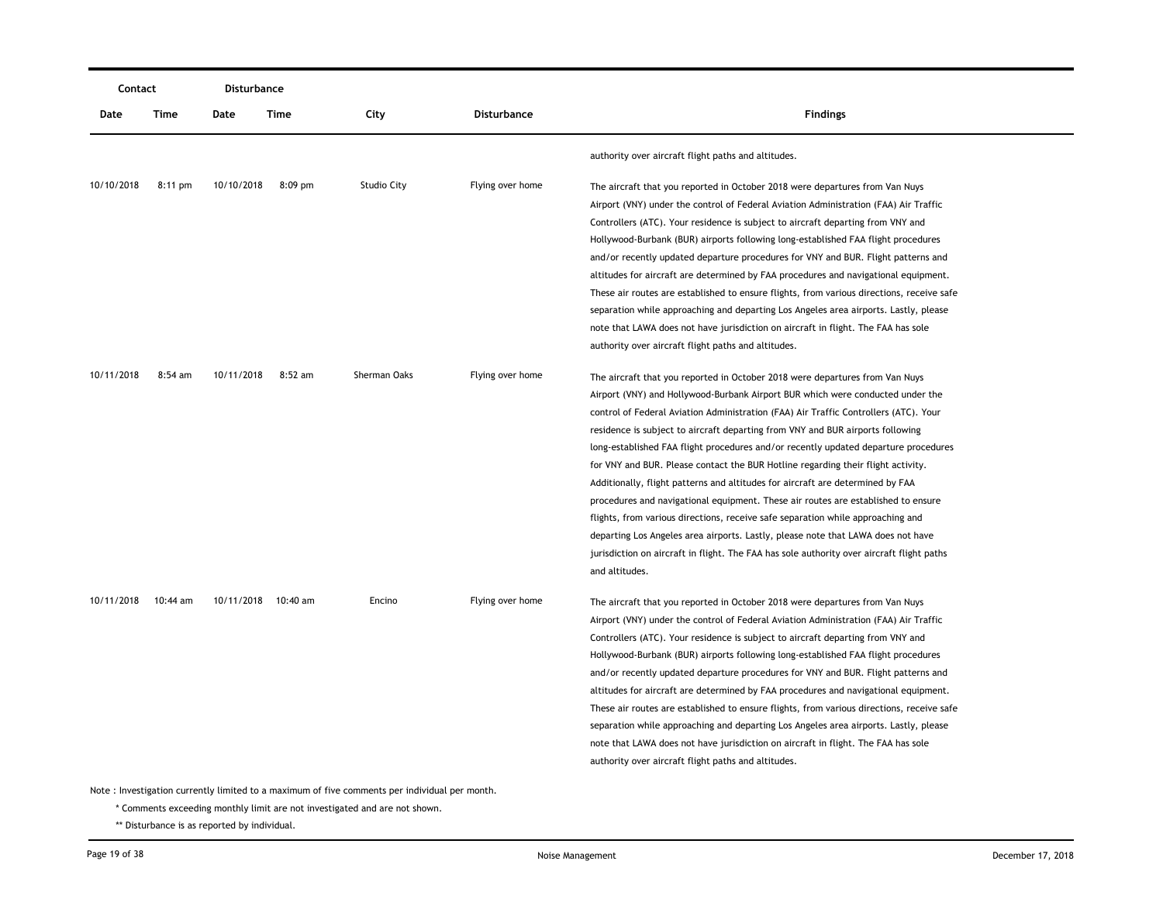|            | Contact           |            | <b>Disturbance</b>  |                    |                  |                                                                                                                                                                                                                                                                                                                                                                                                                                                                                                                                                                                                                                                                                                                                                                                                                                                                                                                                                                                  |
|------------|-------------------|------------|---------------------|--------------------|------------------|----------------------------------------------------------------------------------------------------------------------------------------------------------------------------------------------------------------------------------------------------------------------------------------------------------------------------------------------------------------------------------------------------------------------------------------------------------------------------------------------------------------------------------------------------------------------------------------------------------------------------------------------------------------------------------------------------------------------------------------------------------------------------------------------------------------------------------------------------------------------------------------------------------------------------------------------------------------------------------|
| Date       | Time              | Date       | Time                | City               | Disturbance      | <b>Findings</b>                                                                                                                                                                                                                                                                                                                                                                                                                                                                                                                                                                                                                                                                                                                                                                                                                                                                                                                                                                  |
|            |                   |            |                     |                    |                  | authority over aircraft flight paths and altitudes.                                                                                                                                                                                                                                                                                                                                                                                                                                                                                                                                                                                                                                                                                                                                                                                                                                                                                                                              |
| 10/10/2018 | $8:11 \text{ pm}$ | 10/10/2018 | $8:09$ pm           | <b>Studio City</b> | Flying over home | The aircraft that you reported in October 2018 were departures from Van Nuys<br>Airport (VNY) under the control of Federal Aviation Administration (FAA) Air Traffic<br>Controllers (ATC). Your residence is subject to aircraft departing from VNY and<br>Hollywood-Burbank (BUR) airports following long-established FAA flight procedures<br>and/or recently updated departure procedures for VNY and BUR. Flight patterns and<br>altitudes for aircraft are determined by FAA procedures and navigational equipment.<br>These air routes are established to ensure flights, from various directions, receive safe<br>separation while approaching and departing Los Angeles area airports. Lastly, please                                                                                                                                                                                                                                                                    |
|            |                   |            |                     |                    |                  | note that LAWA does not have jurisdiction on aircraft in flight. The FAA has sole<br>authority over aircraft flight paths and altitudes.                                                                                                                                                                                                                                                                                                                                                                                                                                                                                                                                                                                                                                                                                                                                                                                                                                         |
| 10/11/2018 | $8:54$ am         | 10/11/2018 | $8:52$ am           | Sherman Oaks       | Flying over home | The aircraft that you reported in October 2018 were departures from Van Nuys<br>Airport (VNY) and Hollywood-Burbank Airport BUR which were conducted under the<br>control of Federal Aviation Administration (FAA) Air Traffic Controllers (ATC). Your<br>residence is subject to aircraft departing from VNY and BUR airports following<br>long-established FAA flight procedures and/or recently updated departure procedures<br>for VNY and BUR. Please contact the BUR Hotline regarding their flight activity.<br>Additionally, flight patterns and altitudes for aircraft are determined by FAA<br>procedures and navigational equipment. These air routes are established to ensure<br>flights, from various directions, receive safe separation while approaching and<br>departing Los Angeles area airports. Lastly, please note that LAWA does not have<br>jurisdiction on aircraft in flight. The FAA has sole authority over aircraft flight paths<br>and altitudes. |
| 10/11/2018 | 10:44 am          |            | 10/11/2018 10:40 am | Encino             | Flying over home | The aircraft that you reported in October 2018 were departures from Van Nuys<br>Airport (VNY) under the control of Federal Aviation Administration (FAA) Air Traffic<br>Controllers (ATC). Your residence is subject to aircraft departing from VNY and<br>Hollywood-Burbank (BUR) airports following long-established FAA flight procedures<br>and/or recently updated departure procedures for VNY and BUR. Flight patterns and<br>altitudes for aircraft are determined by FAA procedures and navigational equipment.<br>These air routes are established to ensure flights, from various directions, receive safe<br>separation while approaching and departing Los Angeles area airports. Lastly, please<br>note that LAWA does not have jurisdiction on aircraft in flight. The FAA has sole<br>authority over aircraft flight paths and altitudes.                                                                                                                        |

\* Comments exceeding monthly limit are not investigated and are not shown.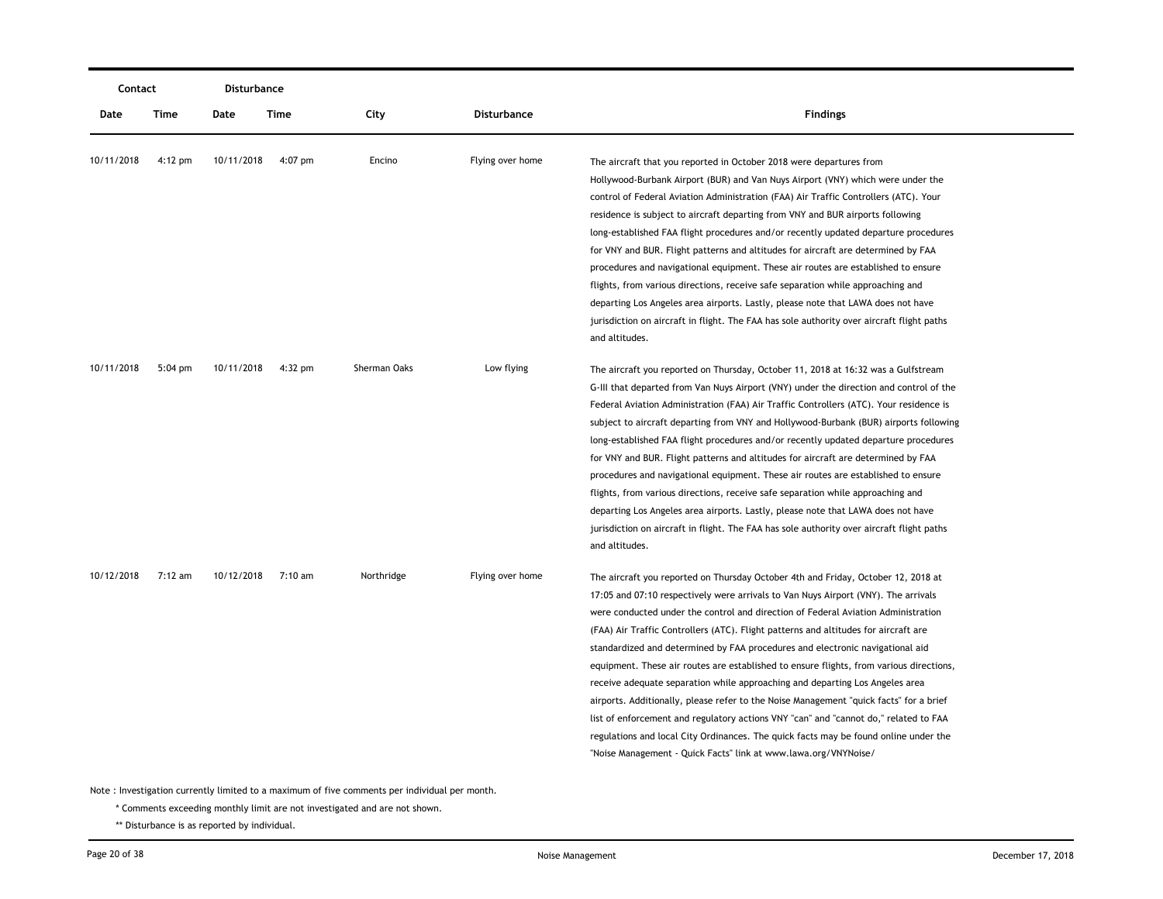|            | Contact           |            | Disturbance |              |                  |                                                                                                                                                                                                                                                                                                                                                                                                                                                                                                                                                                                                                                                                                                                                                                                                                                                                                                                                                              |
|------------|-------------------|------------|-------------|--------------|------------------|--------------------------------------------------------------------------------------------------------------------------------------------------------------------------------------------------------------------------------------------------------------------------------------------------------------------------------------------------------------------------------------------------------------------------------------------------------------------------------------------------------------------------------------------------------------------------------------------------------------------------------------------------------------------------------------------------------------------------------------------------------------------------------------------------------------------------------------------------------------------------------------------------------------------------------------------------------------|
| Date       | Time              | Date       | <b>Time</b> | City         | Disturbance      | <b>Findings</b>                                                                                                                                                                                                                                                                                                                                                                                                                                                                                                                                                                                                                                                                                                                                                                                                                                                                                                                                              |
| 10/11/2018 | $4:12 \text{ pm}$ | 10/11/2018 | $4:07$ pm   | Encino       | Flying over home | The aircraft that you reported in October 2018 were departures from<br>Hollywood-Burbank Airport (BUR) and Van Nuys Airport (VNY) which were under the<br>control of Federal Aviation Administration (FAA) Air Traffic Controllers (ATC). Your<br>residence is subject to aircraft departing from VNY and BUR airports following<br>long-established FAA flight procedures and/or recently updated departure procedures<br>for VNY and BUR. Flight patterns and altitudes for aircraft are determined by FAA<br>procedures and navigational equipment. These air routes are established to ensure<br>flights, from various directions, receive safe separation while approaching and<br>departing Los Angeles area airports. Lastly, please note that LAWA does not have<br>jurisdiction on aircraft in flight. The FAA has sole authority over aircraft flight paths<br>and altitudes.                                                                      |
| 10/11/2018 | $5:04$ pm         | 10/11/2018 | 4:32 pm     | Sherman Oaks | Low flying       | The aircraft you reported on Thursday, October 11, 2018 at 16:32 was a Gulfstream<br>G-III that departed from Van Nuys Airport (VNY) under the direction and control of the<br>Federal Aviation Administration (FAA) Air Traffic Controllers (ATC). Your residence is<br>subject to aircraft departing from VNY and Hollywood-Burbank (BUR) airports following<br>long-established FAA flight procedures and/or recently updated departure procedures<br>for VNY and BUR. Flight patterns and altitudes for aircraft are determined by FAA<br>procedures and navigational equipment. These air routes are established to ensure<br>flights, from various directions, receive safe separation while approaching and<br>departing Los Angeles area airports. Lastly, please note that LAWA does not have<br>jurisdiction on aircraft in flight. The FAA has sole authority over aircraft flight paths<br>and altitudes.                                        |
| 10/12/2018 | 7:12 am           | 10/12/2018 | 7:10 am     | Northridge   | Flying over home | The aircraft you reported on Thursday October 4th and Friday, October 12, 2018 at<br>17:05 and 07:10 respectively were arrivals to Van Nuys Airport (VNY). The arrivals<br>were conducted under the control and direction of Federal Aviation Administration<br>(FAA) Air Traffic Controllers (ATC). Flight patterns and altitudes for aircraft are<br>standardized and determined by FAA procedures and electronic navigational aid<br>equipment. These air routes are established to ensure flights, from various directions,<br>receive adequate separation while approaching and departing Los Angeles area<br>airports. Additionally, please refer to the Noise Management "quick facts" for a brief<br>list of enforcement and regulatory actions VNY "can" and "cannot do," related to FAA<br>regulations and local City Ordinances. The quick facts may be found online under the<br>"Noise Management - Quick Facts" link at www.lawa.org/VNYNoise/ |

\* Comments exceeding monthly limit are not investigated and are not shown.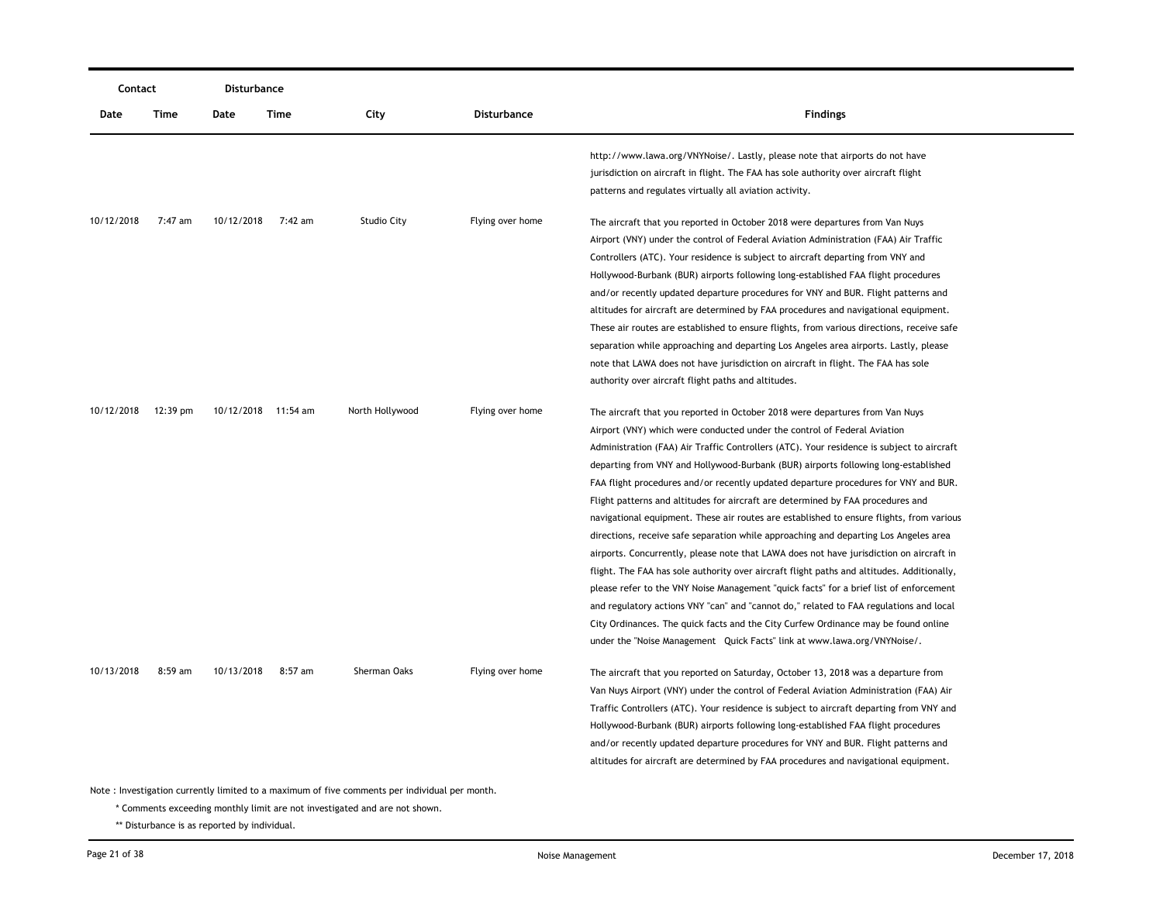| Contact    |           | Disturbance |                     |                                                                                               |                    |                                                                                                                                                                                                                                                                                                                                                                                                                                                                                                                                                                                                                                                                                                                                                                                                                                                                                                                                                                                                                                                                                                                                                                                                                                                                                                                 |
|------------|-----------|-------------|---------------------|-----------------------------------------------------------------------------------------------|--------------------|-----------------------------------------------------------------------------------------------------------------------------------------------------------------------------------------------------------------------------------------------------------------------------------------------------------------------------------------------------------------------------------------------------------------------------------------------------------------------------------------------------------------------------------------------------------------------------------------------------------------------------------------------------------------------------------------------------------------------------------------------------------------------------------------------------------------------------------------------------------------------------------------------------------------------------------------------------------------------------------------------------------------------------------------------------------------------------------------------------------------------------------------------------------------------------------------------------------------------------------------------------------------------------------------------------------------|
| Date       | Time      | Date        | Time                | City                                                                                          | <b>Disturbance</b> | <b>Findings</b>                                                                                                                                                                                                                                                                                                                                                                                                                                                                                                                                                                                                                                                                                                                                                                                                                                                                                                                                                                                                                                                                                                                                                                                                                                                                                                 |
|            |           |             |                     |                                                                                               |                    | http://www.lawa.org/VNYNoise/. Lastly, please note that airports do not have<br>jurisdiction on aircraft in flight. The FAA has sole authority over aircraft flight<br>patterns and regulates virtually all aviation activity.                                                                                                                                                                                                                                                                                                                                                                                                                                                                                                                                                                                                                                                                                                                                                                                                                                                                                                                                                                                                                                                                                  |
| 10/12/2018 | 7:47 am   | 10/12/2018  | 7:42 am             | Studio City                                                                                   | Flying over home   | The aircraft that you reported in October 2018 were departures from Van Nuys<br>Airport (VNY) under the control of Federal Aviation Administration (FAA) Air Traffic<br>Controllers (ATC). Your residence is subject to aircraft departing from VNY and<br>Hollywood-Burbank (BUR) airports following long-established FAA flight procedures<br>and/or recently updated departure procedures for VNY and BUR. Flight patterns and<br>altitudes for aircraft are determined by FAA procedures and navigational equipment.<br>These air routes are established to ensure flights, from various directions, receive safe<br>separation while approaching and departing Los Angeles area airports. Lastly, please<br>note that LAWA does not have jurisdiction on aircraft in flight. The FAA has sole                                                                                                                                                                                                                                                                                                                                                                                                                                                                                                              |
| 10/12/2018 | 12:39 pm  |             | 10/12/2018 11:54 am | North Hollywood                                                                               | Flying over home   | authority over aircraft flight paths and altitudes.<br>The aircraft that you reported in October 2018 were departures from Van Nuys<br>Airport (VNY) which were conducted under the control of Federal Aviation<br>Administration (FAA) Air Traffic Controllers (ATC). Your residence is subject to aircraft<br>departing from VNY and Hollywood-Burbank (BUR) airports following long-established<br>FAA flight procedures and/or recently updated departure procedures for VNY and BUR.<br>Flight patterns and altitudes for aircraft are determined by FAA procedures and<br>navigational equipment. These air routes are established to ensure flights, from various<br>directions, receive safe separation while approaching and departing Los Angeles area<br>airports. Concurrently, please note that LAWA does not have jurisdiction on aircraft in<br>flight. The FAA has sole authority over aircraft flight paths and altitudes. Additionally,<br>please refer to the VNY Noise Management "quick facts" for a brief list of enforcement<br>and regulatory actions VNY "can" and "cannot do," related to FAA regulations and local<br>City Ordinances. The quick facts and the City Curfew Ordinance may be found online<br>under the "Noise Management Quick Facts" link at www.lawa.org/VNYNoise/. |
| 10/13/2018 | $8:59$ am | 10/13/2018  | 8:57 am             | Sherman Oaks                                                                                  | Flying over home   | The aircraft that you reported on Saturday, October 13, 2018 was a departure from<br>Van Nuys Airport (VNY) under the control of Federal Aviation Administration (FAA) Air<br>Traffic Controllers (ATC). Your residence is subject to aircraft departing from VNY and<br>Hollywood-Burbank (BUR) airports following long-established FAA flight procedures<br>and/or recently updated departure procedures for VNY and BUR. Flight patterns and<br>altitudes for aircraft are determined by FAA procedures and navigational equipment.                                                                                                                                                                                                                                                                                                                                                                                                                                                                                                                                                                                                                                                                                                                                                                          |
|            |           |             |                     | Note: Investigation currently limited to a maximum of five comments per individual per month. |                    |                                                                                                                                                                                                                                                                                                                                                                                                                                                                                                                                                                                                                                                                                                                                                                                                                                                                                                                                                                                                                                                                                                                                                                                                                                                                                                                 |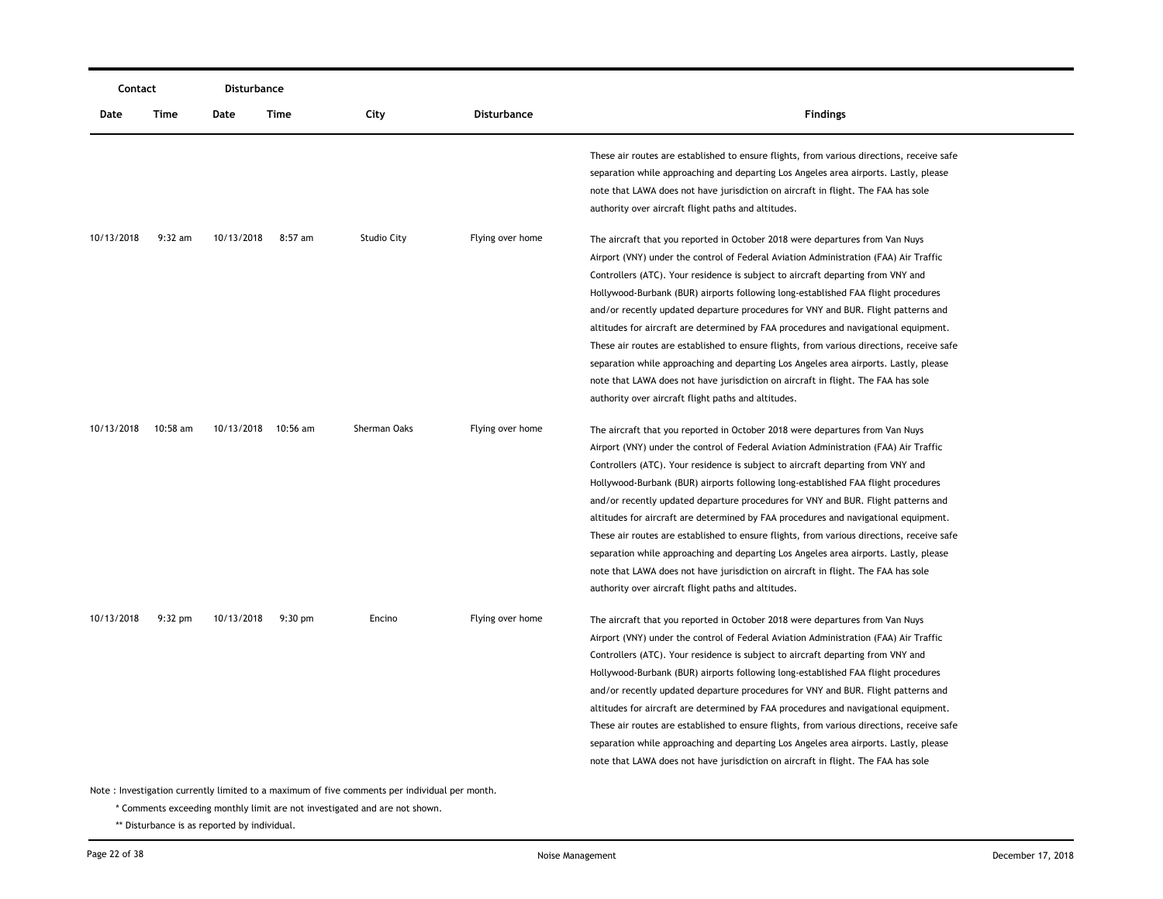|            | Contact   |            | Disturbance       |                                    |                    |                                                                                                                                                                                                                                                                                                                                                                                                                                                                                                                                                                                                                                                                                                                                                                                                                                                                                                                  |
|------------|-----------|------------|-------------------|------------------------------------|--------------------|------------------------------------------------------------------------------------------------------------------------------------------------------------------------------------------------------------------------------------------------------------------------------------------------------------------------------------------------------------------------------------------------------------------------------------------------------------------------------------------------------------------------------------------------------------------------------------------------------------------------------------------------------------------------------------------------------------------------------------------------------------------------------------------------------------------------------------------------------------------------------------------------------------------|
| Date       | Time      | Date       | Time              | City                               | <b>Disturbance</b> | <b>Findings</b>                                                                                                                                                                                                                                                                                                                                                                                                                                                                                                                                                                                                                                                                                                                                                                                                                                                                                                  |
|            |           |            |                   |                                    |                    | These air routes are established to ensure flights, from various directions, receive safe<br>separation while approaching and departing Los Angeles area airports. Lastly, please<br>note that LAWA does not have jurisdiction on aircraft in flight. The FAA has sole<br>authority over aircraft flight paths and altitudes.                                                                                                                                                                                                                                                                                                                                                                                                                                                                                                                                                                                    |
| 10/13/2018 | $9:32$ am | 10/13/2018 | $8:57$ am         | Studio City                        | Flying over home   | The aircraft that you reported in October 2018 were departures from Van Nuys<br>Airport (VNY) under the control of Federal Aviation Administration (FAA) Air Traffic<br>Controllers (ATC). Your residence is subject to aircraft departing from VNY and<br>Hollywood-Burbank (BUR) airports following long-established FAA flight procedures<br>and/or recently updated departure procedures for VNY and BUR. Flight patterns and<br>altitudes for aircraft are determined by FAA procedures and navigational equipment.<br>These air routes are established to ensure flights, from various directions, receive safe<br>separation while approaching and departing Los Angeles area airports. Lastly, please<br>note that LAWA does not have jurisdiction on aircraft in flight. The FAA has sole                                                                                                               |
| 10/13/2018 | 10:58 am  | 10/13/2018 | 10:56 am          | Sherman Oaks                       | Flying over home   | authority over aircraft flight paths and altitudes.<br>The aircraft that you reported in October 2018 were departures from Van Nuys<br>Airport (VNY) under the control of Federal Aviation Administration (FAA) Air Traffic<br>Controllers (ATC). Your residence is subject to aircraft departing from VNY and<br>Hollywood-Burbank (BUR) airports following long-established FAA flight procedures<br>and/or recently updated departure procedures for VNY and BUR. Flight patterns and<br>altitudes for aircraft are determined by FAA procedures and navigational equipment.<br>These air routes are established to ensure flights, from various directions, receive safe<br>separation while approaching and departing Los Angeles area airports. Lastly, please<br>note that LAWA does not have jurisdiction on aircraft in flight. The FAA has sole<br>authority over aircraft flight paths and altitudes. |
| 10/13/2018 | $9:32$ pm | 10/13/2018 | $9:30 \text{ pm}$ | Encino<br>والمسترام فبالمقام منافر | Flying over home   | The aircraft that you reported in October 2018 were departures from Van Nuys<br>Airport (VNY) under the control of Federal Aviation Administration (FAA) Air Traffic<br>Controllers (ATC). Your residence is subject to aircraft departing from VNY and<br>Hollywood-Burbank (BUR) airports following long-established FAA flight procedures<br>and/or recently updated departure procedures for VNY and BUR. Flight patterns and<br>altitudes for aircraft are determined by FAA procedures and navigational equipment.<br>These air routes are established to ensure flights, from various directions, receive safe<br>separation while approaching and departing Los Angeles area airports. Lastly, please<br>note that LAWA does not have jurisdiction on aircraft in flight. The FAA has sole                                                                                                               |

\* Comments exceeding monthly limit are not investigated and are not shown.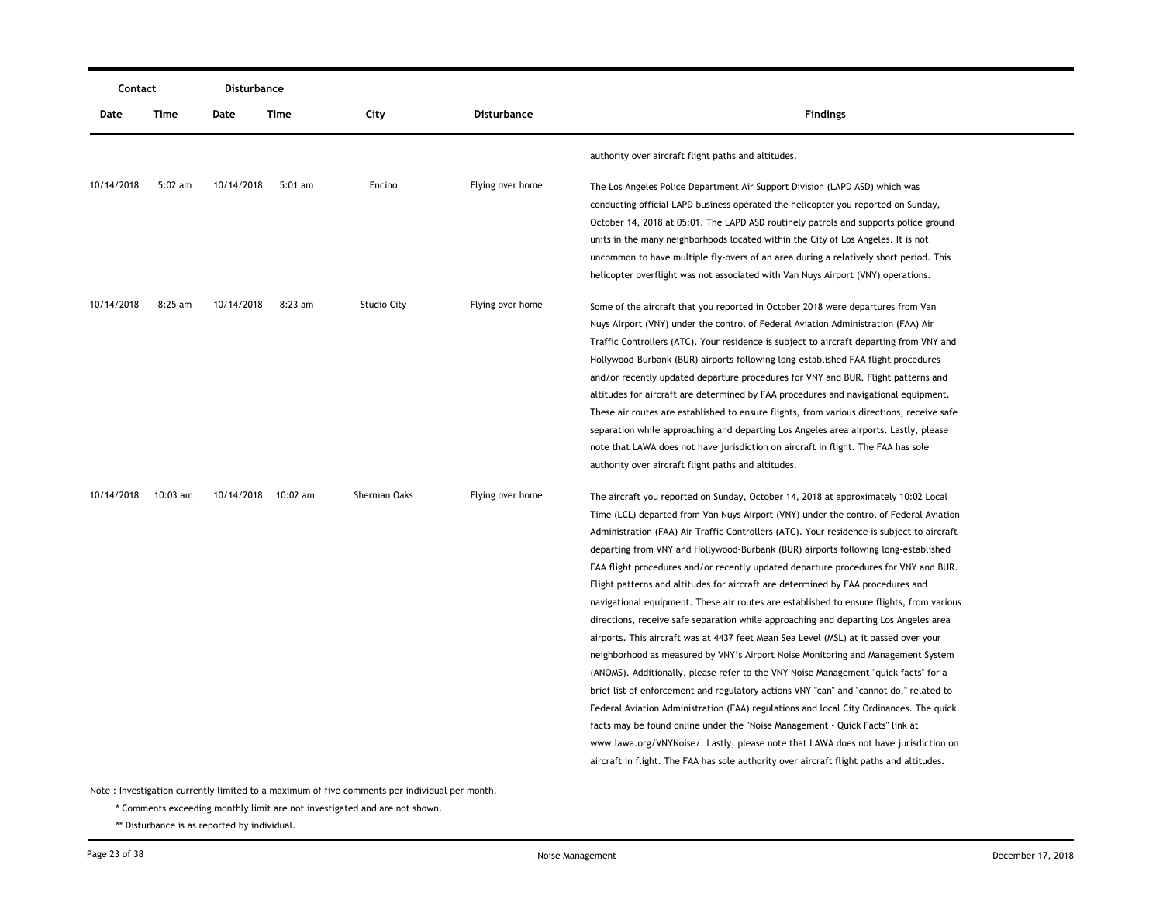|            | Contact   |            | <b>Disturbance</b>  |                    |                    |                                                                                           |
|------------|-----------|------------|---------------------|--------------------|--------------------|-------------------------------------------------------------------------------------------|
| Date       | Time      | Date       | <b>Time</b>         | City               | <b>Disturbance</b> | <b>Findings</b>                                                                           |
|            |           |            |                     |                    |                    | authority over aircraft flight paths and altitudes.                                       |
| 10/14/2018 | $5:02$ am | 10/14/2018 | $5:01$ am           | Encino             | Flying over home   | The Los Angeles Police Department Air Support Division (LAPD ASD) which was               |
|            |           |            |                     |                    |                    | conducting official LAPD business operated the helicopter you reported on Sunday,         |
|            |           |            |                     |                    |                    | October 14, 2018 at 05:01. The LAPD ASD routinely patrols and supports police ground      |
|            |           |            |                     |                    |                    | units in the many neighborhoods located within the City of Los Angeles. It is not         |
|            |           |            |                     |                    |                    | uncommon to have multiple fly-overs of an area during a relatively short period. This     |
|            |           |            |                     |                    |                    | helicopter overflight was not associated with Van Nuys Airport (VNY) operations.          |
| 10/14/2018 | $8:25$ am | 10/14/2018 | 8:23 am             | <b>Studio City</b> | Flying over home   | Some of the aircraft that you reported in October 2018 were departures from Van           |
|            |           |            |                     |                    |                    | Nuys Airport (VNY) under the control of Federal Aviation Administration (FAA) Air         |
|            |           |            |                     |                    |                    | Traffic Controllers (ATC). Your residence is subject to aircraft departing from VNY and   |
|            |           |            |                     |                    |                    | Hollywood-Burbank (BUR) airports following long-established FAA flight procedures         |
|            |           |            |                     |                    |                    | and/or recently updated departure procedures for VNY and BUR. Flight patterns and         |
|            |           |            |                     |                    |                    | altitudes for aircraft are determined by FAA procedures and navigational equipment.       |
|            |           |            |                     |                    |                    | These air routes are established to ensure flights, from various directions, receive safe |
|            |           |            |                     |                    |                    | separation while approaching and departing Los Angeles area airports. Lastly, please      |
|            |           |            |                     |                    |                    | note that LAWA does not have jurisdiction on aircraft in flight. The FAA has sole         |
|            |           |            |                     |                    |                    | authority over aircraft flight paths and altitudes.                                       |
| 10/14/2018 | 10:03 am  |            | 10/14/2018 10:02 am | Sherman Oaks       | Flying over home   | The aircraft you reported on Sunday, October 14, 2018 at approximately 10:02 Local        |
|            |           |            |                     |                    |                    | Time (LCL) departed from Van Nuys Airport (VNY) under the control of Federal Aviation     |
|            |           |            |                     |                    |                    | Administration (FAA) Air Traffic Controllers (ATC). Your residence is subject to aircraft |
|            |           |            |                     |                    |                    | departing from VNY and Hollywood-Burbank (BUR) airports following long-established        |
|            |           |            |                     |                    |                    | FAA flight procedures and/or recently updated departure procedures for VNY and BUR.       |
|            |           |            |                     |                    |                    | Flight patterns and altitudes for aircraft are determined by FAA procedures and           |
|            |           |            |                     |                    |                    | navigational equipment. These air routes are established to ensure flights, from various  |
|            |           |            |                     |                    |                    | directions, receive safe separation while approaching and departing Los Angeles area      |
|            |           |            |                     |                    |                    | airports. This aircraft was at 4437 feet Mean Sea Level (MSL) at it passed over your      |
|            |           |            |                     |                    |                    | neighborhood as measured by VNY's Airport Noise Monitoring and Management System          |
|            |           |            |                     |                    |                    | (ANOMS). Additionally, please refer to the VNY Noise Management "quick facts" for a       |
|            |           |            |                     |                    |                    | brief list of enforcement and regulatory actions VNY "can" and "cannot do," related to    |
|            |           |            |                     |                    |                    | Federal Aviation Administration (FAA) regulations and local City Ordinances. The quick    |
|            |           |            |                     |                    |                    | facts may be found online under the "Noise Management - Quick Facts" link at              |
|            |           |            |                     |                    |                    | www.lawa.org/VNYNoise/. Lastly, please note that LAWA does not have jurisdiction on       |
|            |           |            |                     |                    |                    | aircraft in flight. The FAA has sole authority over aircraft flight paths and altitudes.  |
|            |           |            |                     |                    |                    |                                                                                           |

\* Comments exceeding monthly limit are not investigated and are not shown.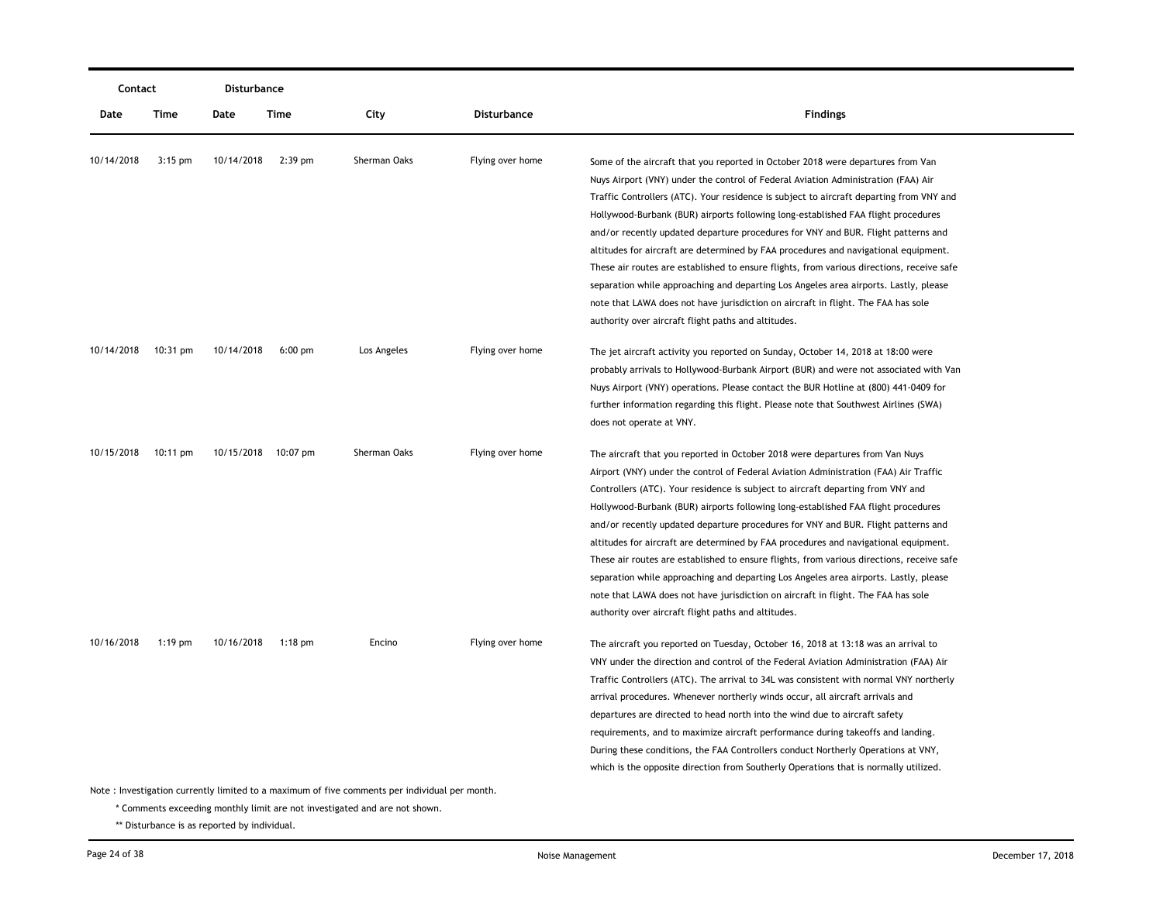|            | Contact            |                     | Disturbance |              |                  |                                                                                                                                                                                                                                                                                                                                                                                                                                                                                                                                                                                                                                                                                                                                                                                                                                                           |
|------------|--------------------|---------------------|-------------|--------------|------------------|-----------------------------------------------------------------------------------------------------------------------------------------------------------------------------------------------------------------------------------------------------------------------------------------------------------------------------------------------------------------------------------------------------------------------------------------------------------------------------------------------------------------------------------------------------------------------------------------------------------------------------------------------------------------------------------------------------------------------------------------------------------------------------------------------------------------------------------------------------------|
| Date       | Time               | Date                | <b>Time</b> | City         | Disturbance      | <b>Findings</b>                                                                                                                                                                                                                                                                                                                                                                                                                                                                                                                                                                                                                                                                                                                                                                                                                                           |
| 10/14/2018 | $3:15$ pm          | 10/14/2018          | $2:39$ pm   | Sherman Oaks | Flying over home | Some of the aircraft that you reported in October 2018 were departures from Van<br>Nuys Airport (VNY) under the control of Federal Aviation Administration (FAA) Air<br>Traffic Controllers (ATC). Your residence is subject to aircraft departing from VNY and<br>Hollywood-Burbank (BUR) airports following long-established FAA flight procedures<br>and/or recently updated departure procedures for VNY and BUR. Flight patterns and<br>altitudes for aircraft are determined by FAA procedures and navigational equipment.<br>These air routes are established to ensure flights, from various directions, receive safe<br>separation while approaching and departing Los Angeles area airports. Lastly, please<br>note that LAWA does not have jurisdiction on aircraft in flight. The FAA has sole                                                |
| 10/14/2018 | $10:31 \text{ pm}$ | 10/14/2018          | $6:00$ pm   | Los Angeles  | Flying over home | authority over aircraft flight paths and altitudes.<br>The jet aircraft activity you reported on Sunday, October 14, 2018 at 18:00 were<br>probably arrivals to Hollywood-Burbank Airport (BUR) and were not associated with Van<br>Nuys Airport (VNY) operations. Please contact the BUR Hotline at (800) 441-0409 for<br>further information regarding this flight. Please note that Southwest Airlines (SWA)<br>does not operate at VNY.                                                                                                                                                                                                                                                                                                                                                                                                               |
| 10/15/2018 | $10:11 \text{ pm}$ | 10/15/2018 10:07 pm |             | Sherman Oaks | Flying over home | The aircraft that you reported in October 2018 were departures from Van Nuys<br>Airport (VNY) under the control of Federal Aviation Administration (FAA) Air Traffic<br>Controllers (ATC). Your residence is subject to aircraft departing from VNY and<br>Hollywood-Burbank (BUR) airports following long-established FAA flight procedures<br>and/or recently updated departure procedures for VNY and BUR. Flight patterns and<br>altitudes for aircraft are determined by FAA procedures and navigational equipment.<br>These air routes are established to ensure flights, from various directions, receive safe<br>separation while approaching and departing Los Angeles area airports. Lastly, please<br>note that LAWA does not have jurisdiction on aircraft in flight. The FAA has sole<br>authority over aircraft flight paths and altitudes. |
| 10/16/2018 | $1:19$ pm          | 10/16/2018          | $1:18$ pm   | Encino       | Flying over home | The aircraft you reported on Tuesday, October 16, 2018 at 13:18 was an arrival to<br>VNY under the direction and control of the Federal Aviation Administration (FAA) Air<br>Traffic Controllers (ATC). The arrival to 34L was consistent with normal VNY northerly<br>arrival procedures. Whenever northerly winds occur, all aircraft arrivals and<br>departures are directed to head north into the wind due to aircraft safety<br>requirements, and to maximize aircraft performance during takeoffs and landing.<br>During these conditions, the FAA Controllers conduct Northerly Operations at VNY,<br>which is the opposite direction from Southerly Operations that is normally utilized.                                                                                                                                                        |

\* Comments exceeding monthly limit are not investigated and are not shown.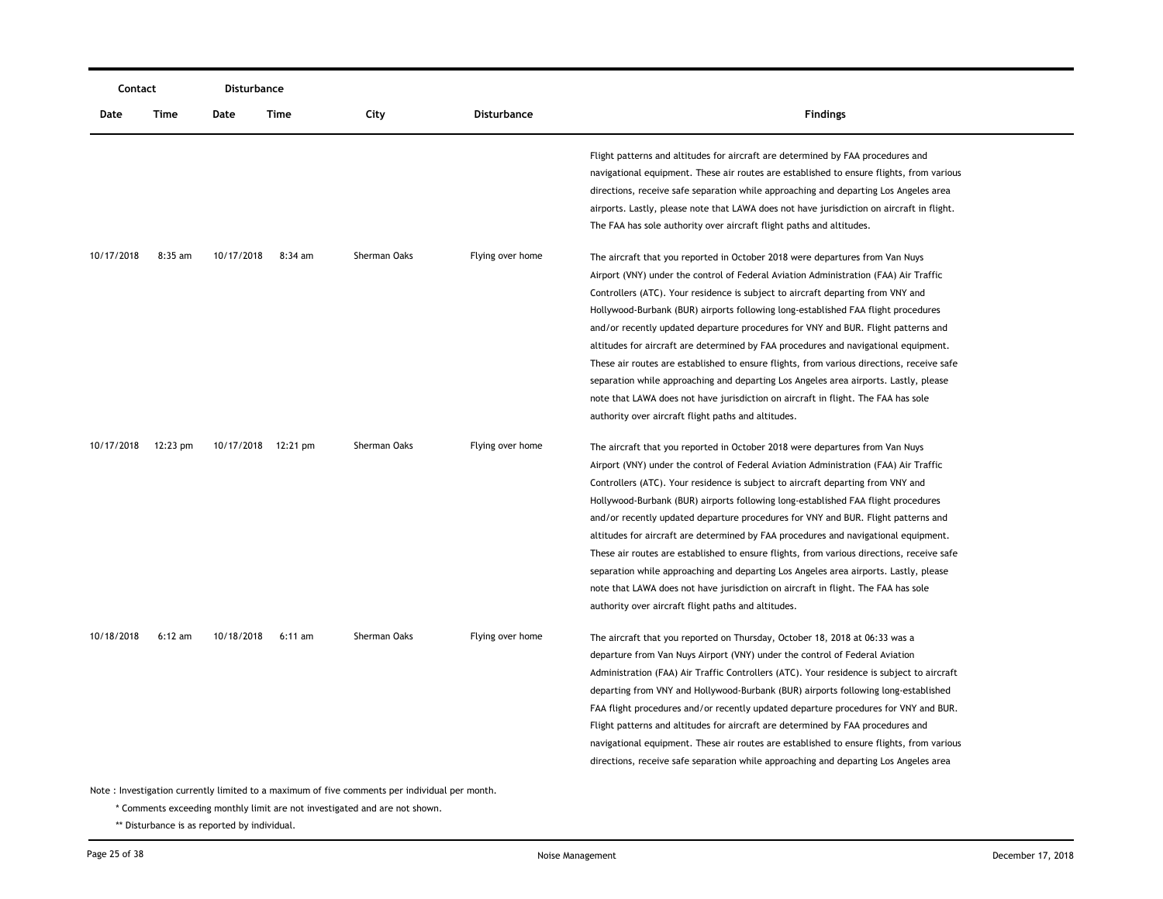|            | Contact   |            | <b>Disturbance</b>  |                                                                                               |                    |                                                                                                                                                                                                                                                                                                                                                                                                                                                                                                                                                                                                                                                                                                                                                                                                                                                           |
|------------|-----------|------------|---------------------|-----------------------------------------------------------------------------------------------|--------------------|-----------------------------------------------------------------------------------------------------------------------------------------------------------------------------------------------------------------------------------------------------------------------------------------------------------------------------------------------------------------------------------------------------------------------------------------------------------------------------------------------------------------------------------------------------------------------------------------------------------------------------------------------------------------------------------------------------------------------------------------------------------------------------------------------------------------------------------------------------------|
| Date       | Time      | Date       | Time                | City                                                                                          | <b>Disturbance</b> | <b>Findings</b>                                                                                                                                                                                                                                                                                                                                                                                                                                                                                                                                                                                                                                                                                                                                                                                                                                           |
|            |           |            |                     |                                                                                               |                    | Flight patterns and altitudes for aircraft are determined by FAA procedures and<br>navigational equipment. These air routes are established to ensure flights, from various<br>directions, receive safe separation while approaching and departing Los Angeles area<br>airports. Lastly, please note that LAWA does not have jurisdiction on aircraft in flight.<br>The FAA has sole authority over aircraft flight paths and altitudes.                                                                                                                                                                                                                                                                                                                                                                                                                  |
| 10/17/2018 | $8:35$ am | 10/17/2018 | $8:34$ am           | Sherman Oaks                                                                                  | Flying over home   | The aircraft that you reported in October 2018 were departures from Van Nuys<br>Airport (VNY) under the control of Federal Aviation Administration (FAA) Air Traffic<br>Controllers (ATC). Your residence is subject to aircraft departing from VNY and<br>Hollywood-Burbank (BUR) airports following long-established FAA flight procedures<br>and/or recently updated departure procedures for VNY and BUR. Flight patterns and<br>altitudes for aircraft are determined by FAA procedures and navigational equipment.<br>These air routes are established to ensure flights, from various directions, receive safe<br>separation while approaching and departing Los Angeles area airports. Lastly, please<br>note that LAWA does not have jurisdiction on aircraft in flight. The FAA has sole<br>authority over aircraft flight paths and altitudes. |
| 10/17/2018 | 12:23 pm  |            | 10/17/2018 12:21 pm | Sherman Oaks                                                                                  | Flying over home   | The aircraft that you reported in October 2018 were departures from Van Nuys<br>Airport (VNY) under the control of Federal Aviation Administration (FAA) Air Traffic<br>Controllers (ATC). Your residence is subject to aircraft departing from VNY and<br>Hollywood-Burbank (BUR) airports following long-established FAA flight procedures<br>and/or recently updated departure procedures for VNY and BUR. Flight patterns and<br>altitudes for aircraft are determined by FAA procedures and navigational equipment.<br>These air routes are established to ensure flights, from various directions, receive safe<br>separation while approaching and departing Los Angeles area airports. Lastly, please<br>note that LAWA does not have jurisdiction on aircraft in flight. The FAA has sole<br>authority over aircraft flight paths and altitudes. |
| 10/18/2018 | $6:12$ am | 10/18/2018 | 6:11 am             | Sherman Oaks                                                                                  | Flying over home   | The aircraft that you reported on Thursday, October 18, 2018 at 06:33 was a<br>departure from Van Nuys Airport (VNY) under the control of Federal Aviation<br>Administration (FAA) Air Traffic Controllers (ATC). Your residence is subject to aircraft<br>departing from VNY and Hollywood-Burbank (BUR) airports following long-established<br>FAA flight procedures and/or recently updated departure procedures for VNY and BUR.<br>Flight patterns and altitudes for aircraft are determined by FAA procedures and<br>navigational equipment. These air routes are established to ensure flights, from various<br>directions, receive safe separation while approaching and departing Los Angeles area                                                                                                                                               |
|            |           |            |                     | Note: Investigation currently limited to a maximum of five comments per individual per month. |                    |                                                                                                                                                                                                                                                                                                                                                                                                                                                                                                                                                                                                                                                                                                                                                                                                                                                           |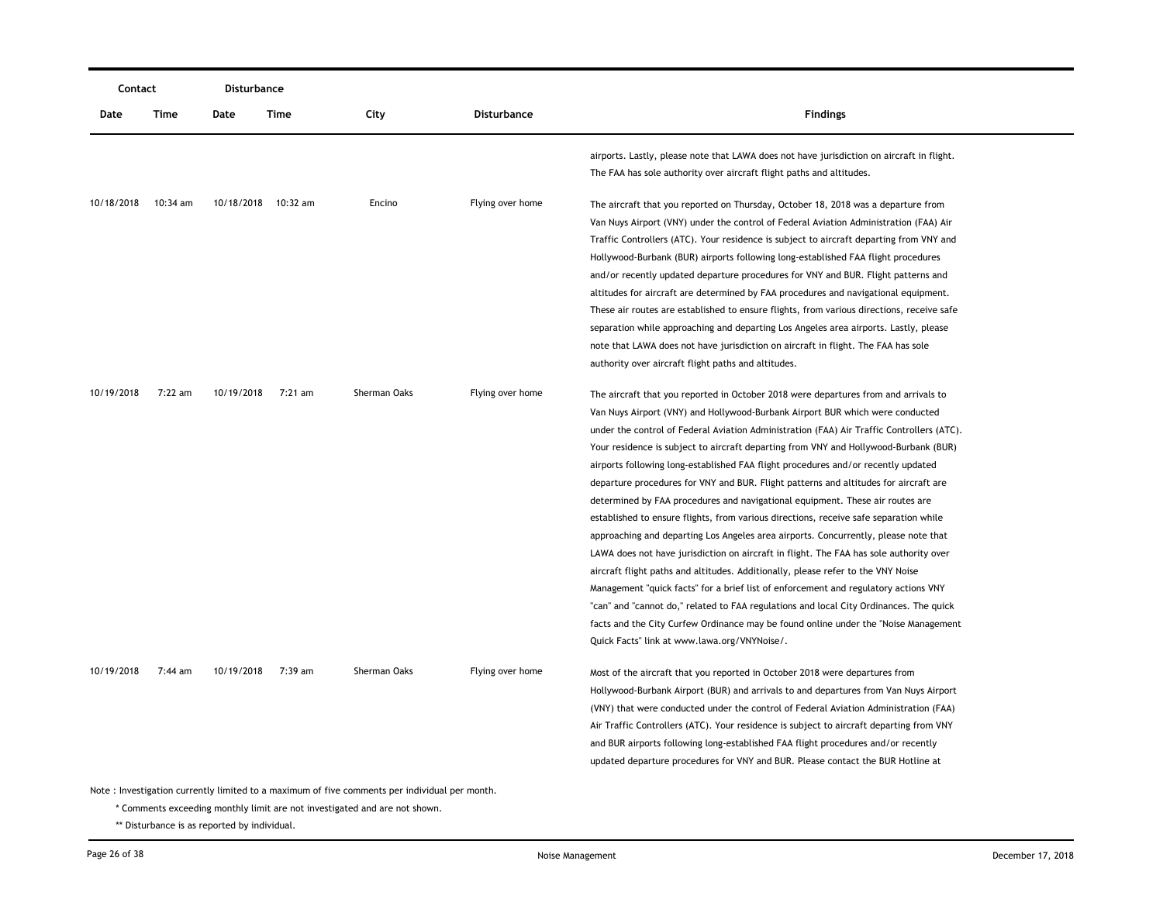|            | Contact  |            | Disturbance         |                                                                                               |                    |                                                                                                                                                                                                                                                                                                                                                                                                                                                                                                                                                                                                                                                                                                                                                                                                                                                                                                                                                                                                                                                                                                                                                                                                                                                                                                                |
|------------|----------|------------|---------------------|-----------------------------------------------------------------------------------------------|--------------------|----------------------------------------------------------------------------------------------------------------------------------------------------------------------------------------------------------------------------------------------------------------------------------------------------------------------------------------------------------------------------------------------------------------------------------------------------------------------------------------------------------------------------------------------------------------------------------------------------------------------------------------------------------------------------------------------------------------------------------------------------------------------------------------------------------------------------------------------------------------------------------------------------------------------------------------------------------------------------------------------------------------------------------------------------------------------------------------------------------------------------------------------------------------------------------------------------------------------------------------------------------------------------------------------------------------|
| Date       | Time     | Date       | Time                | City                                                                                          | <b>Disturbance</b> | <b>Findings</b>                                                                                                                                                                                                                                                                                                                                                                                                                                                                                                                                                                                                                                                                                                                                                                                                                                                                                                                                                                                                                                                                                                                                                                                                                                                                                                |
|            |          |            |                     |                                                                                               |                    | airports. Lastly, please note that LAWA does not have jurisdiction on aircraft in flight.<br>The FAA has sole authority over aircraft flight paths and altitudes.                                                                                                                                                                                                                                                                                                                                                                                                                                                                                                                                                                                                                                                                                                                                                                                                                                                                                                                                                                                                                                                                                                                                              |
| 10/18/2018 | 10:34 am |            | 10/18/2018 10:32 am | Encino                                                                                        | Flying over home   | The aircraft that you reported on Thursday, October 18, 2018 was a departure from<br>Van Nuys Airport (VNY) under the control of Federal Aviation Administration (FAA) Air<br>Traffic Controllers (ATC). Your residence is subject to aircraft departing from VNY and<br>Hollywood-Burbank (BUR) airports following long-established FAA flight procedures<br>and/or recently updated departure procedures for VNY and BUR. Flight patterns and<br>altitudes for aircraft are determined by FAA procedures and navigational equipment.<br>These air routes are established to ensure flights, from various directions, receive safe<br>separation while approaching and departing Los Angeles area airports. Lastly, please<br>note that LAWA does not have jurisdiction on aircraft in flight. The FAA has sole<br>authority over aircraft flight paths and altitudes.                                                                                                                                                                                                                                                                                                                                                                                                                                        |
| 10/19/2018 | 7:22 am  | 10/19/2018 | 7:21 am             | Sherman Oaks                                                                                  | Flying over home   | The aircraft that you reported in October 2018 were departures from and arrivals to<br>Van Nuys Airport (VNY) and Hollywood-Burbank Airport BUR which were conducted<br>under the control of Federal Aviation Administration (FAA) Air Traffic Controllers (ATC).<br>Your residence is subject to aircraft departing from VNY and Hollywood-Burbank (BUR)<br>airports following long-established FAA flight procedures and/or recently updated<br>departure procedures for VNY and BUR. Flight patterns and altitudes for aircraft are<br>determined by FAA procedures and navigational equipment. These air routes are<br>established to ensure flights, from various directions, receive safe separation while<br>approaching and departing Los Angeles area airports. Concurrently, please note that<br>LAWA does not have jurisdiction on aircraft in flight. The FAA has sole authority over<br>aircraft flight paths and altitudes. Additionally, please refer to the VNY Noise<br>Management "quick facts" for a brief list of enforcement and regulatory actions VNY<br>"can" and "cannot do," related to FAA regulations and local City Ordinances. The quick<br>facts and the City Curfew Ordinance may be found online under the "Noise Management"<br>Quick Facts" link at www.lawa.org/VNYNoise/. |
| 10/19/2018 | 7:44 am  | 10/19/2018 | 7:39 am             | Sherman Oaks                                                                                  | Flying over home   | Most of the aircraft that you reported in October 2018 were departures from<br>Hollywood-Burbank Airport (BUR) and arrivals to and departures from Van Nuys Airport<br>(VNY) that were conducted under the control of Federal Aviation Administration (FAA)<br>Air Traffic Controllers (ATC). Your residence is subject to aircraft departing from VNY<br>and BUR airports following long-established FAA flight procedures and/or recently<br>updated departure procedures for VNY and BUR. Please contact the BUR Hotline at                                                                                                                                                                                                                                                                                                                                                                                                                                                                                                                                                                                                                                                                                                                                                                                 |
|            |          |            |                     | Note: Investigation currently limited to a maximum of five comments per individual per month. |                    |                                                                                                                                                                                                                                                                                                                                                                                                                                                                                                                                                                                                                                                                                                                                                                                                                                                                                                                                                                                                                                                                                                                                                                                                                                                                                                                |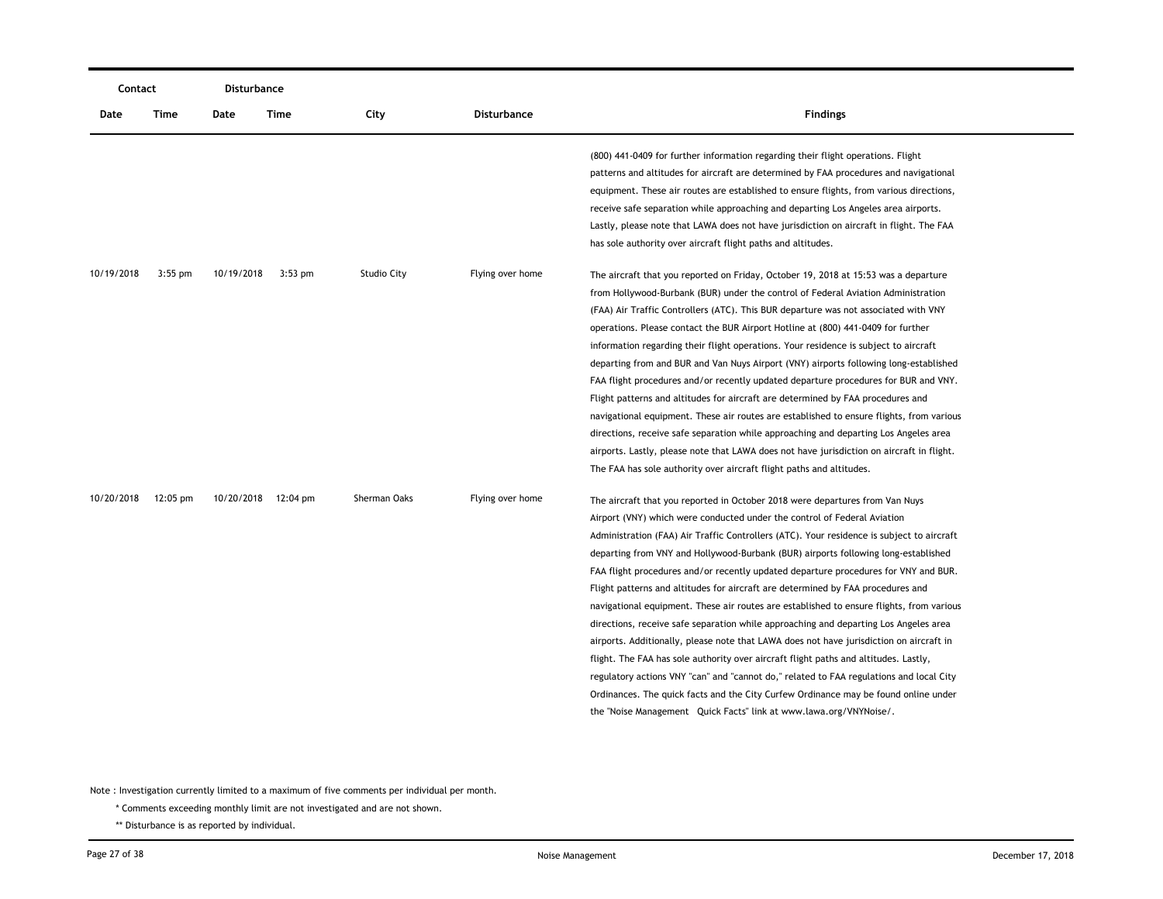| Contact    |            | <b>Disturbance</b>  |           |                    |                    |                                                                                                                                                                                                                                                                                                                                                                                                                                                                                                                                                                                                                                                                                                                                                                                                                                                                                                                                                                                                                                                                                                                                                      |
|------------|------------|---------------------|-----------|--------------------|--------------------|------------------------------------------------------------------------------------------------------------------------------------------------------------------------------------------------------------------------------------------------------------------------------------------------------------------------------------------------------------------------------------------------------------------------------------------------------------------------------------------------------------------------------------------------------------------------------------------------------------------------------------------------------------------------------------------------------------------------------------------------------------------------------------------------------------------------------------------------------------------------------------------------------------------------------------------------------------------------------------------------------------------------------------------------------------------------------------------------------------------------------------------------------|
| Date       | Time       | Date                | Time      | City               | <b>Disturbance</b> | <b>Findings</b>                                                                                                                                                                                                                                                                                                                                                                                                                                                                                                                                                                                                                                                                                                                                                                                                                                                                                                                                                                                                                                                                                                                                      |
|            |            |                     |           |                    |                    | (800) 441-0409 for further information regarding their flight operations. Flight<br>patterns and altitudes for aircraft are determined by FAA procedures and navigational<br>equipment. These air routes are established to ensure flights, from various directions,<br>receive safe separation while approaching and departing Los Angeles area airports.<br>Lastly, please note that LAWA does not have jurisdiction on aircraft in flight. The FAA                                                                                                                                                                                                                                                                                                                                                                                                                                                                                                                                                                                                                                                                                                |
| 10/19/2018 | $3:55$ pm  | 10/19/2018          | $3:53$ pm | <b>Studio City</b> | Flying over home   | has sole authority over aircraft flight paths and altitudes.<br>The aircraft that you reported on Friday, October 19, 2018 at 15:53 was a departure<br>from Hollywood-Burbank (BUR) under the control of Federal Aviation Administration<br>(FAA) Air Traffic Controllers (ATC). This BUR departure was not associated with VNY<br>operations. Please contact the BUR Airport Hotline at (800) 441-0409 for further<br>information regarding their flight operations. Your residence is subject to aircraft<br>departing from and BUR and Van Nuys Airport (VNY) airports following long-established<br>FAA flight procedures and/or recently updated departure procedures for BUR and VNY.<br>Flight patterns and altitudes for aircraft are determined by FAA procedures and<br>navigational equipment. These air routes are established to ensure flights, from various<br>directions, receive safe separation while approaching and departing Los Angeles area<br>airports. Lastly, please note that LAWA does not have jurisdiction on aircraft in flight.<br>The FAA has sole authority over aircraft flight paths and altitudes.              |
| 10/20/2018 | $12:05$ pm | 10/20/2018 12:04 pm |           | Sherman Oaks       | Flying over home   | The aircraft that you reported in October 2018 were departures from Van Nuys<br>Airport (VNY) which were conducted under the control of Federal Aviation<br>Administration (FAA) Air Traffic Controllers (ATC). Your residence is subject to aircraft<br>departing from VNY and Hollywood-Burbank (BUR) airports following long-established<br>FAA flight procedures and/or recently updated departure procedures for VNY and BUR.<br>Flight patterns and altitudes for aircraft are determined by FAA procedures and<br>navigational equipment. These air routes are established to ensure flights, from various<br>directions, receive safe separation while approaching and departing Los Angeles area<br>airports. Additionally, please note that LAWA does not have jurisdiction on aircraft in<br>flight. The FAA has sole authority over aircraft flight paths and altitudes. Lastly,<br>regulatory actions VNY "can" and "cannot do," related to FAA regulations and local City<br>Ordinances. The quick facts and the City Curfew Ordinance may be found online under<br>the "Noise Management Quick Facts" link at www.lawa.org/VNYNoise/. |

\* Comments exceeding monthly limit are not investigated and are not shown.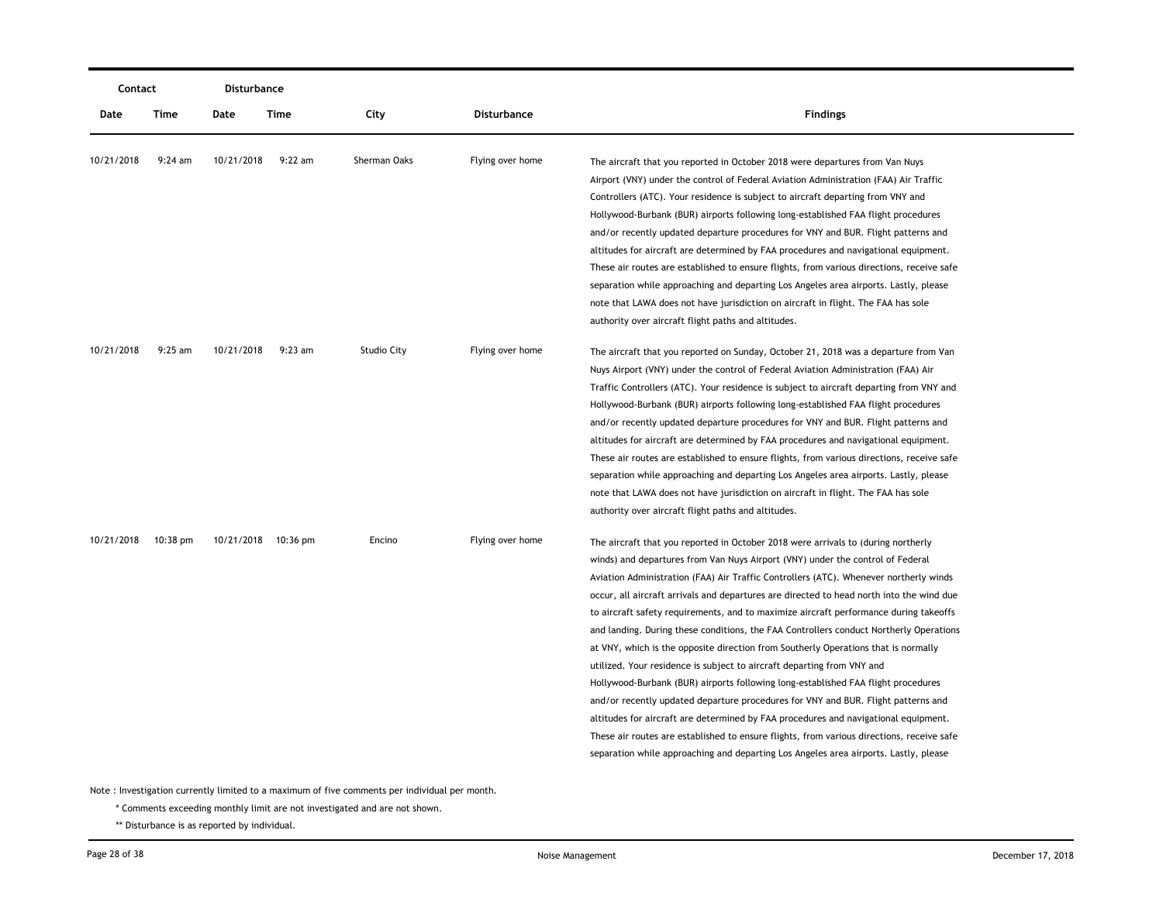| Contact    |            | <b>Disturbance</b> |                     |                    |                    |                                                                                                                                                                                                                                                                                                                                                                                                                                                                                                                                                                                                                                                                                                                                                                                                                                                                                                                                                                                                                                                                                                                                                                   |
|------------|------------|--------------------|---------------------|--------------------|--------------------|-------------------------------------------------------------------------------------------------------------------------------------------------------------------------------------------------------------------------------------------------------------------------------------------------------------------------------------------------------------------------------------------------------------------------------------------------------------------------------------------------------------------------------------------------------------------------------------------------------------------------------------------------------------------------------------------------------------------------------------------------------------------------------------------------------------------------------------------------------------------------------------------------------------------------------------------------------------------------------------------------------------------------------------------------------------------------------------------------------------------------------------------------------------------|
| Date       | Time       | Date               | <b>Time</b>         | City               | <b>Disturbance</b> | <b>Findings</b>                                                                                                                                                                                                                                                                                                                                                                                                                                                                                                                                                                                                                                                                                                                                                                                                                                                                                                                                                                                                                                                                                                                                                   |
| 10/21/2018 | $9:24$ am  | 10/21/2018         | $9:22$ am           | Sherman Oaks       | Flying over home   | The aircraft that you reported in October 2018 were departures from Van Nuys<br>Airport (VNY) under the control of Federal Aviation Administration (FAA) Air Traffic<br>Controllers (ATC). Your residence is subject to aircraft departing from VNY and<br>Hollywood-Burbank (BUR) airports following long-established FAA flight procedures<br>and/or recently updated departure procedures for VNY and BUR. Flight patterns and<br>altitudes for aircraft are determined by FAA procedures and navigational equipment.<br>These air routes are established to ensure flights, from various directions, receive safe<br>separation while approaching and departing Los Angeles area airports. Lastly, please<br>note that LAWA does not have jurisdiction on aircraft in flight. The FAA has sole<br>authority over aircraft flight paths and altitudes.                                                                                                                                                                                                                                                                                                         |
| 10/21/2018 | $9:25$ am  | 10/21/2018         | $9:23$ am           | <b>Studio City</b> | Flying over home   | The aircraft that you reported on Sunday, October 21, 2018 was a departure from Van<br>Nuys Airport (VNY) under the control of Federal Aviation Administration (FAA) Air<br>Traffic Controllers (ATC). Your residence is subject to aircraft departing from VNY and<br>Hollywood-Burbank (BUR) airports following long-established FAA flight procedures<br>and/or recently updated departure procedures for VNY and BUR. Flight patterns and<br>altitudes for aircraft are determined by FAA procedures and navigational equipment.<br>These air routes are established to ensure flights, from various directions, receive safe<br>separation while approaching and departing Los Angeles area airports. Lastly, please<br>note that LAWA does not have jurisdiction on aircraft in flight. The FAA has sole<br>authority over aircraft flight paths and altitudes.                                                                                                                                                                                                                                                                                             |
| 10/21/2018 | $10:38$ pm |                    | 10/21/2018 10:36 pm | Encino             | Flying over home   | The aircraft that you reported in October 2018 were arrivals to (during northerly<br>winds) and departures from Van Nuys Airport (VNY) under the control of Federal<br>Aviation Administration (FAA) Air Traffic Controllers (ATC). Whenever northerly winds<br>occur, all aircraft arrivals and departures are directed to head north into the wind due<br>to aircraft safety requirements, and to maximize aircraft performance during takeoffs<br>and landing. During these conditions, the FAA Controllers conduct Northerly Operations<br>at VNY, which is the opposite direction from Southerly Operations that is normally<br>utilized. Your residence is subject to aircraft departing from VNY and<br>Hollywood-Burbank (BUR) airports following long-established FAA flight procedures<br>and/or recently updated departure procedures for VNY and BUR. Flight patterns and<br>altitudes for aircraft are determined by FAA procedures and navigational equipment.<br>These air routes are established to ensure flights, from various directions, receive safe<br>separation while approaching and departing Los Angeles area airports. Lastly, please |

\* Comments exceeding monthly limit are not investigated and are not shown.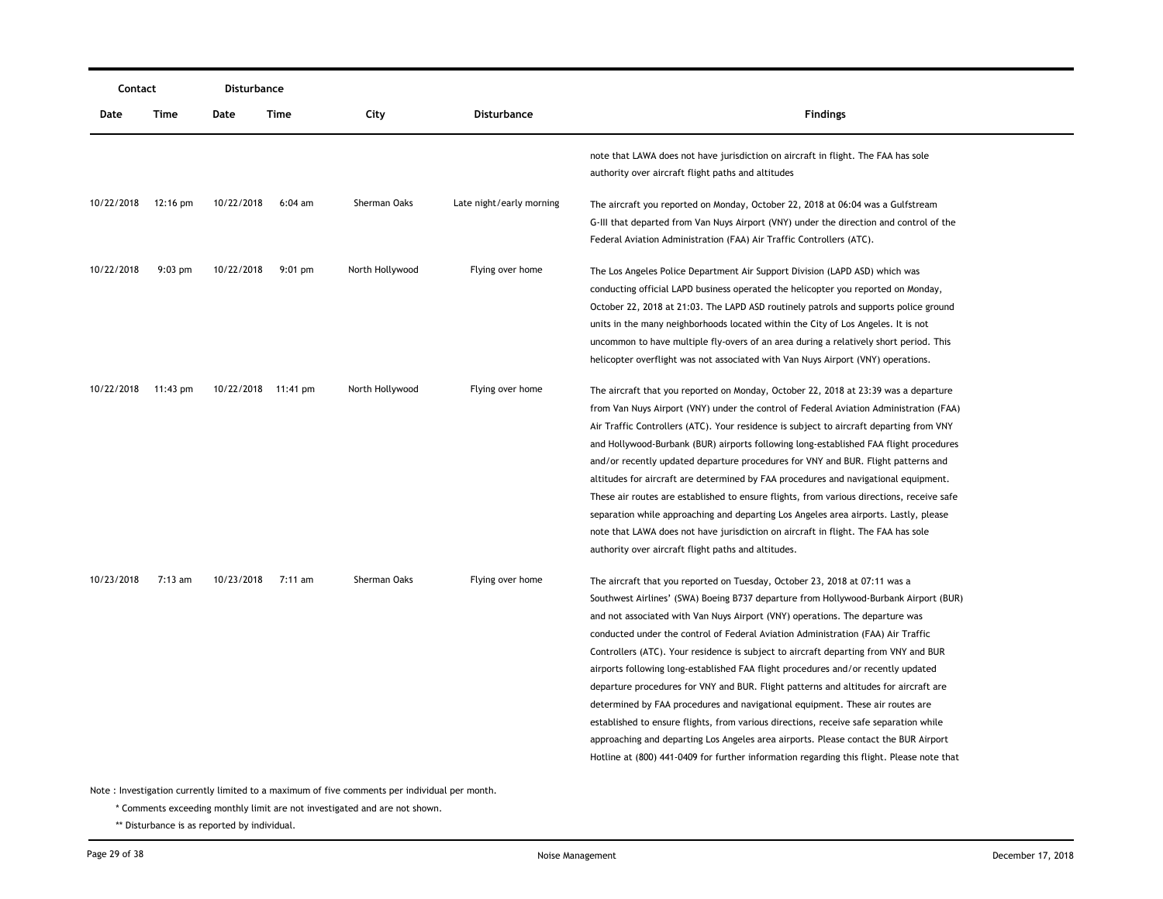| Contact    |                    | Disturbance |                     |                 |                          |                                                                                                                                                                                                                                                                                                                                                                                                                                                                                                                                                                                                                                                                                                                                                                                                                                                                                                                                                                          |
|------------|--------------------|-------------|---------------------|-----------------|--------------------------|--------------------------------------------------------------------------------------------------------------------------------------------------------------------------------------------------------------------------------------------------------------------------------------------------------------------------------------------------------------------------------------------------------------------------------------------------------------------------------------------------------------------------------------------------------------------------------------------------------------------------------------------------------------------------------------------------------------------------------------------------------------------------------------------------------------------------------------------------------------------------------------------------------------------------------------------------------------------------|
| Date       | Time               | Date        | Time                | City            | Disturbance              | <b>Findings</b>                                                                                                                                                                                                                                                                                                                                                                                                                                                                                                                                                                                                                                                                                                                                                                                                                                                                                                                                                          |
|            |                    |             |                     |                 |                          | note that LAWA does not have jurisdiction on aircraft in flight. The FAA has sole<br>authority over aircraft flight paths and altitudes                                                                                                                                                                                                                                                                                                                                                                                                                                                                                                                                                                                                                                                                                                                                                                                                                                  |
| 10/22/2018 | $12:16 \text{ pm}$ | 10/22/2018  | $6:04$ am           | Sherman Oaks    | Late night/early morning | The aircraft you reported on Monday, October 22, 2018 at 06:04 was a Gulfstream<br>G-III that departed from Van Nuys Airport (VNY) under the direction and control of the<br>Federal Aviation Administration (FAA) Air Traffic Controllers (ATC).                                                                                                                                                                                                                                                                                                                                                                                                                                                                                                                                                                                                                                                                                                                        |
| 10/22/2018 | $9:03$ pm          | 10/22/2018  | $9:01 \text{ pm}$   | North Hollywood | Flying over home         | The Los Angeles Police Department Air Support Division (LAPD ASD) which was<br>conducting official LAPD business operated the helicopter you reported on Monday,<br>October 22, 2018 at 21:03. The LAPD ASD routinely patrols and supports police ground<br>units in the many neighborhoods located within the City of Los Angeles. It is not<br>uncommon to have multiple fly-overs of an area during a relatively short period. This<br>helicopter overflight was not associated with Van Nuys Airport (VNY) operations.                                                                                                                                                                                                                                                                                                                                                                                                                                               |
| 10/22/2018 | 11:43 $pm$         |             | 10/22/2018 11:41 pm | North Hollywood | Flying over home         | The aircraft that you reported on Monday, October 22, 2018 at 23:39 was a departure<br>from Van Nuys Airport (VNY) under the control of Federal Aviation Administration (FAA)<br>Air Traffic Controllers (ATC). Your residence is subject to aircraft departing from VNY<br>and Hollywood-Burbank (BUR) airports following long-established FAA flight procedures<br>and/or recently updated departure procedures for VNY and BUR. Flight patterns and<br>altitudes for aircraft are determined by FAA procedures and navigational equipment.<br>These air routes are established to ensure flights, from various directions, receive safe<br>separation while approaching and departing Los Angeles area airports. Lastly, please<br>note that LAWA does not have jurisdiction on aircraft in flight. The FAA has sole<br>authority over aircraft flight paths and altitudes.                                                                                           |
| 10/23/2018 | 7:13 am            | 10/23/2018  | 7:11 am             | Sherman Oaks    | Flying over home         | The aircraft that you reported on Tuesday, October 23, 2018 at 07:11 was a<br>Southwest Airlines' (SWA) Boeing B737 departure from Hollywood-Burbank Airport (BUR)<br>and not associated with Van Nuys Airport (VNY) operations. The departure was<br>conducted under the control of Federal Aviation Administration (FAA) Air Traffic<br>Controllers (ATC). Your residence is subject to aircraft departing from VNY and BUR<br>airports following long-established FAA flight procedures and/or recently updated<br>departure procedures for VNY and BUR. Flight patterns and altitudes for aircraft are<br>determined by FAA procedures and navigational equipment. These air routes are<br>established to ensure flights, from various directions, receive safe separation while<br>approaching and departing Los Angeles area airports. Please contact the BUR Airport<br>Hotline at (800) 441-0409 for further information regarding this flight. Please note that |

\* Comments exceeding monthly limit are not investigated and are not shown.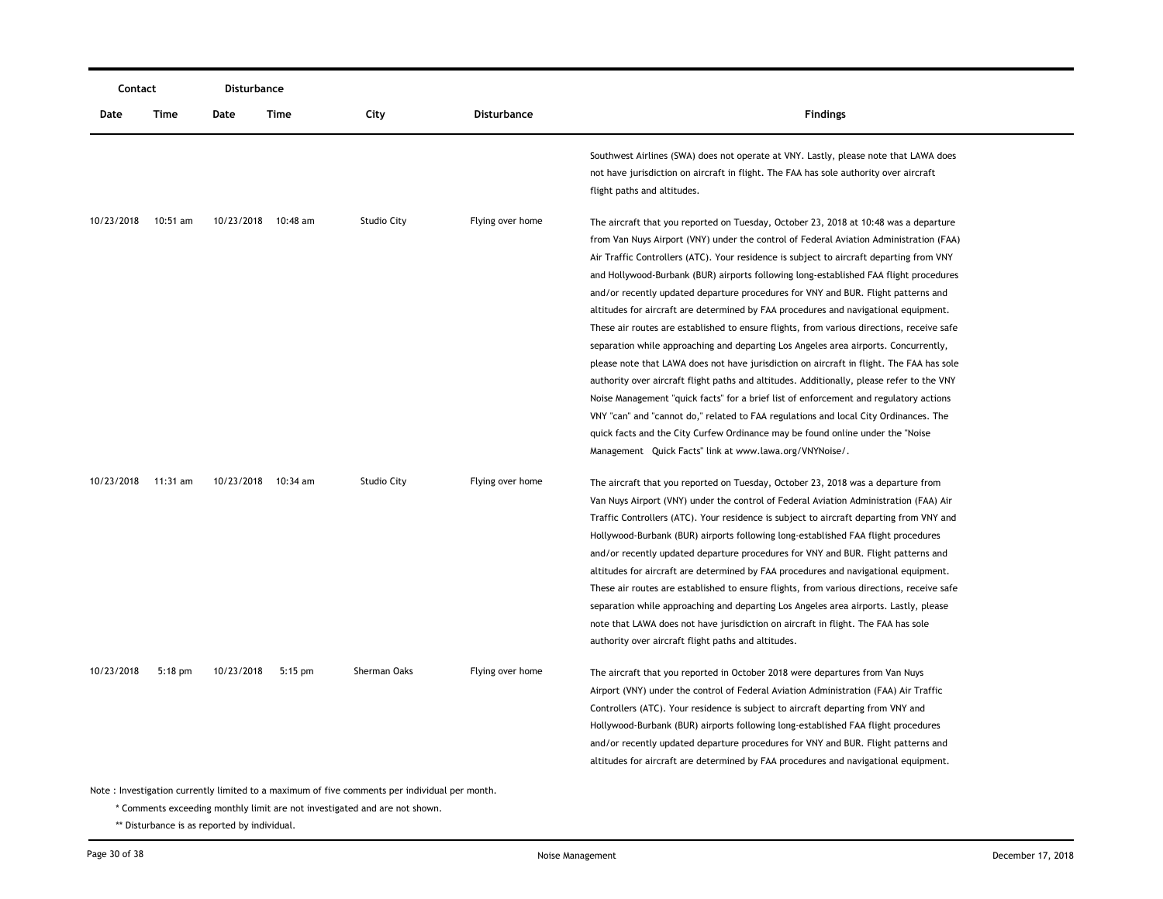|            | Contact                                                                                       |                     | <b>Disturbance</b> |                    |                  |                                                                                                                                                                                                                                                                                                                                                                                                                                                                                                                                                                                                                                                                                                                                                                                                                                                                                                                                                                                                                                                                                                                                                                                                                                                            |  |  |
|------------|-----------------------------------------------------------------------------------------------|---------------------|--------------------|--------------------|------------------|------------------------------------------------------------------------------------------------------------------------------------------------------------------------------------------------------------------------------------------------------------------------------------------------------------------------------------------------------------------------------------------------------------------------------------------------------------------------------------------------------------------------------------------------------------------------------------------------------------------------------------------------------------------------------------------------------------------------------------------------------------------------------------------------------------------------------------------------------------------------------------------------------------------------------------------------------------------------------------------------------------------------------------------------------------------------------------------------------------------------------------------------------------------------------------------------------------------------------------------------------------|--|--|
| Date       | Time                                                                                          | Date                | Time               | City               | Disturbance      | <b>Findings</b>                                                                                                                                                                                                                                                                                                                                                                                                                                                                                                                                                                                                                                                                                                                                                                                                                                                                                                                                                                                                                                                                                                                                                                                                                                            |  |  |
|            |                                                                                               |                     |                    |                    |                  | Southwest Airlines (SWA) does not operate at VNY. Lastly, please note that LAWA does<br>not have jurisdiction on aircraft in flight. The FAA has sole authority over aircraft<br>flight paths and altitudes.                                                                                                                                                                                                                                                                                                                                                                                                                                                                                                                                                                                                                                                                                                                                                                                                                                                                                                                                                                                                                                               |  |  |
| 10/23/2018 | 10:51 am                                                                                      | 10/23/2018 10:48 am |                    | Studio City        | Flying over home | The aircraft that you reported on Tuesday, October 23, 2018 at 10:48 was a departure<br>from Van Nuys Airport (VNY) under the control of Federal Aviation Administration (FAA)<br>Air Traffic Controllers (ATC). Your residence is subject to aircraft departing from VNY<br>and Hollywood-Burbank (BUR) airports following long-established FAA flight procedures<br>and/or recently updated departure procedures for VNY and BUR. Flight patterns and<br>altitudes for aircraft are determined by FAA procedures and navigational equipment.<br>These air routes are established to ensure flights, from various directions, receive safe<br>separation while approaching and departing Los Angeles area airports. Concurrently,<br>please note that LAWA does not have jurisdiction on aircraft in flight. The FAA has sole<br>authority over aircraft flight paths and altitudes. Additionally, please refer to the VNY<br>Noise Management "quick facts" for a brief list of enforcement and regulatory actions<br>VNY "can" and "cannot do," related to FAA regulations and local City Ordinances. The<br>quick facts and the City Curfew Ordinance may be found online under the "Noise"<br>Management Quick Facts" link at www.lawa.org/VNYNoise/. |  |  |
| 10/23/2018 | 11:31 am                                                                                      | 10/23/2018 10:34 am |                    | <b>Studio City</b> | Flying over home | The aircraft that you reported on Tuesday, October 23, 2018 was a departure from<br>Van Nuys Airport (VNY) under the control of Federal Aviation Administration (FAA) Air<br>Traffic Controllers (ATC). Your residence is subject to aircraft departing from VNY and<br>Hollywood-Burbank (BUR) airports following long-established FAA flight procedures<br>and/or recently updated departure procedures for VNY and BUR. Flight patterns and<br>altitudes for aircraft are determined by FAA procedures and navigational equipment.<br>These air routes are established to ensure flights, from various directions, receive safe<br>separation while approaching and departing Los Angeles area airports. Lastly, please<br>note that LAWA does not have jurisdiction on aircraft in flight. The FAA has sole<br>authority over aircraft flight paths and altitudes.                                                                                                                                                                                                                                                                                                                                                                                     |  |  |
| 10/23/2018 | $5:18$ pm                                                                                     | 10/23/2018          | $5:15$ pm          | Sherman Oaks       | Flying over home | The aircraft that you reported in October 2018 were departures from Van Nuys<br>Airport (VNY) under the control of Federal Aviation Administration (FAA) Air Traffic<br>Controllers (ATC). Your residence is subject to aircraft departing from VNY and<br>Hollywood-Burbank (BUR) airports following long-established FAA flight procedures<br>and/or recently updated departure procedures for VNY and BUR. Flight patterns and<br>altitudes for aircraft are determined by FAA procedures and navigational equipment.                                                                                                                                                                                                                                                                                                                                                                                                                                                                                                                                                                                                                                                                                                                                   |  |  |
|            | Note: Investigation currently limited to a maximum of five comments per individual per month. |                     |                    |                    |                  |                                                                                                                                                                                                                                                                                                                                                                                                                                                                                                                                                                                                                                                                                                                                                                                                                                                                                                                                                                                                                                                                                                                                                                                                                                                            |  |  |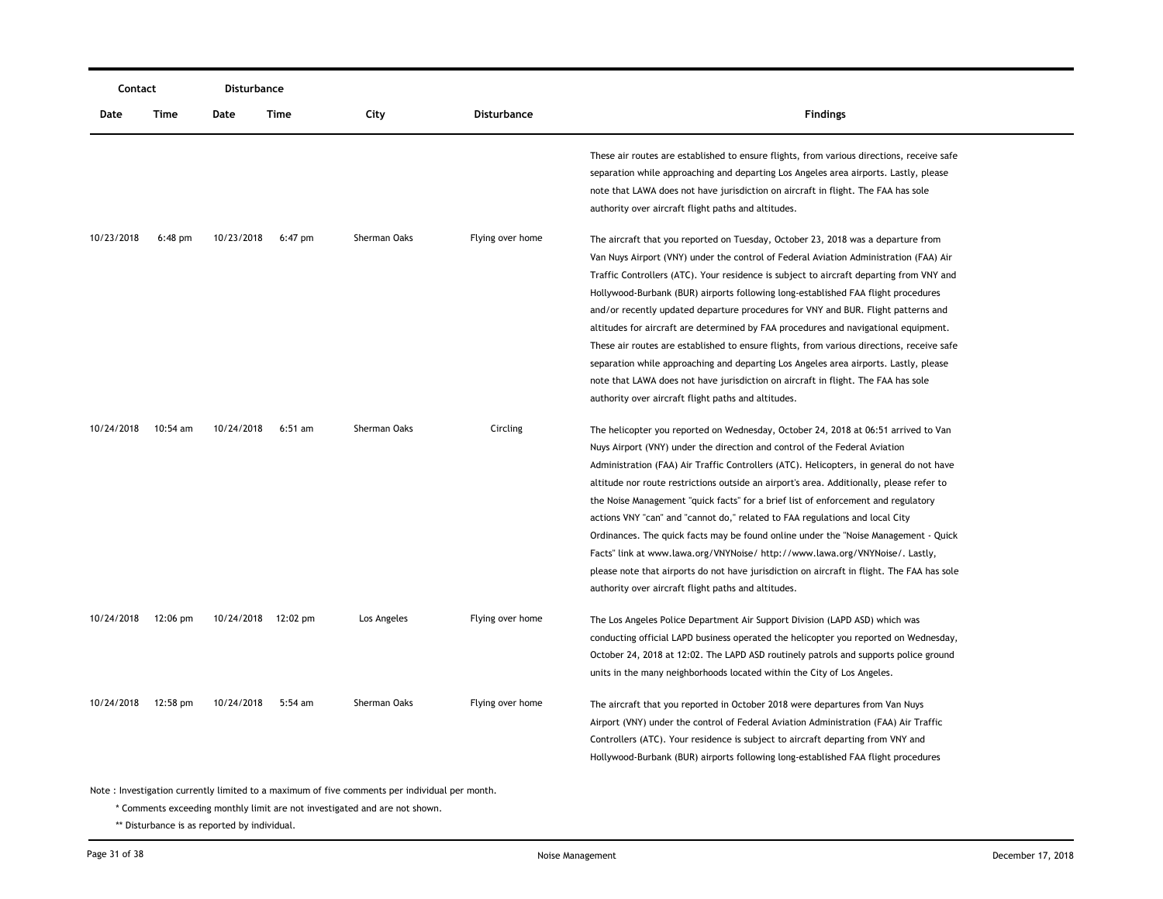|            | Contact            |                     | <b>Disturbance</b> |                                                                                               |                  |                                                                                            |
|------------|--------------------|---------------------|--------------------|-----------------------------------------------------------------------------------------------|------------------|--------------------------------------------------------------------------------------------|
| Date       | Time               | Date                | Time               | City                                                                                          | Disturbance      | <b>Findings</b>                                                                            |
|            |                    |                     |                    |                                                                                               |                  | These air routes are established to ensure flights, from various directions, receive safe  |
|            |                    |                     |                    |                                                                                               |                  | separation while approaching and departing Los Angeles area airports. Lastly, please       |
|            |                    |                     |                    |                                                                                               |                  | note that LAWA does not have jurisdiction on aircraft in flight. The FAA has sole          |
|            |                    |                     |                    |                                                                                               |                  | authority over aircraft flight paths and altitudes.                                        |
| 10/23/2018 | $6:48$ pm          | 10/23/2018          | $6:47$ pm          | Sherman Oaks                                                                                  | Flying over home | The aircraft that you reported on Tuesday, October 23, 2018 was a departure from           |
|            |                    |                     |                    |                                                                                               |                  | Van Nuys Airport (VNY) under the control of Federal Aviation Administration (FAA) Air      |
|            |                    |                     |                    |                                                                                               |                  | Traffic Controllers (ATC). Your residence is subject to aircraft departing from VNY and    |
|            |                    |                     |                    |                                                                                               |                  | Hollywood-Burbank (BUR) airports following long-established FAA flight procedures          |
|            |                    |                     |                    |                                                                                               |                  | and/or recently updated departure procedures for VNY and BUR. Flight patterns and          |
|            |                    |                     |                    |                                                                                               |                  | altitudes for aircraft are determined by FAA procedures and navigational equipment.        |
|            |                    |                     |                    |                                                                                               |                  | These air routes are established to ensure flights, from various directions, receive safe  |
|            |                    |                     |                    |                                                                                               |                  | separation while approaching and departing Los Angeles area airports. Lastly, please       |
|            |                    |                     |                    |                                                                                               |                  | note that LAWA does not have jurisdiction on aircraft in flight. The FAA has sole          |
|            |                    |                     |                    |                                                                                               |                  | authority over aircraft flight paths and altitudes.                                        |
| 10/24/2018 | 10:54 am           | 10/24/2018          | $6:51$ am          | Sherman Oaks                                                                                  | Circling         | The helicopter you reported on Wednesday, October 24, 2018 at 06:51 arrived to Van         |
|            |                    |                     |                    |                                                                                               |                  | Nuys Airport (VNY) under the direction and control of the Federal Aviation                 |
|            |                    |                     |                    |                                                                                               |                  | Administration (FAA) Air Traffic Controllers (ATC). Helicopters, in general do not have    |
|            |                    |                     |                    |                                                                                               |                  | altitude nor route restrictions outside an airport's area. Additionally, please refer to   |
|            |                    |                     |                    |                                                                                               |                  | the Noise Management "quick facts" for a brief list of enforcement and regulatory          |
|            |                    |                     |                    |                                                                                               |                  | actions VNY "can" and "cannot do," related to FAA regulations and local City               |
|            |                    |                     |                    |                                                                                               |                  | Ordinances. The quick facts may be found online under the "Noise Management - Quick        |
|            |                    |                     |                    |                                                                                               |                  | Facts" link at www.lawa.org/VNYNoise/ http://www.lawa.org/VNYNoise/. Lastly,               |
|            |                    |                     |                    |                                                                                               |                  | please note that airports do not have jurisdiction on aircraft in flight. The FAA has sole |
|            |                    |                     |                    |                                                                                               |                  | authority over aircraft flight paths and altitudes.                                        |
| 10/24/2018 | $12:06 \text{ pm}$ | 10/24/2018 12:02 pm |                    | Los Angeles                                                                                   | Flying over home | The Los Angeles Police Department Air Support Division (LAPD ASD) which was                |
|            |                    |                     |                    |                                                                                               |                  | conducting official LAPD business operated the helicopter you reported on Wednesday,       |
|            |                    |                     |                    |                                                                                               |                  | October 24, 2018 at 12:02. The LAPD ASD routinely patrols and supports police ground       |
|            |                    |                     |                    |                                                                                               |                  | units in the many neighborhoods located within the City of Los Angeles.                    |
| 10/24/2018 | 12:58 pm           | 10/24/2018          | 5:54 am            | Sherman Oaks                                                                                  | Flying over home | The aircraft that you reported in October 2018 were departures from Van Nuys               |
|            |                    |                     |                    |                                                                                               |                  | Airport (VNY) under the control of Federal Aviation Administration (FAA) Air Traffic       |
|            |                    |                     |                    |                                                                                               |                  | Controllers (ATC). Your residence is subject to aircraft departing from VNY and            |
|            |                    |                     |                    |                                                                                               |                  | Hollywood-Burbank (BUR) airports following long-established FAA flight procedures          |
|            |                    |                     |                    |                                                                                               |                  |                                                                                            |
|            |                    |                     |                    | Note: Investigation currently limited to a maximum of five comments per individual per month. |                  |                                                                                            |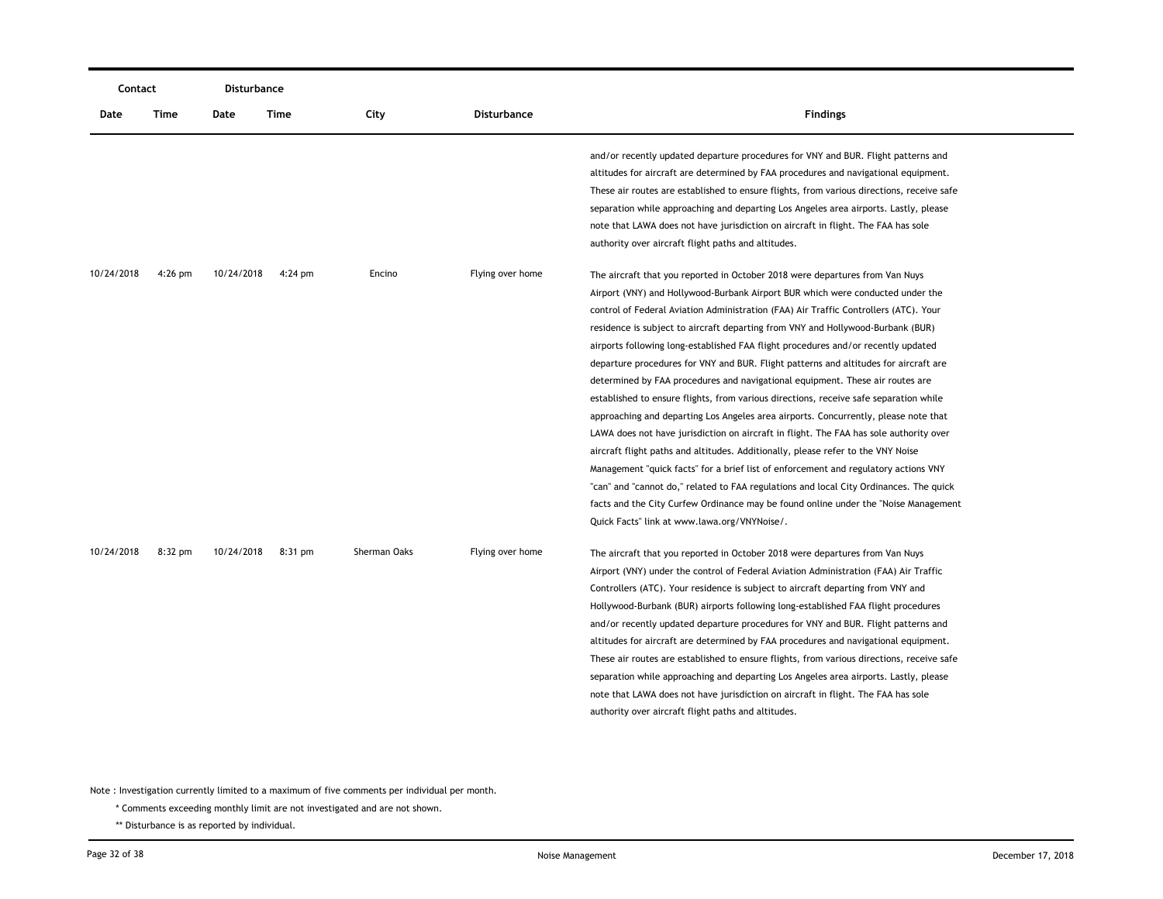| Contact    |           | <b>Disturbance</b> |           |              |                    |                                                                                                                                                                          |
|------------|-----------|--------------------|-----------|--------------|--------------------|--------------------------------------------------------------------------------------------------------------------------------------------------------------------------|
| Date       | Time      | Date               | Time      | City         | <b>Disturbance</b> | <b>Findings</b>                                                                                                                                                          |
|            |           |                    |           |              |                    | and/or recently updated departure procedures for VNY and BUR. Flight patterns and<br>altitudes for aircraft are determined by FAA procedures and navigational equipment. |
|            |           |                    |           |              |                    | These air routes are established to ensure flights, from various directions, receive safe                                                                                |
|            |           |                    |           |              |                    | separation while approaching and departing Los Angeles area airports. Lastly, please                                                                                     |
|            |           |                    |           |              |                    | note that LAWA does not have jurisdiction on aircraft in flight. The FAA has sole                                                                                        |
|            |           |                    |           |              |                    | authority over aircraft flight paths and altitudes.                                                                                                                      |
| 10/24/2018 | $4:26$ pm | 10/24/2018         | $4:24$ pm | Encino       | Flying over home   | The aircraft that you reported in October 2018 were departures from Van Nuys                                                                                             |
|            |           |                    |           |              |                    | Airport (VNY) and Hollywood-Burbank Airport BUR which were conducted under the                                                                                           |
|            |           |                    |           |              |                    | control of Federal Aviation Administration (FAA) Air Traffic Controllers (ATC). Your                                                                                     |
|            |           |                    |           |              |                    | residence is subject to aircraft departing from VNY and Hollywood-Burbank (BUR)                                                                                          |
|            |           |                    |           |              |                    | airports following long-established FAA flight procedures and/or recently updated                                                                                        |
|            |           |                    |           |              |                    | departure procedures for VNY and BUR. Flight patterns and altitudes for aircraft are                                                                                     |
|            |           |                    |           |              |                    | determined by FAA procedures and navigational equipment. These air routes are                                                                                            |
|            |           |                    |           |              |                    | established to ensure flights, from various directions, receive safe separation while                                                                                    |
|            |           |                    |           |              |                    | approaching and departing Los Angeles area airports. Concurrently, please note that                                                                                      |
|            |           |                    |           |              |                    | LAWA does not have jurisdiction on aircraft in flight. The FAA has sole authority over                                                                                   |
|            |           |                    |           |              |                    | aircraft flight paths and altitudes. Additionally, please refer to the VNY Noise                                                                                         |
|            |           |                    |           |              |                    | Management "quick facts" for a brief list of enforcement and regulatory actions VNY                                                                                      |
|            |           |                    |           |              |                    | "can" and "cannot do," related to FAA regulations and local City Ordinances. The quick                                                                                   |
|            |           |                    |           |              |                    | facts and the City Curfew Ordinance may be found online under the "Noise Management"                                                                                     |
|            |           |                    |           |              |                    | Quick Facts" link at www.lawa.org/VNYNoise/.                                                                                                                             |
| 10/24/2018 | $8:32$ pm | 10/24/2018         | 8:31 pm   | Sherman Oaks | Flying over home   | The aircraft that you reported in October 2018 were departures from Van Nuys                                                                                             |
|            |           |                    |           |              |                    | Airport (VNY) under the control of Federal Aviation Administration (FAA) Air Traffic                                                                                     |
|            |           |                    |           |              |                    | Controllers (ATC). Your residence is subject to aircraft departing from VNY and                                                                                          |
|            |           |                    |           |              |                    | Hollywood-Burbank (BUR) airports following long-established FAA flight procedures                                                                                        |
|            |           |                    |           |              |                    | and/or recently updated departure procedures for VNY and BUR. Flight patterns and                                                                                        |
|            |           |                    |           |              |                    | altitudes for aircraft are determined by FAA procedures and navigational equipment.                                                                                      |
|            |           |                    |           |              |                    | These air routes are established to ensure flights, from various directions, receive safe                                                                                |
|            |           |                    |           |              |                    | separation while approaching and departing Los Angeles area airports. Lastly, please                                                                                     |
|            |           |                    |           |              |                    | note that LAWA does not have jurisdiction on aircraft in flight. The FAA has sole                                                                                        |
|            |           |                    |           |              |                    | authority over aircraft flight paths and altitudes.                                                                                                                      |
|            |           |                    |           |              |                    |                                                                                                                                                                          |

\* Comments exceeding monthly limit are not investigated and are not shown.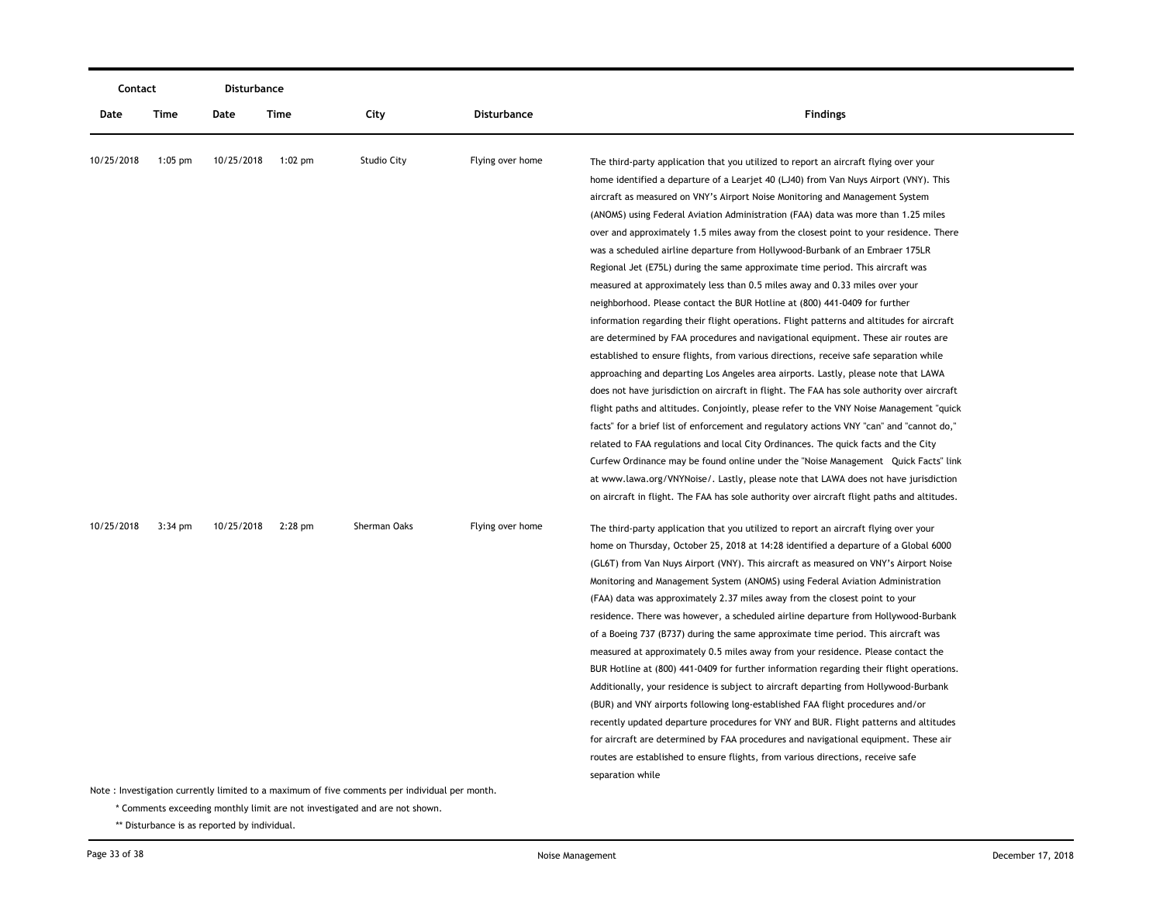|            | Contact   |            | <b>Disturbance</b> |                                                                                               |                  |                                                                                             |
|------------|-----------|------------|--------------------|-----------------------------------------------------------------------------------------------|------------------|---------------------------------------------------------------------------------------------|
| Date       | Time      | Date       | <b>Time</b>        | City                                                                                          | Disturbance      | <b>Findings</b>                                                                             |
| 10/25/2018 | $1:05$ pm | 10/25/2018 | $1:02$ pm          | <b>Studio City</b>                                                                            | Flying over home | The third-party application that you utilized to report an aircraft flying over your        |
|            |           |            |                    |                                                                                               |                  | home identified a departure of a Learjet 40 (LJ40) from Van Nuys Airport (VNY). This        |
|            |           |            |                    |                                                                                               |                  | aircraft as measured on VNY's Airport Noise Monitoring and Management System                |
|            |           |            |                    |                                                                                               |                  | (ANOMS) using Federal Aviation Administration (FAA) data was more than 1.25 miles           |
|            |           |            |                    |                                                                                               |                  | over and approximately 1.5 miles away from the closest point to your residence. There       |
|            |           |            |                    |                                                                                               |                  | was a scheduled airline departure from Hollywood-Burbank of an Embraer 175LR                |
|            |           |            |                    |                                                                                               |                  | Regional Jet (E75L) during the same approximate time period. This aircraft was              |
|            |           |            |                    |                                                                                               |                  | measured at approximately less than 0.5 miles away and 0.33 miles over your                 |
|            |           |            |                    |                                                                                               |                  | neighborhood. Please contact the BUR Hotline at (800) 441-0409 for further                  |
|            |           |            |                    |                                                                                               |                  | information regarding their flight operations. Flight patterns and altitudes for aircraft   |
|            |           |            |                    |                                                                                               |                  | are determined by FAA procedures and navigational equipment. These air routes are           |
|            |           |            |                    |                                                                                               |                  | established to ensure flights, from various directions, receive safe separation while       |
|            |           |            |                    |                                                                                               |                  | approaching and departing Los Angeles area airports. Lastly, please note that LAWA          |
|            |           |            |                    |                                                                                               |                  | does not have jurisdiction on aircraft in flight. The FAA has sole authority over aircraft  |
|            |           |            |                    |                                                                                               |                  | flight paths and altitudes. Conjointly, please refer to the VNY Noise Management "quick"    |
|            |           |            |                    |                                                                                               |                  | facts" for a brief list of enforcement and regulatory actions VNY "can" and "cannot do,"    |
|            |           |            |                    |                                                                                               |                  | related to FAA regulations and local City Ordinances. The quick facts and the City          |
|            |           |            |                    |                                                                                               |                  | Curfew Ordinance may be found online under the "Noise Management Quick Facts" link          |
|            |           |            |                    |                                                                                               |                  | at www.lawa.org/VNYNoise/. Lastly, please note that LAWA does not have jurisdiction         |
|            |           |            |                    |                                                                                               |                  | on aircraft in flight. The FAA has sole authority over aircraft flight paths and altitudes. |
| 10/25/2018 | $3:34$ pm | 10/25/2018 | $2:28$ pm          | Sherman Oaks                                                                                  | Flying over home | The third-party application that you utilized to report an aircraft flying over your        |
|            |           |            |                    |                                                                                               |                  | home on Thursday, October 25, 2018 at 14:28 identified a departure of a Global 6000         |
|            |           |            |                    |                                                                                               |                  | (GL6T) from Van Nuys Airport (VNY). This aircraft as measured on VNY's Airport Noise        |
|            |           |            |                    |                                                                                               |                  | Monitoring and Management System (ANOMS) using Federal Aviation Administration              |
|            |           |            |                    |                                                                                               |                  | (FAA) data was approximately 2.37 miles away from the closest point to your                 |
|            |           |            |                    |                                                                                               |                  | residence. There was however, a scheduled airline departure from Hollywood-Burbank          |
|            |           |            |                    |                                                                                               |                  | of a Boeing 737 (B737) during the same approximate time period. This aircraft was           |
|            |           |            |                    |                                                                                               |                  | measured at approximately 0.5 miles away from your residence. Please contact the            |
|            |           |            |                    |                                                                                               |                  | BUR Hotline at (800) 441-0409 for further information regarding their flight operations.    |
|            |           |            |                    |                                                                                               |                  | Additionally, your residence is subject to aircraft departing from Hollywood-Burbank        |
|            |           |            |                    |                                                                                               |                  | (BUR) and VNY airports following long-established FAA flight procedures and/or              |
|            |           |            |                    |                                                                                               |                  | recently updated departure procedures for VNY and BUR. Flight patterns and altitudes        |
|            |           |            |                    |                                                                                               |                  | for aircraft are determined by FAA procedures and navigational equipment. These air         |
|            |           |            |                    |                                                                                               |                  | routes are established to ensure flights, from various directions, receive safe             |
|            |           |            |                    |                                                                                               |                  | separation while                                                                            |
|            |           |            |                    | Note: Investigation currently limited to a maximum of five comments per individual per month. |                  |                                                                                             |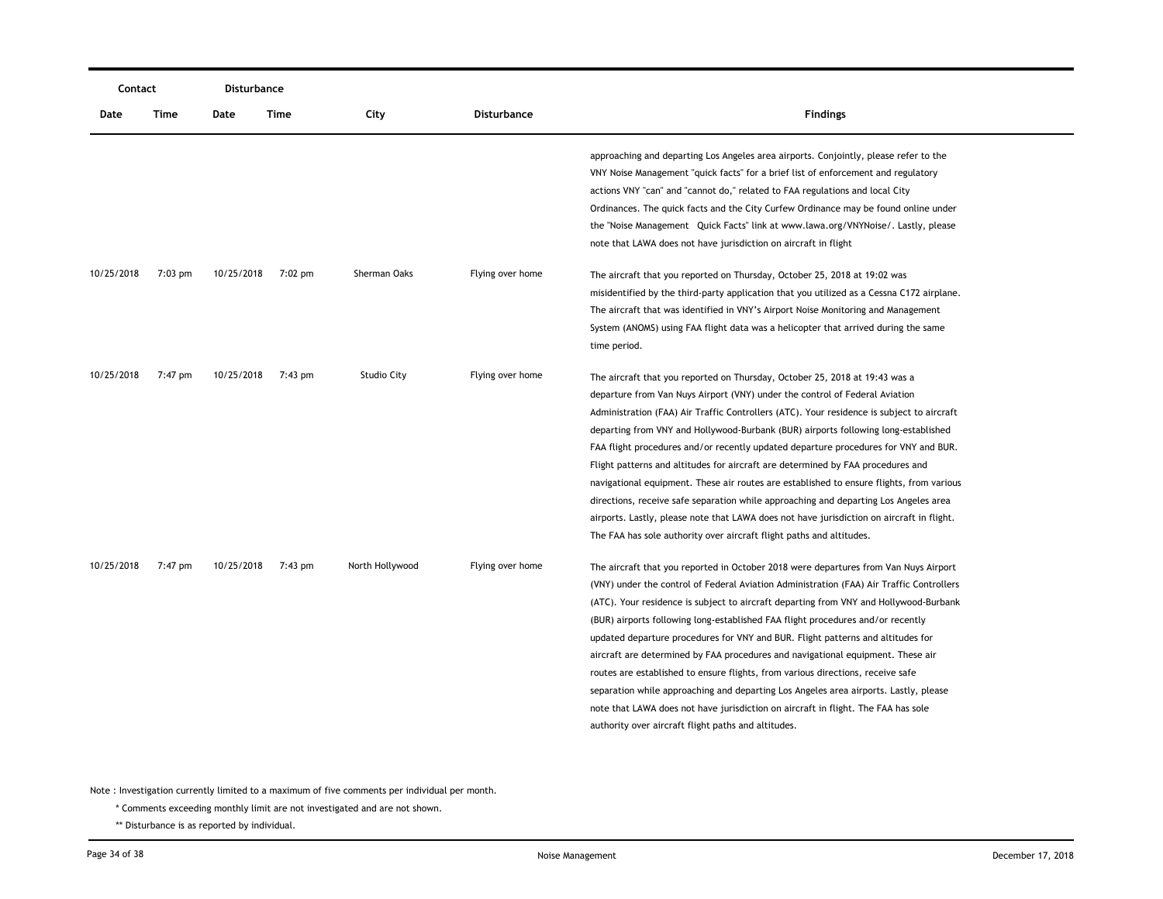|            | Contact   |            | <b>Disturbance</b> |                    |                  |                                                                                                                                                                                                                                                                                                                                                                                                                                                                                                                                                                                                                                                                                                                                                                                                                                                                                  |
|------------|-----------|------------|--------------------|--------------------|------------------|----------------------------------------------------------------------------------------------------------------------------------------------------------------------------------------------------------------------------------------------------------------------------------------------------------------------------------------------------------------------------------------------------------------------------------------------------------------------------------------------------------------------------------------------------------------------------------------------------------------------------------------------------------------------------------------------------------------------------------------------------------------------------------------------------------------------------------------------------------------------------------|
| Date       | Time      | Date       | Time               | City               | Disturbance      | <b>Findings</b>                                                                                                                                                                                                                                                                                                                                                                                                                                                                                                                                                                                                                                                                                                                                                                                                                                                                  |
|            |           |            |                    |                    |                  | approaching and departing Los Angeles area airports. Conjointly, please refer to the<br>VNY Noise Management "quick facts" for a brief list of enforcement and regulatory<br>actions VNY "can" and "cannot do," related to FAA regulations and local City<br>Ordinances. The quick facts and the City Curfew Ordinance may be found online under<br>the "Noise Management Quick Facts" link at www.lawa.org/VNYNoise/. Lastly, please<br>note that LAWA does not have jurisdiction on aircraft in flight                                                                                                                                                                                                                                                                                                                                                                         |
| 10/25/2018 | $7:03$ pm | 10/25/2018 | $7:02 \text{ pm}$  | Sherman Oaks       | Flying over home | The aircraft that you reported on Thursday, October 25, 2018 at 19:02 was<br>misidentified by the third-party application that you utilized as a Cessna C172 airplane.<br>The aircraft that was identified in VNY's Airport Noise Monitoring and Management<br>System (ANOMS) using FAA flight data was a helicopter that arrived during the same<br>time period.                                                                                                                                                                                                                                                                                                                                                                                                                                                                                                                |
| 10/25/2018 | 7:47 pm   | 10/25/2018 | 7:43 pm            | <b>Studio City</b> | Flying over home | The aircraft that you reported on Thursday, October 25, 2018 at 19:43 was a<br>departure from Van Nuys Airport (VNY) under the control of Federal Aviation<br>Administration (FAA) Air Traffic Controllers (ATC). Your residence is subject to aircraft<br>departing from VNY and Hollywood-Burbank (BUR) airports following long-established<br>FAA flight procedures and/or recently updated departure procedures for VNY and BUR.<br>Flight patterns and altitudes for aircraft are determined by FAA procedures and<br>navigational equipment. These air routes are established to ensure flights, from various<br>directions, receive safe separation while approaching and departing Los Angeles area<br>airports. Lastly, please note that LAWA does not have jurisdiction on aircraft in flight.<br>The FAA has sole authority over aircraft flight paths and altitudes. |
| 10/25/2018 | 7:47 pm   | 10/25/2018 | 7:43 pm            | North Hollywood    | Flying over home | The aircraft that you reported in October 2018 were departures from Van Nuys Airport<br>(VNY) under the control of Federal Aviation Administration (FAA) Air Traffic Controllers<br>(ATC). Your residence is subject to aircraft departing from VNY and Hollywood-Burbank<br>(BUR) airports following long-established FAA flight procedures and/or recently<br>updated departure procedures for VNY and BUR. Flight patterns and altitudes for<br>aircraft are determined by FAA procedures and navigational equipment. These air<br>routes are established to ensure flights, from various directions, receive safe<br>separation while approaching and departing Los Angeles area airports. Lastly, please<br>note that LAWA does not have jurisdiction on aircraft in flight. The FAA has sole<br>authority over aircraft flight paths and altitudes.                        |

\* Comments exceeding monthly limit are not investigated and are not shown.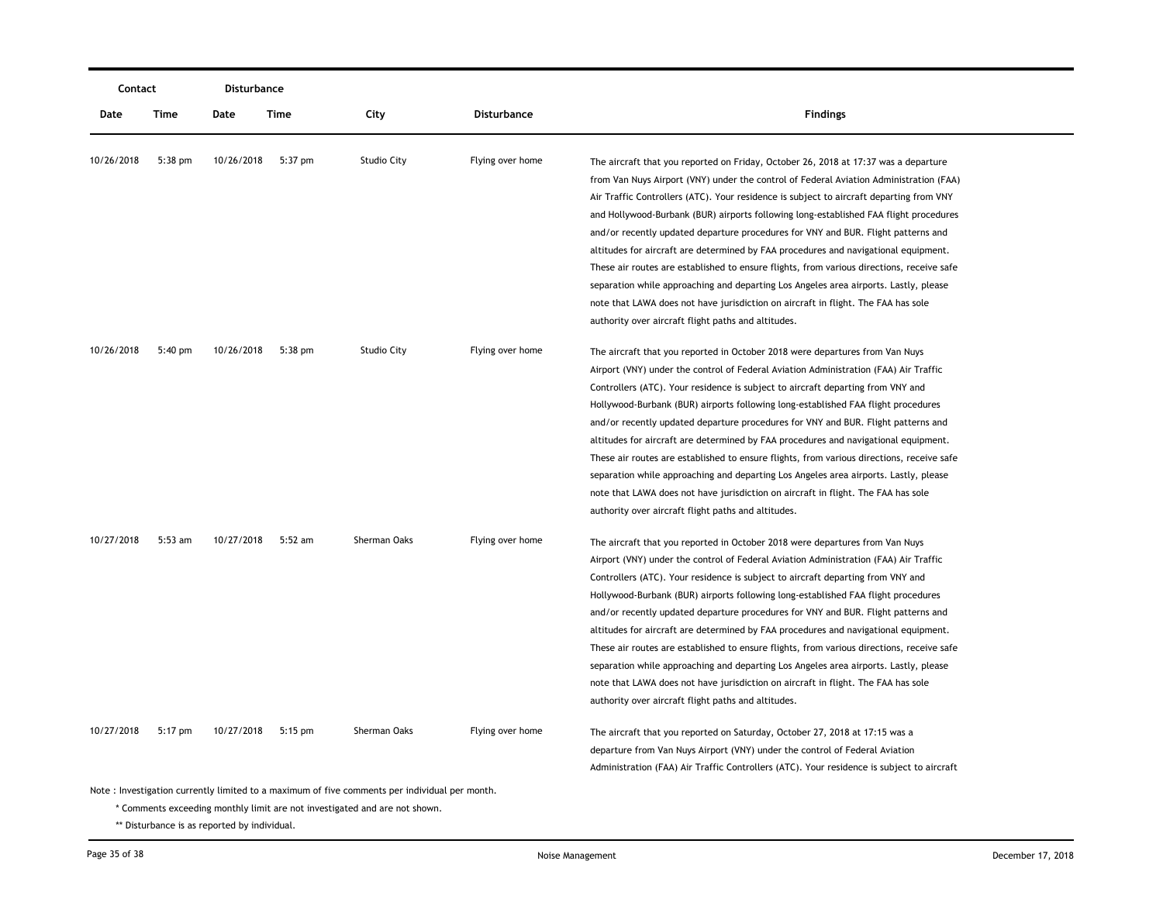| Contact    |           | Disturbance |           |              |                    |                                                                                                                                                                                                                                                                                                                                                                                                                                                                                                                                                                                                                                                                                                                                                                                                                                                                                |
|------------|-----------|-------------|-----------|--------------|--------------------|--------------------------------------------------------------------------------------------------------------------------------------------------------------------------------------------------------------------------------------------------------------------------------------------------------------------------------------------------------------------------------------------------------------------------------------------------------------------------------------------------------------------------------------------------------------------------------------------------------------------------------------------------------------------------------------------------------------------------------------------------------------------------------------------------------------------------------------------------------------------------------|
| Date       | Time      | Date        | Time      | City         | <b>Disturbance</b> | <b>Findings</b>                                                                                                                                                                                                                                                                                                                                                                                                                                                                                                                                                                                                                                                                                                                                                                                                                                                                |
| 10/26/2018 | $5:38$ pm | 10/26/2018  | $5:37$ pm | Studio City  | Flying over home   | The aircraft that you reported on Friday, October 26, 2018 at 17:37 was a departure<br>from Van Nuys Airport (VNY) under the control of Federal Aviation Administration (FAA)<br>Air Traffic Controllers (ATC). Your residence is subject to aircraft departing from VNY<br>and Hollywood-Burbank (BUR) airports following long-established FAA flight procedures<br>and/or recently updated departure procedures for VNY and BUR. Flight patterns and<br>altitudes for aircraft are determined by FAA procedures and navigational equipment.<br>These air routes are established to ensure flights, from various directions, receive safe<br>separation while approaching and departing Los Angeles area airports. Lastly, please<br>note that LAWA does not have jurisdiction on aircraft in flight. The FAA has sole<br>authority over aircraft flight paths and altitudes. |
| 10/26/2018 | $5:40$ pm | 10/26/2018  | $5:38$ pm | Studio City  | Flying over home   | The aircraft that you reported in October 2018 were departures from Van Nuys<br>Airport (VNY) under the control of Federal Aviation Administration (FAA) Air Traffic<br>Controllers (ATC). Your residence is subject to aircraft departing from VNY and<br>Hollywood-Burbank (BUR) airports following long-established FAA flight procedures<br>and/or recently updated departure procedures for VNY and BUR. Flight patterns and<br>altitudes for aircraft are determined by FAA procedures and navigational equipment.<br>These air routes are established to ensure flights, from various directions, receive safe<br>separation while approaching and departing Los Angeles area airports. Lastly, please<br>note that LAWA does not have jurisdiction on aircraft in flight. The FAA has sole<br>authority over aircraft flight paths and altitudes.                      |
| 10/27/2018 | $5:53$ am | 10/27/2018  | 5:52 am   | Sherman Oaks | Flying over home   | The aircraft that you reported in October 2018 were departures from Van Nuys<br>Airport (VNY) under the control of Federal Aviation Administration (FAA) Air Traffic<br>Controllers (ATC). Your residence is subject to aircraft departing from VNY and<br>Hollywood-Burbank (BUR) airports following long-established FAA flight procedures<br>and/or recently updated departure procedures for VNY and BUR. Flight patterns and<br>altitudes for aircraft are determined by FAA procedures and navigational equipment.<br>These air routes are established to ensure flights, from various directions, receive safe<br>separation while approaching and departing Los Angeles area airports. Lastly, please<br>note that LAWA does not have jurisdiction on aircraft in flight. The FAA has sole<br>authority over aircraft flight paths and altitudes.                      |
| 10/27/2018 | 5:17 pm   | 10/27/2018  | $5:15$ pm | Sherman Oaks | Flying over home   | The aircraft that you reported on Saturday, October 27, 2018 at 17:15 was a<br>departure from Van Nuys Airport (VNY) under the control of Federal Aviation<br>Administration (FAA) Air Traffic Controllers (ATC). Your residence is subject to aircraft                                                                                                                                                                                                                                                                                                                                                                                                                                                                                                                                                                                                                        |

\* Comments exceeding monthly limit are not investigated and are not shown.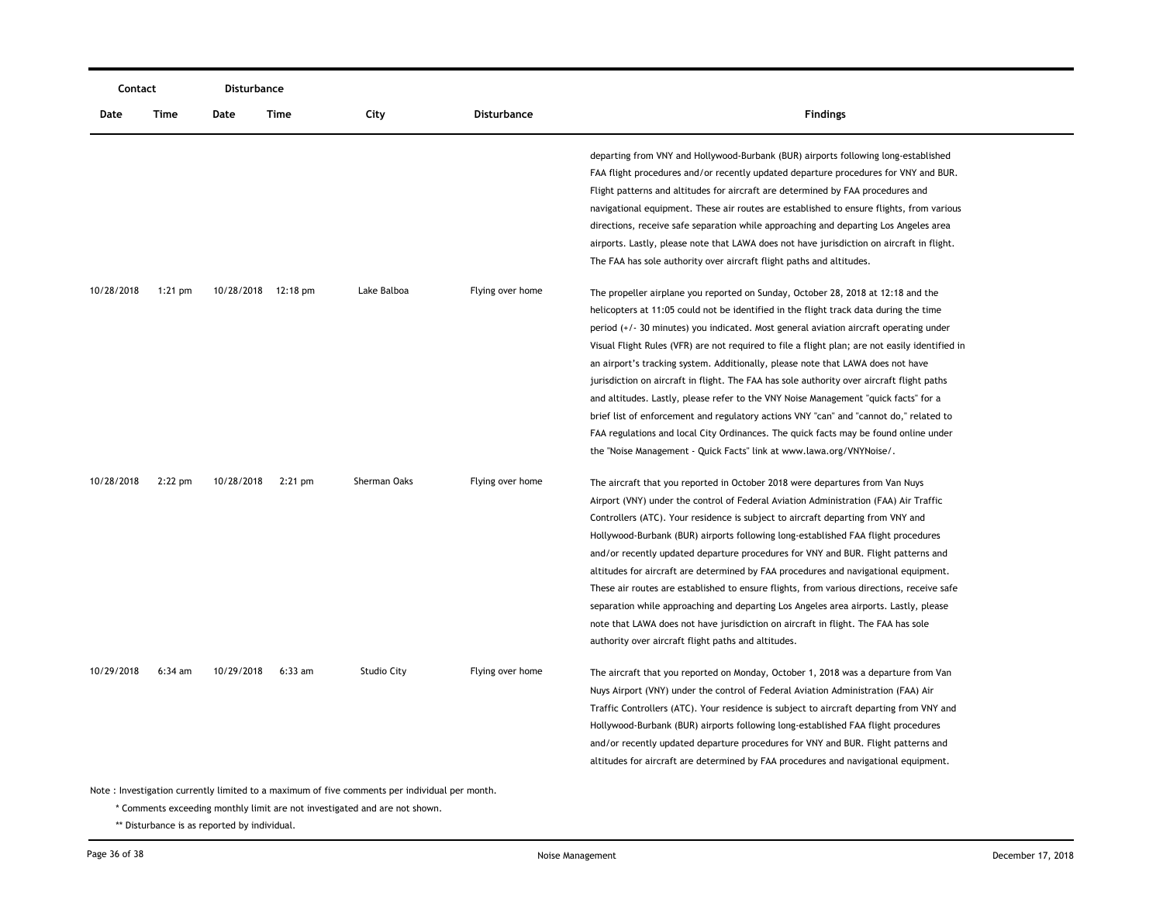| Contact                                                                                       |           | <b>Disturbance</b>  |           |                    |                    |                                                                                                                                                                                                                                                                                                                                                                                                                                                                                                                                                                                                                                                                                                                                                                                                                                                                                                       |  |  |
|-----------------------------------------------------------------------------------------------|-----------|---------------------|-----------|--------------------|--------------------|-------------------------------------------------------------------------------------------------------------------------------------------------------------------------------------------------------------------------------------------------------------------------------------------------------------------------------------------------------------------------------------------------------------------------------------------------------------------------------------------------------------------------------------------------------------------------------------------------------------------------------------------------------------------------------------------------------------------------------------------------------------------------------------------------------------------------------------------------------------------------------------------------------|--|--|
| Date                                                                                          | Time      | Date                | Time      | City               | <b>Disturbance</b> | <b>Findings</b>                                                                                                                                                                                                                                                                                                                                                                                                                                                                                                                                                                                                                                                                                                                                                                                                                                                                                       |  |  |
|                                                                                               |           |                     |           |                    |                    | departing from VNY and Hollywood-Burbank (BUR) airports following long-established<br>FAA flight procedures and/or recently updated departure procedures for VNY and BUR.<br>Flight patterns and altitudes for aircraft are determined by FAA procedures and<br>navigational equipment. These air routes are established to ensure flights, from various<br>directions, receive safe separation while approaching and departing Los Angeles area<br>airports. Lastly, please note that LAWA does not have jurisdiction on aircraft in flight.<br>The FAA has sole authority over aircraft flight paths and altitudes.                                                                                                                                                                                                                                                                                 |  |  |
| 10/28/2018                                                                                    | $1:21$ pm | 10/28/2018 12:18 pm |           | Lake Balboa        | Flying over home   | The propeller airplane you reported on Sunday, October 28, 2018 at 12:18 and the<br>helicopters at 11:05 could not be identified in the flight track data during the time<br>period (+/- 30 minutes) you indicated. Most general aviation aircraft operating under<br>Visual Flight Rules (VFR) are not required to file a flight plan; are not easily identified in<br>an airport's tracking system. Additionally, please note that LAWA does not have<br>jurisdiction on aircraft in flight. The FAA has sole authority over aircraft flight paths<br>and altitudes. Lastly, please refer to the VNY Noise Management "quick facts" for a<br>brief list of enforcement and regulatory actions VNY "can" and "cannot do," related to<br>FAA regulations and local City Ordinances. The quick facts may be found online under<br>the "Noise Management - Quick Facts" link at www.lawa.org/VNYNoise/. |  |  |
| 10/28/2018                                                                                    | $2:22$ pm | 10/28/2018          | $2:21$ pm | Sherman Oaks       | Flying over home   | The aircraft that you reported in October 2018 were departures from Van Nuys<br>Airport (VNY) under the control of Federal Aviation Administration (FAA) Air Traffic<br>Controllers (ATC). Your residence is subject to aircraft departing from VNY and<br>Hollywood-Burbank (BUR) airports following long-established FAA flight procedures<br>and/or recently updated departure procedures for VNY and BUR. Flight patterns and<br>altitudes for aircraft are determined by FAA procedures and navigational equipment.<br>These air routes are established to ensure flights, from various directions, receive safe<br>separation while approaching and departing Los Angeles area airports. Lastly, please<br>note that LAWA does not have jurisdiction on aircraft in flight. The FAA has sole<br>authority over aircraft flight paths and altitudes.                                             |  |  |
| 10/29/2018                                                                                    | $6:34$ am | 10/29/2018          | $6:33$ am | <b>Studio City</b> | Flying over home   | The aircraft that you reported on Monday, October 1, 2018 was a departure from Van<br>Nuys Airport (VNY) under the control of Federal Aviation Administration (FAA) Air<br>Traffic Controllers (ATC). Your residence is subject to aircraft departing from VNY and<br>Hollywood-Burbank (BUR) airports following long-established FAA flight procedures<br>and/or recently updated departure procedures for VNY and BUR. Flight patterns and<br>altitudes for aircraft are determined by FAA procedures and navigational equipment.                                                                                                                                                                                                                                                                                                                                                                   |  |  |
| Note: Investigation currently limited to a maximum of five comments per individual per month. |           |                     |           |                    |                    |                                                                                                                                                                                                                                                                                                                                                                                                                                                                                                                                                                                                                                                                                                                                                                                                                                                                                                       |  |  |

\*\* Disturbance is as reported by individual.

—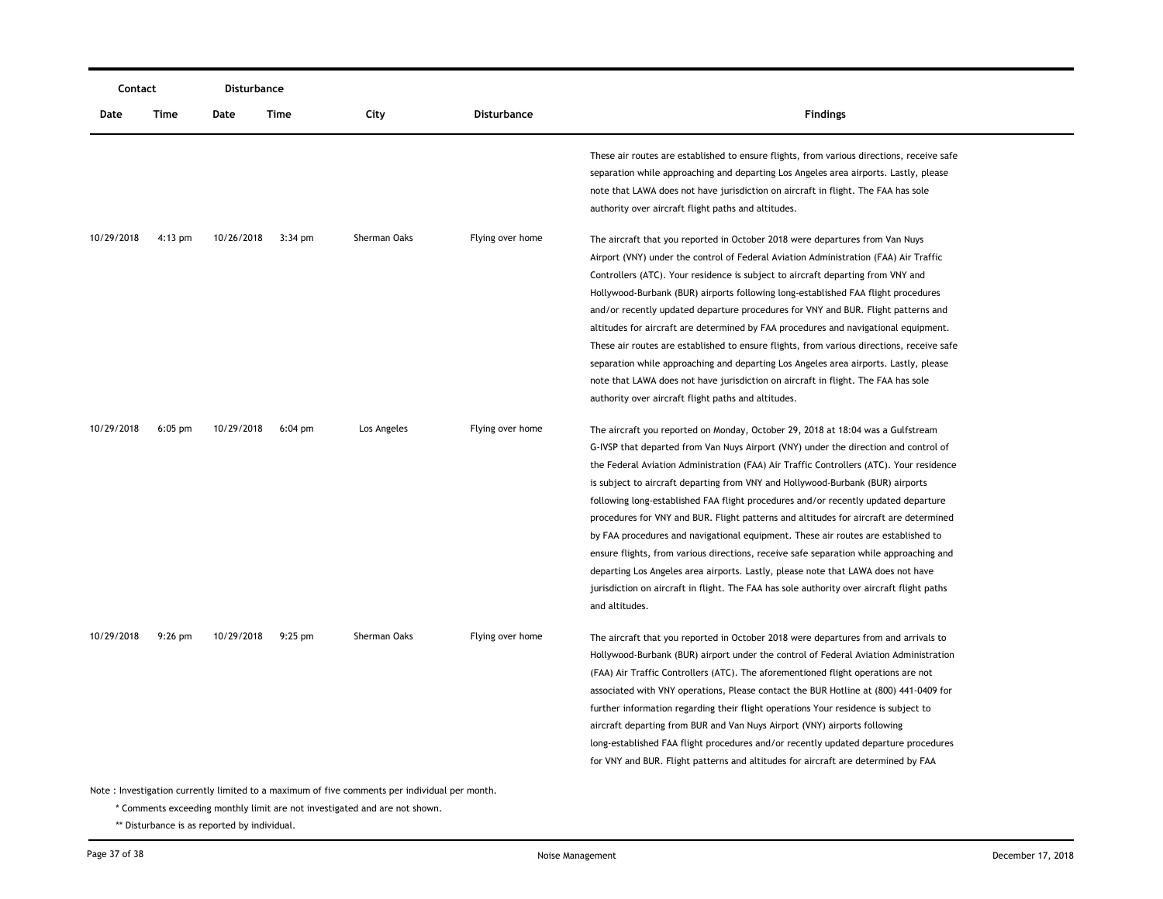| Contact    |           | Disturbance |                   |              |                    |                                                                                                                                                                                                                                                                                                                                                                                                                                                                                                                                                                                                                                                                                                                                                                                                                                                                                                                                                                             |
|------------|-----------|-------------|-------------------|--------------|--------------------|-----------------------------------------------------------------------------------------------------------------------------------------------------------------------------------------------------------------------------------------------------------------------------------------------------------------------------------------------------------------------------------------------------------------------------------------------------------------------------------------------------------------------------------------------------------------------------------------------------------------------------------------------------------------------------------------------------------------------------------------------------------------------------------------------------------------------------------------------------------------------------------------------------------------------------------------------------------------------------|
| Date       | Time      | Date        | Time              | City         | <b>Disturbance</b> | <b>Findings</b>                                                                                                                                                                                                                                                                                                                                                                                                                                                                                                                                                                                                                                                                                                                                                                                                                                                                                                                                                             |
|            |           |             |                   |              |                    | These air routes are established to ensure flights, from various directions, receive safe<br>separation while approaching and departing Los Angeles area airports. Lastly, please<br>note that LAWA does not have jurisdiction on aircraft in flight. The FAA has sole<br>authority over aircraft flight paths and altitudes.                                                                                                                                                                                                                                                                                                                                                                                                                                                                                                                                                                                                                                               |
| 10/29/2018 | $4:13$ pm | 10/26/2018  | $3:34$ pm         | Sherman Oaks | Flying over home   | The aircraft that you reported in October 2018 were departures from Van Nuys<br>Airport (VNY) under the control of Federal Aviation Administration (FAA) Air Traffic<br>Controllers (ATC). Your residence is subject to aircraft departing from VNY and<br>Hollywood-Burbank (BUR) airports following long-established FAA flight procedures<br>and/or recently updated departure procedures for VNY and BUR. Flight patterns and<br>altitudes for aircraft are determined by FAA procedures and navigational equipment.<br>These air routes are established to ensure flights, from various directions, receive safe<br>separation while approaching and departing Los Angeles area airports. Lastly, please<br>note that LAWA does not have jurisdiction on aircraft in flight. The FAA has sole                                                                                                                                                                          |
| 10/29/2018 | $6:05$ pm | 10/29/2018  | $6:04 \text{ pm}$ | Los Angeles  | Flying over home   | authority over aircraft flight paths and altitudes.<br>The aircraft you reported on Monday, October 29, 2018 at 18:04 was a Gulfstream<br>G-IVSP that departed from Van Nuys Airport (VNY) under the direction and control of<br>the Federal Aviation Administration (FAA) Air Traffic Controllers (ATC). Your residence<br>is subject to aircraft departing from VNY and Hollywood-Burbank (BUR) airports<br>following long-established FAA flight procedures and/or recently updated departure<br>procedures for VNY and BUR. Flight patterns and altitudes for aircraft are determined<br>by FAA procedures and navigational equipment. These air routes are established to<br>ensure flights, from various directions, receive safe separation while approaching and<br>departing Los Angeles area airports. Lastly, please note that LAWA does not have<br>jurisdiction on aircraft in flight. The FAA has sole authority over aircraft flight paths<br>and altitudes. |
| 10/29/2018 | $9:26$ pm | 10/29/2018  | $9:25$ pm         | Sherman Oaks | Flying over home   | The aircraft that you reported in October 2018 were departures from and arrivals to<br>Hollywood-Burbank (BUR) airport under the control of Federal Aviation Administration<br>(FAA) Air Traffic Controllers (ATC). The aforementioned flight operations are not<br>associated with VNY operations, Please contact the BUR Hotline at (800) 441-0409 for<br>further information regarding their flight operations Your residence is subject to<br>aircraft departing from BUR and Van Nuys Airport (VNY) airports following<br>long-established FAA flight procedures and/or recently updated departure procedures<br>for VNY and BUR. Flight patterns and altitudes for aircraft are determined by FAA                                                                                                                                                                                                                                                                     |

\* Comments exceeding monthly limit are not investigated and are not shown.